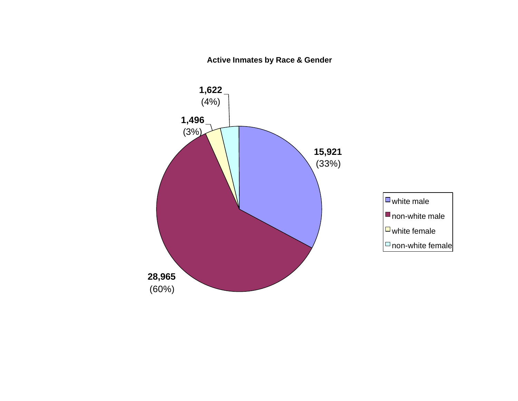**Active Inmates by Race & Gender**

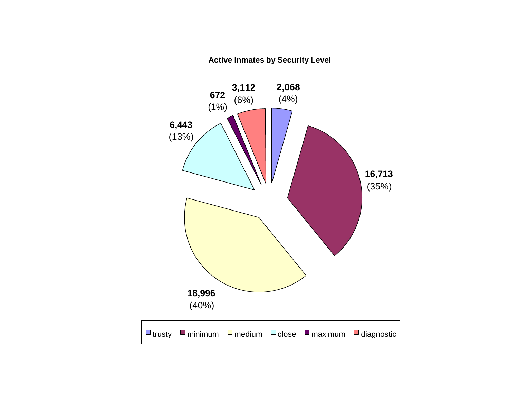#### **Active Inmates by Security Level**

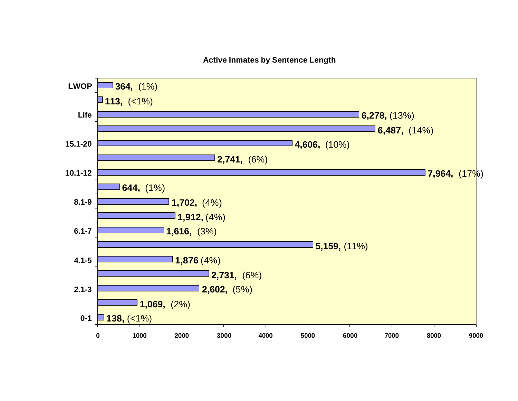#### **Active Inmates by Sentence Length**

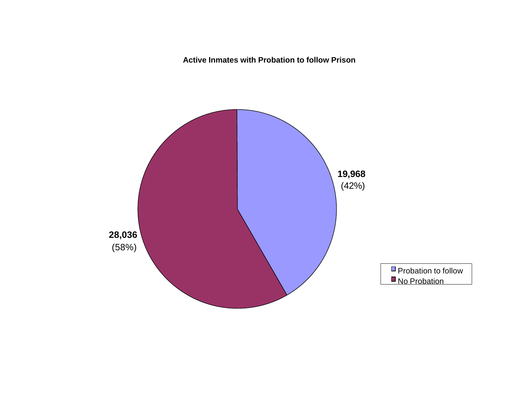**Active Inmates with Probation to follow Prison**

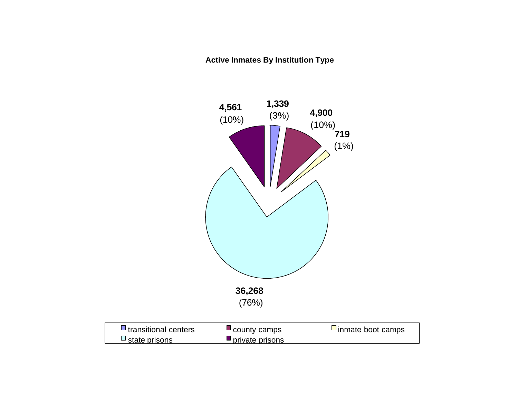#### **Active Inmates By Institution Type**

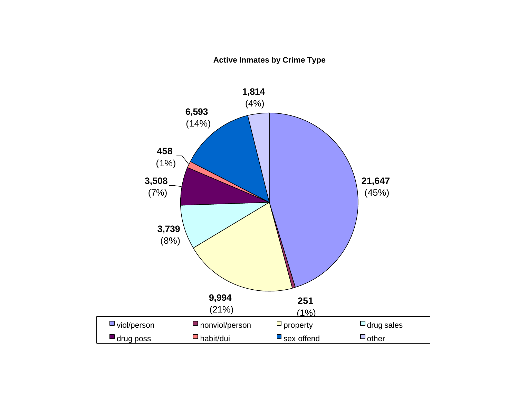#### **Active Inmates by Crime Type**

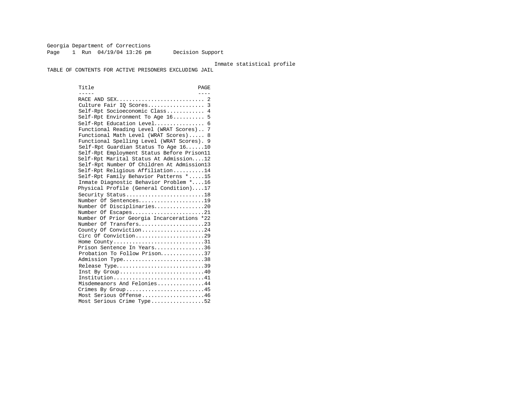Georgia Department of Corrections Page 1 Run 04/19/04 13:26 pm Decision Support

#### Inmate statistical profile

TABLE OF CONTENTS FOR ACTIVE PRISONERS EXCLUDING JAIL

Title PAGE ----- ---- RACE AND SEX............................ 2 Culture Fair IQ Scores.................. 3 Self-Rpt Socioeconomic Class............ 4 Self-Rpt Environment To Age 16.......... 5 Self-Rpt Education Level................ 6 Functional Reading Level (WRAT Scores).. 7 Functional Math Level (WRAT Scores)..... 8 Functional Spelling Level (WRAT Scores). 9 Self-Rpt Guardian Status To Age 16......10 Self-Rpt Employment Status Before Prison11 Self-Rpt Marital Status At Admission....12 Self-Rpt Number Of Children At Admission13 Self-Rpt Religious Affiliation..........14 Self-Rpt Family Behavior Patterns \*.....15 Inmate Diagnostic Behavior Problem \*....16 Physical Profile (General Condition)....17 Security Status............................18 Number Of Sentences.....................19 Number Of Disciplinaries................20 Number Of Escapes.........................21 Number Of Prior Georgia Incarcerations \*22 Number Of Transfers.....................23 County Of Conviction....................24 Circ Of Conviction........................29 Home County.................................31 Prison Sentence In Years................36 Probation To Follow Prison..............37 Admission Type..............................38 Release Type................................39 Inst By Group.............................40 Institution.............................41 Misdemeanors And Felonies...............44 Crimes By Group...........................45 Most Serious Offense....................46 Most Serious Crime Type.................52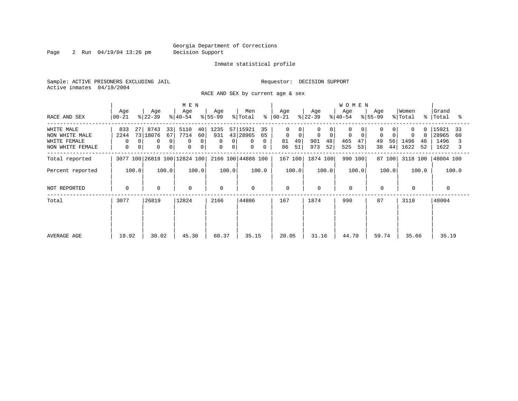Page 2 Run 04/19/04 13:26 pm Decision Support

#### Inmate statistical profile

Sample: ACTIVE PRISONERS EXCLUDING JAIL **Requestor: DECISION SUPPORT** Active inmates 04/19/2004

RACE AND SEX by current age & sex

|                                                                  |                                              |                                                                                                | M E N                                                  |                                 |                                                                                   |                                                             |                                              | <b>WOMEN</b>                     |                           |                                           |                                            |
|------------------------------------------------------------------|----------------------------------------------|------------------------------------------------------------------------------------------------|--------------------------------------------------------|---------------------------------|-----------------------------------------------------------------------------------|-------------------------------------------------------------|----------------------------------------------|----------------------------------|---------------------------|-------------------------------------------|--------------------------------------------|
| RACE AND SEX                                                     | Age<br>  00-21                               | Age<br>$ 22-39 $                                                                               | Age<br>$ 40-54 $                                       | Age<br>$8 55-99$                | Men<br>% Total                                                                    | Age<br>$8   00 - 21$                                        | Age<br>$ 22-39 $                             | Age<br>$ 40-54 $                 | Age<br>$ 55-99 $          | Women<br>% Total                          | Grand<br>%   Total                         |
| WHITE MALE<br>NON WHITE MALE<br>WHITE FEMALE<br>NON WHITE FEMALE | 833<br>271<br>2244<br>0<br>$\mathbf{0}$<br>0 | 8743<br>33<br>73 18076<br>67<br>$\mathbf 0$<br>$\overline{0}$<br>$\mathbf 0$<br>0 <sup>1</sup> | 5110<br>40<br>60<br>7714<br>0<br>0<br>$\mathbf 0$<br>0 | 1235<br>931<br>0<br>0<br>0<br>0 | 57 15921<br>35<br>43 28965<br>65<br>$\mathbf{0}$<br>$\Omega$<br>0<br>$\mathbf{0}$ | $\Omega$<br>$\mathbf 0$<br>$\Omega$<br>49<br>81<br>51<br>86 | 0<br>0<br>$\Omega$<br>901<br>48<br>973<br>52 | 0<br>0<br>465<br>47<br>525<br>53 | 0<br>49<br>56<br>38<br>44 | $\Omega$<br>0<br>1496<br>48<br>1622<br>52 | 15921<br>33<br>28965<br>60<br>1496<br>1622 |
| Total reported                                                   |                                              | 3077 100 26819 100 12824 100                                                                   |                                                        |                                 | 2166 100 44886 100                                                                | 167 100                                                     | 1874 100                                     | 990 100                          | 87 100                    | 3118 100                                  | 48004 100                                  |
| Percent reported                                                 | 100.0                                        | 100.0                                                                                          | 100.0                                                  | 100.0                           | 100.0                                                                             | 100.0                                                       | 100.0                                        | 100.0                            | 100.0                     | 100.0                                     | 100.0                                      |
| NOT REPORTED                                                     | $\mathbf{0}$                                 | $\mathbf 0$                                                                                    | $\mathbf 0$                                            | $\mathbf 0$                     | $\mathbf 0$                                                                       | $\mathbf 0$                                                 | 0                                            | $\mathbf 0$                      | $\mathbf 0$               | $\mathbf{0}$                              | $\Omega$                                   |
| Total                                                            | 3077                                         | 26819                                                                                          | 12824                                                  | 2166                            | 44886                                                                             | 167                                                         | 1874                                         | 990                              | 87                        | 3118                                      | 48004                                      |
| AVERAGE AGE                                                      | 19.92                                        | 30.02                                                                                          | 45.30                                                  | 60.37                           | 35.15                                                                             | 20.05                                                       | 31.16                                        | 44.70                            | 59.74                     | 35.66                                     | 35.19                                      |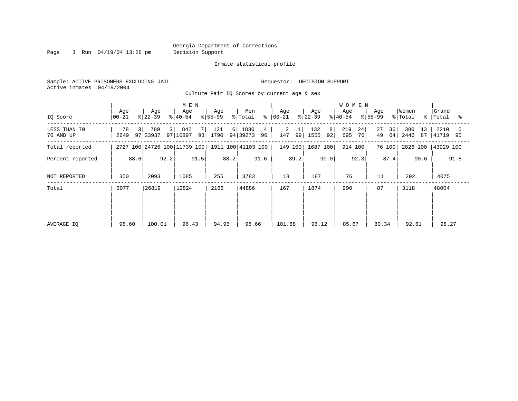Page 3 Run 04/19/04 13:26 pm Decision Support

#### Inmate statistical profile

Sample: ACTIVE PRISONERS EXCLUDING JAIL **Requestor: DECISION SUPPORT** Active inmates 04/19/2004

Culture Fair IQ Scores by current age & sex

|                           |                  |                        | M E N                        |                         |                             |                 |                        | <b>WOMEN</b>           |                      |                         |                          |
|---------------------------|------------------|------------------------|------------------------------|-------------------------|-----------------------------|-----------------|------------------------|------------------------|----------------------|-------------------------|--------------------------|
| IQ Score                  | Age<br>  00-21   | Age<br>$ 22-39 $       | Age<br>$ 40-54 $             | Age<br>$ 55-99 $        | Men<br>န္<br>% Total        | Age<br>$ 00-21$ | Age<br>$ 22-39 $       | Age<br>$ 40-54 $       | Age<br>$ 55-99 $     | Women<br>% Total<br>°≈  | Grand<br>Total<br>°≈     |
| LESS THAN 70<br>70 AND UP | 78<br>3 <br>2649 | 789<br>3 I<br>97 23937 | 842<br>7<br>97   10897<br>93 | 121<br>$6 \mid$<br>1790 | 1830<br>4<br>94 39273<br>96 | 2<br>147<br>99  | 132<br>8<br>1555<br>92 | 219<br>24<br>695<br>76 | 27<br>36<br>64<br>49 | 380<br>13<br>2446<br>87 | 2210<br>5<br>41719<br>95 |
| Total reported            |                  |                        | 2727 100 24726 100 11739 100 |                         | 1911 100 41103 100          | 149 100         | 1687 100               | 914 100                | 76 100               | 2826 100                | 43929 100                |
| Percent reported          | 88.6             | 92.2                   | 91.5                         | 88.2                    | 91.6                        | 89.2            | 90.0                   | 92.3                   | 87.4                 | 90.6                    | 91.5                     |
| NOT REPORTED              | 350              | 2093                   | 1085                         | 255                     | 3783                        | 18              | 187                    | 76                     | 11                   | 292                     | 4075                     |
| Total                     | 3077             | 26819                  | 12824                        | 2166                    | 44886                       | 167             | 1874                   | 990                    | 87                   | 3118                    | 48004                    |
|                           |                  |                        |                              |                         |                             |                 |                        |                        |                      |                         |                          |
|                           |                  |                        |                              |                         |                             |                 |                        |                        |                      |                         |                          |
| AVERAGE IQ                | 98.60            | 100.01                 | 96.43                        | 94.95                   | 98.66                       | 101.68          | 96.12                  | 85.67                  | 80.34                | 92.61                   | 98.27                    |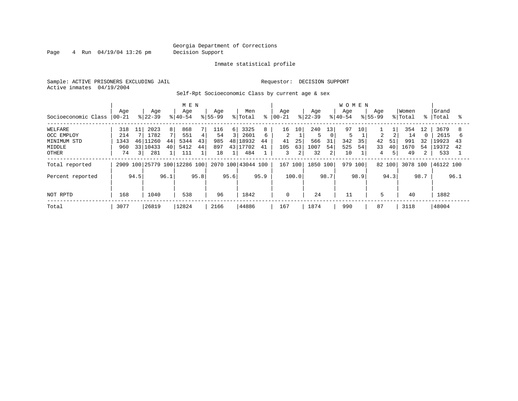Page 4 Run 04/19/04 13:26 pm Decision Support

#### Inmate statistical profile

Sample: ACTIVE PRISONERS EXCLUDING JAIL **Requestor: DECISION SUPPORT** Active inmates 04/19/2004

Self-Rpt Socioeconomic Class by current age & sex

|                     |           |                 |           |                | M E N                   |      |             |               |                    |      |          |       |          |                 | <b>WOMEN</b> |      |                |      |          |                |           |      |
|---------------------|-----------|-----------------|-----------|----------------|-------------------------|------|-------------|---------------|--------------------|------|----------|-------|----------|-----------------|--------------|------|----------------|------|----------|----------------|-----------|------|
|                     | Age       |                 | Age       |                | Age                     |      | Age         |               | Men                | ⊱    | Aqe      |       | Age      |                 | Age          |      | Age            |      | Women    | °≈             | Grand     |      |
| Socioeconomic Class | $00 - 21$ |                 | $ 22-39 $ |                | $ 40-54$                |      | $8155 - 99$ |               | % Total            |      | $ 00-21$ |       | $ 22-39$ |                 | $8 40-54$    |      | $8155 - 99$    |      | % Total  |                | Total     | ႜ    |
| WELFARE             | 318       | 11              | 2023      | 8 <sup>1</sup> | 868                     |      | 116         | 6             | 3325               | 8    | 16       | 10    | 240      | 13 <sub>1</sub> | 97           | 10   |                |      | 354      | 12             | 3679      |      |
| OCC EMPLOY          | 214       |                 | 1782      |                | 551                     | 4    | 54          | $\mathcal{L}$ | 2601               | 6    | 2        |       |          |                 |              |      | $\overline{2}$ | 2    | 14       |                | 2615      | h    |
| MINIMUM STD         | 1343      | 46              | 1260      | 44             | 5344                    | 43   | 985         | 48            | 18932              | 44   | 41       | 25    | 566      | 31              | 342          | 35   | 42             | 51   | 991      | 32             | 19923     | 43   |
| MIDDLE              | 960       | 33 <sup>1</sup> | 10433     | 40             | 5412                    | 44   | 897         | 43 1          | .7702              | 41   | 105      | 63    | 1007     | 54              | 525          | 54   | 33             | 40   | 1670     | 54             | 19372     | 42   |
| OTHER               | 74        | 31              | 281       |                | 111                     |      | 18          |               | 484                |      | 3        | 2     | 32       | 2               | 10           |      | 4              | 5    | 49       | $\overline{2}$ | 533       |      |
| Total reported      | 2909      |                 |           |                | 100 25779 100 12286 100 |      |             |               | 2070 100 43044 100 |      | 167 100  |       | 1850 100 |                 | 979 100      |      | 82 100         |      | 3078 100 |                | 46122 100 |      |
| Percent reported    |           | 94.5            |           | 96.1           |                         | 95.8 |             | 95.6          |                    | 95.9 |          | 100.0 |          | 98.7            |              | 98.9 |                | 94.3 |          | 98.7           |           | 96.1 |
| NOT RPTD            | 168       |                 | 1040      |                | 538                     |      | 96          |               | 1842               |      | 0        |       | 24       |                 | 11           |      | 5              |      | 40       |                | 1882      |      |
|                     |           |                 |           |                |                         |      |             |               |                    |      |          |       |          |                 |              |      |                |      |          |                |           |      |
| Total               | 3077      |                 | 26819     |                | 12824                   |      | 2166        |               | 44886              |      | 167      |       | 1874     |                 | 990          |      | 87             |      | 3118     |                | 48004     |      |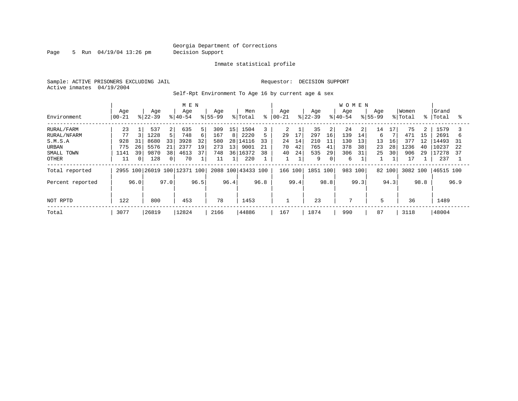Page 5 Run 04/19/04 13:26 pm Decision Support

#### Inmate statistical profile

Sample: ACTIVE PRISONERS EXCLUDING JAIL **Requestor: DECISION SUPPORT** Active inmates 04/19/2004

Self-Rpt Environment To Age 16 by current age & sex

|                                                                             |                                                        |                                                                                              | M E N                                                                |                                                              |                                                                         |                                                   |                                                                                               | <b>WOMEN</b>                                                     |                                                   |                                                                    |                                                                       |
|-----------------------------------------------------------------------------|--------------------------------------------------------|----------------------------------------------------------------------------------------------|----------------------------------------------------------------------|--------------------------------------------------------------|-------------------------------------------------------------------------|---------------------------------------------------|-----------------------------------------------------------------------------------------------|------------------------------------------------------------------|---------------------------------------------------|--------------------------------------------------------------------|-----------------------------------------------------------------------|
| Environment                                                                 | Age<br>$00 - 21$                                       | Age<br>$ 22-39 $                                                                             | Age<br>$8 40-54$                                                     | Age<br>$8155 - 99$                                           | Men<br>ి<br>% Total                                                     | Aqe<br>$ 00 - 21$                                 | Age<br>$ 22-39 $                                                                              | Age<br>$8 40-54$                                                 | Aqe<br>$8155 - 99$                                | Women<br>% Total<br>%                                              | Grand<br>Total<br>°                                                   |
| RURAL/FARM<br>RURAL/NFARM<br>S.M.S.A<br>URBAN<br>SMALL TOWN<br><b>OTHER</b> | 23<br>77<br>928<br>31<br>26<br>775<br>39<br>1141<br>11 | 537<br>2<br>5.<br>1228<br>8680<br>33<br>5576<br>21<br>38<br>9870<br>$\mathbf{0}$<br>128<br>0 | 635<br>5<br>748<br>6<br>32<br>3928<br>2377<br>19<br>37<br>4613<br>70 | 309<br>15<br>167<br>8<br>580<br>28<br>273<br>13<br>748<br>11 | 1504<br>5<br>2220<br>14116<br>33<br>21<br>9001<br>36 16372<br>38<br>220 | 2<br>17<br>29<br>14<br>24<br>42<br>70<br>24<br>40 | 35<br>$\overline{2}$<br>297<br>16<br>210<br>11<br>765<br>41<br>535<br>29<br>9<br>$\mathbf{0}$ | 24<br>2<br>139<br>14<br>130<br>13<br>378<br>38<br>306<br>31<br>6 | 14<br>17<br>6<br>13<br>16<br>28<br>23<br>25<br>30 | 75<br>2<br>471<br>15<br>377<br>12<br>1236<br>40<br>906<br>29<br>17 | 1579<br>2691<br>b<br>L4493<br>31<br>10237<br>22<br>17278<br>37<br>237 |
| Total reported                                                              |                                                        |                                                                                              | 2955 100 26019 100 12371 100                                         |                                                              | 2088 100 43433 100                                                      | 166 100                                           | 1851 100                                                                                      | 983<br>100                                                       | 82 100                                            | 3082 100                                                           | 46515 100                                                             |
| Percent reported<br>NOT RPTD                                                | 96.0<br>122                                            | 97.0<br>800                                                                                  | 96.5<br>453                                                          | 96.4<br>78                                                   | 96.8<br>1453                                                            | 99.4<br>1                                         | 98.8<br>23                                                                                    | 99.3<br>7                                                        | 94.3<br>5                                         | 98.8<br>36                                                         | 96.9<br>1489                                                          |
| Total                                                                       | 3077                                                   | 26819                                                                                        | 12824                                                                | 2166                                                         | 44886                                                                   | 167                                               | 1874                                                                                          | 990                                                              | 87                                                | 3118                                                               | 48004                                                                 |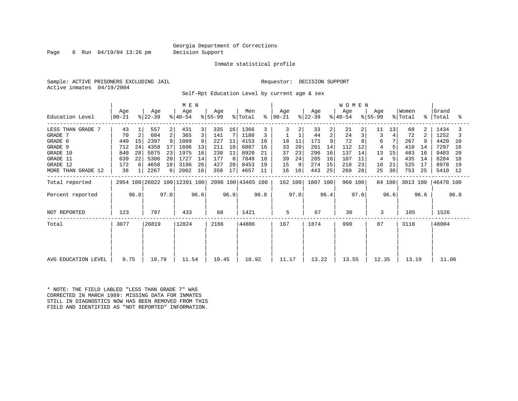Page 6 Run 04/19/04 13:26 pm Decision Support

#### Inmate statistical profile

Sample: ACTIVE PRISONERS EXCLUDING JAIL **Requestor: DECISION SUPPORT** Active inmates 04/19/2004

Self-Rpt Education Level by current age & sex

|                     |                                              |    |                  |      | M E N            |      |                  |                 |                    |      |                |      |                  |      | <b>WOMEN</b>     |      |                  |        |                  |               |                |     |
|---------------------|----------------------------------------------|----|------------------|------|------------------|------|------------------|-----------------|--------------------|------|----------------|------|------------------|------|------------------|------|------------------|--------|------------------|---------------|----------------|-----|
| Education Level     | Age<br>  00-21                               |    | Age<br>$ 22-39 $ |      | Age<br>$ 40-54 $ |      | Age<br>$ 55-99 $ |                 | Men<br>% Total     | ៖    | Aqe<br>  00-21 |      | Age<br>$ 22-39 $ |      | Aqe<br>$ 40-54 $ |      | Age<br>$ 55-99 $ |        | Women<br>% Total | $\frac{1}{6}$ | Grand<br>Total | ႜ   |
| LESS THAN GRADE 7   | 43                                           |    | 557              | 2    | 431              | 3    | 335              | 16 <sup>1</sup> | 1366               |      | 3              |      | 33               | 2    | 21               | 2    | 11               | 13     | 68               | 2             | 1434           |     |
| GRADE 7             | 70                                           | 2  | 604              | 2    | 365              | 3    | 141              |                 | 1180               |      |                |      | 44               | 2    | 24               |      | 3                |        | 72               | 2             | 1252           |     |
| GRADE 8             | 440                                          | 15 | 2397             | 9    | 1089             | 9    | 227              | 11              | 4153               | 10   | 18             | 11   | 171              |      | 72               |      | 6                |        | 267              |               | 4420           | 10  |
| GRADE 9             | 712                                          | 24 | 4358             | 17   | 1606             | 13   | 211              | 10              | 6887               | 16   | 33             | 20   | 261              | 14   | 112              | 12   | 4                |        | 410              | 14            | 7297           | 16  |
| GRADE 10            | 840                                          | 28 | 5875             | 23   | 1975             | 16   | 230              | 11              | 8920               | 21   | 37             | 23   | 296              | 16   | 137              | 14   | 13               | 15     | 483              | 16            | 9403           | 20  |
| GRADE 11            | 639                                          | 22 | 5306             | 20   | 1727             | 14   | 177              | 8               | 7849               | 18   | 39             | 24   | 285              | 16   | 107              | 11   | 4                | 5      | 435              | 14            | 8284           | 18  |
| GRADE 12            | 172                                          | 6  | 4658             | 18   | 3196             | 26   | 427              | 20              | 8453               | 19   | 15             | 9    | 274              | 15   | 218              | 23   | 18               | 21     | 525              | 17            | 8978           | -19 |
| MORE THAN GRADE 12  | 38                                           |    | 2267             | 9    | 2002             | 16   | 350              | 17              | 4657               | 11   | 16             | 10   | 443              | 25   | 269              | 28   | 25               | 30     | 753              | 25            | 5410           | -12 |
| Total reported      |                                              |    |                  |      |                  |      |                  |                 | 2098 100 43465 100 |      | 162 100        |      | 1807 100         |      | 960 100          |      |                  | 84 100 | 3013 100         |               | 46478 100      |     |
| Percent reported    | 2954 100 26022 100 12391 100<br>97.0<br>96.0 |    |                  | 96.6 |                  | 96.9 |                  | 96.8            |                    | 97.0 |                | 96.4 |                  | 97.0 |                  | 96.6 |                  | 96.6   |                  | 96.8          |                |     |
| NOT REPORTED        | 123                                          |    | 797              |      | 433              |      | 68               |                 | 1421               |      | 5              |      | 67               |      | 30               |      | 3                |        | 105              |               | 1526           |     |
| Total               | 3077                                         |    | 26819            |      | 12824            |      | 2166             |                 | 44886              |      | 167            |      | 1874             |      | 990              |      | 87               |        | 3118             |               | 48004          |     |
|                     |                                              |    |                  |      |                  |      |                  |                 |                    |      |                |      |                  |      |                  |      |                  |        |                  |               |                |     |
|                     |                                              |    |                  |      |                  |      |                  |                 |                    |      |                |      |                  |      |                  |      |                  |        |                  |               |                |     |
| AVG EDUCATION LEVEL | 9.75                                         |    | 10.79            |      | 11.54            |      | 10.45            |                 | 10.92              |      | 11.17          |      | 13.22            |      | 13.55            |      | 12.35            |        | 13.19            |               | 11.06          |     |

\* NOTE: THE FIELD LABLED "LESS THAN GRADE 7" WAS CORRECTED IN MARCH 1989: MISSING DATA FOR INMATES STILL IN DIAGNOSTICS NOW HAS BEEN REMOVED FROM THIS FIELD AND IDENTIFIED AS "NOT REPORTED" INFORMATION.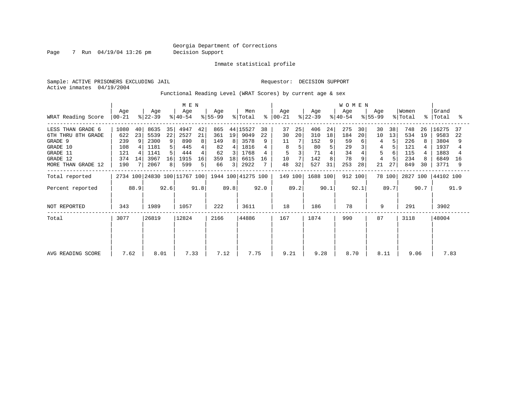Page 7 Run 04/19/04 13:26 pm Decision Support

Inmate statistical profile

Sample: ACTIVE PRISONERS EXCLUDING JAIL **Requestor: DECISION SUPPORT** Active inmates 04/19/2004

Functional Reading Level (WRAT Scores) by current age & sex

|                                                                                                              |                                                |                     | M E N                                                |                          |                                                  |                               |                                            |                              |                                                          |                     | WOMEN                                |                |                                             |                          |                                           |                |                     |                |                                               |                |                                                       |                |
|--------------------------------------------------------------------------------------------------------------|------------------------------------------------|---------------------|------------------------------------------------------|--------------------------|--------------------------------------------------|-------------------------------|--------------------------------------------|------------------------------|----------------------------------------------------------|---------------------|--------------------------------------|----------------|---------------------------------------------|--------------------------|-------------------------------------------|----------------|---------------------|----------------|-----------------------------------------------|----------------|-------------------------------------------------------|----------------|
| WRAT Reading Score                                                                                           | Age<br>$ 00-21 $                               |                     | Age<br>$ 22-39 $                                     |                          | Age<br>$ 40-54 $                                 |                               | Age<br>$ 55-99 $                           |                              | Men<br>% Total                                           | $\approx$           | Age<br>$ 00-21$                      |                | Age<br>$ 22-39 $                            |                          | Age<br>$ 40-54 $                          |                | Age<br>$ 55-99 $    |                | Women<br>% Total                              | % ิ            | Grand<br>Total                                        | ႜ              |
| LESS THAN GRADE 6<br>6TH THRU 8TH GRADE<br>GRADE 9<br>GRADE 10<br>GRADE 11<br>GRADE 12<br>MORE THAN GRADE 12 | 1080<br>622<br>239<br>108<br>121<br>374<br>190 | 40<br>23<br>9<br>14 | 8635<br>5539<br>2300<br>1181<br>1141<br>3967<br>2067 | 35<br>22<br>9<br>16<br>8 | 4947<br>2527<br>890<br>445<br>444<br>1915<br>599 | 42<br>21<br>8<br>4<br>16<br>5 | 865<br>361<br>149<br>82<br>62<br>359<br>66 | 19<br>8<br>4<br>3<br>18<br>3 | 44 15527<br>9049<br>3578<br>1816<br>1768<br>6615<br>2922 | 38<br>22<br>9<br>16 | 37<br>30<br>11<br>8<br>5<br>10<br>48 | 25<br>20<br>32 | 406<br>310<br>152<br>80<br>71<br>142<br>527 | 24<br>18<br>9<br>8<br>31 | 275<br>184<br>59<br>29<br>34<br>78<br>253 | 30<br>20<br>28 | 30<br>10<br>5<br>21 | 38<br>13<br>27 | 748<br>534<br>226<br>121<br>115<br>234<br>849 | 26<br>19<br>30 | 16275<br>9583<br>3804<br>1937<br>1883<br>6849<br>3771 | 37<br>22<br>16 |
| Total reported                                                                                               |                                                |                     |                                                      |                          |                                                  |                               |                                            |                              | 1944 100 41275 100                                       |                     | 149 100                              |                | 1688 100                                    |                          | 912 100                                   |                |                     | 78 100         | 2827 100                                      |                | 44102 100                                             |                |
| Percent reported                                                                                             | 2734 100 24830 100 11767 100<br>92.6<br>88.9   |                     |                                                      | 91.8                     |                                                  | 89.8                          |                                            | 92.0                         |                                                          | 89.2                |                                      | 90.1           |                                             | 92.1                     |                                           | 89.7           |                     | 90.7           |                                               | 91.9           |                                                       |                |
| NOT REPORTED                                                                                                 | 343                                            |                     | 1989                                                 |                          | 1057                                             |                               | 222                                        |                              | 3611                                                     |                     | 18                                   |                | 186                                         |                          | 78                                        |                | 9                   |                | 291                                           |                | 3902                                                  |                |
| Total                                                                                                        | 3077                                           |                     | 26819                                                |                          | 12824                                            |                               | 2166                                       |                              | 44886                                                    |                     | 167                                  |                | 1874                                        |                          | 990                                       |                | 87                  |                | 3118                                          |                | 48004                                                 |                |
| AVG READING SCORE                                                                                            | 8.01<br>7.62                                   |                     |                                                      |                          | 7.33                                             |                               | 7.12                                       |                              | 7.75                                                     |                     | 9.21                                 |                | 9.28                                        |                          | 8.70                                      |                | 8.11                |                | 9.06                                          |                | 7.83                                                  |                |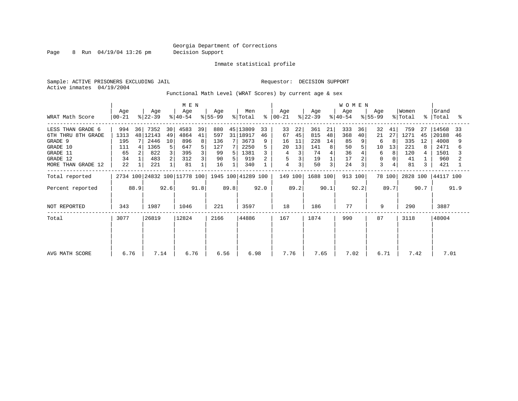Page 8 Run 04/19/04 13:26 pm Decision Support

#### Inmate statistical profile

Sample: ACTIVE PRISONERS EXCLUDING JAIL **Requestor: DECISION SUPPORT** Active inmates 04/19/2004

Functional Math Level (WRAT Scores) by current age & sex

| WRAT Math Score                                                                                              | M E N<br>Men<br>Age<br>Age<br>Age<br>Age<br>$ 55-99 $<br>% Total<br>$ 22-39 $<br>$00 - 21$<br>$ 40-54 $ |      |                                                       |                          |                                                |               |                                            |      |                                                                | နွ       | Age<br>$ 00-21$                     |                           | Age<br>$ 22-39 $                           |                          | <b>WOMEN</b><br>Age<br>$ 40-54 $         |                                 | Aqe<br>$ 55-99 $                   |                     | Women<br>% Total                             |                     | Grand<br>%   Total                                   | ႜ        |
|--------------------------------------------------------------------------------------------------------------|---------------------------------------------------------------------------------------------------------|------|-------------------------------------------------------|--------------------------|------------------------------------------------|---------------|--------------------------------------------|------|----------------------------------------------------------------|----------|-------------------------------------|---------------------------|--------------------------------------------|--------------------------|------------------------------------------|---------------------------------|------------------------------------|---------------------|----------------------------------------------|---------------------|------------------------------------------------------|----------|
| LESS THAN GRADE 6<br>6TH THRU 8TH GRADE<br>GRADE 9<br>GRADE 10<br>GRADE 11<br>GRADE 12<br>MORE THAN GRADE 12 | 994<br>1313<br>195<br>111<br>65<br>34<br>22                                                             | 36   | 7352<br>48 12143<br>2446<br>1365<br>822<br>483<br>221 | 30<br>49<br>10<br>3<br>2 | 4583<br>4864<br>896<br>647<br>395<br>312<br>81 | 39<br>41<br>8 | 880<br>597<br>136<br>127<br>99<br>90<br>16 | 5    | 45   13809<br>31   18917<br>3673<br>2250<br>1381<br>919<br>340 | 33<br>46 | 33<br>67<br>16<br>20<br>4<br>5<br>4 | 22<br>45<br>11<br>13<br>3 | 361<br>815<br>228<br>141<br>74<br>19<br>50 | 21<br>48<br>14<br>8<br>3 | 333<br>368<br>85<br>50<br>36<br>17<br>24 | 36<br>40<br>9<br>$\overline{3}$ | 32<br>21<br>6<br>10<br>6<br>0<br>3 | 41<br>27<br>13<br>8 | 759<br>1271<br>335<br>221<br>120<br>41<br>81 | 27<br>45<br>12<br>3 | 14568<br>20188<br>4008<br>2471<br>1501<br>960<br>421 | 33<br>46 |
| Total reported<br>Percent reported                                                                           |                                                                                                         | 88.9 |                                                       | 92.6                     | 2734 100 24832 100 11778 100                   | 91.8          |                                            | 89.8 | 1945 100 41289 100                                             | 92.0     | 149 100                             | 89.2                      | 1688 100                                   | 90.1                     | 913 100                                  | 92.2                            |                                    | 78 100<br>89.7      | 2828 100                                     | 90.7                | 44117 100                                            | 91.9     |
| NOT REPORTED                                                                                                 | 343                                                                                                     |      | 1987                                                  |                          | 1046                                           |               | 221                                        |      | 3597                                                           |          | 18                                  |                           | 186                                        |                          | 77                                       |                                 | 9                                  |                     | 290                                          |                     | 3887                                                 |          |
| Total                                                                                                        | 3077                                                                                                    |      | 26819                                                 |                          | 12824                                          |               | 2166                                       |      | 44886                                                          |          | 167                                 |                           | 1874                                       |                          | 990                                      |                                 | 87                                 |                     | 3118                                         |                     | 48004                                                |          |
| AVG MATH SCORE                                                                                               | 6.76                                                                                                    |      | 7.14                                                  |                          | 6.76                                           |               | 6.56                                       |      | 6.98                                                           |          | 7.76                                |                           | 7.65                                       |                          | 7.02                                     |                                 | 6.71                               |                     | 7.42                                         |                     | 7.01                                                 |          |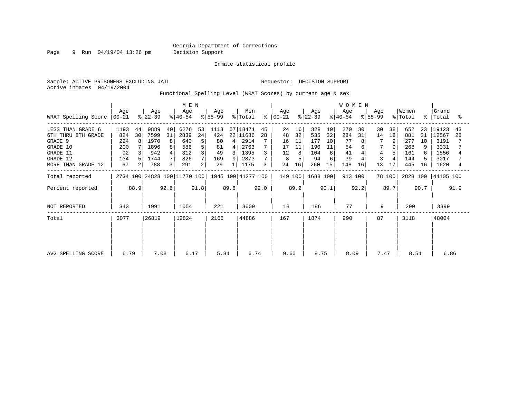Page 9 Run 04/19/04 13:26 pm Decision Support

Inmate statistical profile

Active inmates 04/19/2004

Sample: ACTIVE PRISONERS EXCLUDING JAIL **Requestor: DECISION SUPPORT** 

Functional Spelling Level (WRAT Scores) by current age & sex

|                     |                                              |    |                  |    | M E N            |    |                  |   |                    |    |                  |    |                  |    | <b>WOMEN</b>     |    |                  |        |                  |    |                    |    |
|---------------------|----------------------------------------------|----|------------------|----|------------------|----|------------------|---|--------------------|----|------------------|----|------------------|----|------------------|----|------------------|--------|------------------|----|--------------------|----|
| WRAT Spelling Score | Age<br>$ 00-21 $                             |    | Age<br>$ 22-39 $ |    | Age<br>$ 40-54 $ |    | Age<br>$ 55-99 $ |   | Men<br>% Total     | °  | Age<br>$ 00-21 $ |    | Age<br>$ 22-39 $ |    | Age<br>$ 40-54 $ |    | Age<br>$ 55-99 $ |        | Women<br>% Total |    | Grand<br>%   Total | °  |
| LESS THAN GRADE 6   | 1193                                         | 44 | 9889             | 40 | 6276             | 53 | 1113             |   | 57 18471           | 45 | 24               | 16 | 328              | 19 | 270              | 30 | 30               | 38     | 652              | 23 | 19123              | 43 |
| 6TH THRU 8TH GRADE  | 824                                          | 30 | 7599             | 31 | 2839             | 24 | 424              |   | 22 11686           | 28 | 48               | 32 | 535              | 32 | 284              | 31 | 14               | 18     | 881              | 31 | 12567              | 28 |
| GRADE 9             | 224                                          | 8  | 1970             | 8  | 640              | 5  | 80               | 4 | 2914               |    | 16               | 11 | 177              | 10 | 77               |    | 7                | 9      | 277              | 10 | 3191               |    |
| GRADE 10            | 200                                          |    | 1896             | 8  | 586              | 5  | 81               | 4 | 2763               |    | 17               | 11 | 190              | 11 | 54               | 6  |                  |        | 268              |    | 3031               |    |
| GRADE 11            | 92                                           |    | 942              |    | 312              |    | 49               | 3 | 1395               |    | 12               |    | 104              | 6  | 41               |    | 4                |        | 161              | 6  | 1556               |    |
| GRADE 12            | 134                                          |    | 1744             |    | 826              |    | 169              | 9 | 2873               |    | 8                |    | 94               |    | 39               |    |                  |        | 144              |    | 3017               |    |
| MORE THAN GRADE 12  | 67                                           |    | 788              | 3  | 291              | 2  | 29               |   | 1175               | 3  | 24               | 16 | 260              | 15 | 148              | 16 | 13               | 17     | 445              | 16 | 1620               |    |
| Total reported      |                                              |    |                  |    |                  |    |                  |   | 1945 100 41277 100 |    | 149 100          |    | 1688 100         |    | 913 100          |    |                  | 78 100 | 2828 100         |    | 44105 100          |    |
| Percent reported    | 2734 100 24828 100 11770 100<br>92.6<br>88.9 |    |                  |    | 91.8             |    | 89.8             |   | 92.0               |    | 89.2             |    | 90.1             |    | 92.2             |    | 89.7             |        | 90.7             |    | 91.9               |    |
| NOT REPORTED        | 343                                          |    | 1991             |    | 1054             |    | 221              |   | 3609               |    | 18               |    | 186              |    | 77               |    | 9                |        | 290              |    | 3899               |    |
| Total               | 3077                                         |    | 26819            |    | 12824            |    | 2166             |   | 44886              |    | 167              |    | 1874             |    | 990              |    | 87               |        | 3118             |    | 48004              |    |
|                     |                                              |    |                  |    |                  |    |                  |   |                    |    |                  |    |                  |    |                  |    |                  |        |                  |    |                    |    |
|                     |                                              |    |                  |    |                  |    |                  |   |                    |    |                  |    |                  |    |                  |    |                  |        |                  |    |                    |    |
| AVG SPELLING SCORE  | 6.79                                         |    | 7.08             |    | 6.17             |    | 5.84             |   | 6.74               |    | 9.60             |    | 8.75             |    | 8.09             |    | 7.47             |        | 8.54             |    | 6.86               |    |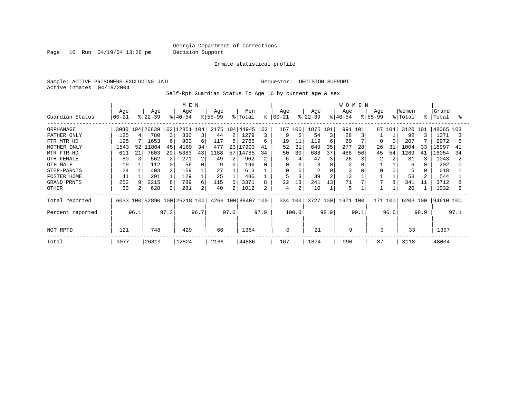Page 10 Run 04/19/04 13:26 pm Decision Support

#### Inmate statistical profile

Sample: ACTIVE PRISONERS EXCLUDING JAIL **Requestor: DECISION SUPPORT** Active inmates 04/19/2004

Self-Rpt Guardian Status To Age 16 by current age & sex

|                    |                  |      | M E N            |                |                              |      |                 |      |                    |      | <b>WOMEN</b>    |                |                  |                |                  |      |                  |        |                  |      |                |      |
|--------------------|------------------|------|------------------|----------------|------------------------------|------|-----------------|------|--------------------|------|-----------------|----------------|------------------|----------------|------------------|------|------------------|--------|------------------|------|----------------|------|
| Guardian Status    | Age<br>$00 - 21$ |      | Age<br>$ 22-39 $ |                | Age<br>$ 40-54 $             |      | Age<br>$ 55-99$ |      | Men<br>% Total     | ి    | Age<br>$ 00-21$ |                | Age<br>$ 22-39 $ |                | Age<br>$8 40-54$ |      | Age<br>$8 55-99$ |        | Women<br>% Total | °    | Grand<br>Total | °≈   |
|                    |                  |      |                  |                |                              |      |                 |      |                    |      |                 |                |                  |                |                  |      |                  |        |                  |      |                |      |
| ORPHANAGE          | 3080             | 104  |                  |                | 26839 103 12851 104          |      |                 |      | 2175 104 44945 103 |      |                 | 167 100        | 1875 101         |                | 991              | 101  |                  | 87 104 | 3120 101         |      | 48065 103      |      |
| FATHER ONLY        | 125              |      | 780              |                | 330                          | 3    | 44              | 2    | 1279               |      |                 |                | 54               | 3              | 28               |      |                  |        | 92               |      | 1371           |      |
| FTR MTR HD         | 195              |      | 1653             | 6              | 800                          | 6    | 117             | 6    | 2765               | 6    | 19              | 11             | 119              | 6              | 69               |      | 0                |        | 207              |      | 2972           |      |
| MOTHER ONLY        | 1543             | 52   | 11804            | 45             | 4169                         | 34   | 477             | 231  | 17993              | 41   | 52              | 31             | 649              | 35             | 277              | 28   | 26               | 31     | 1004             | 33   | 18997          | 41   |
| MTR FTR HD         | 611              | 21   | 7603             | 29             | 5383                         | 43   | 1188            | 571  | 14785              | 34   | 50              | 30             | 688              | 37             | 486              | 50   | 45               | 54     | 1269             | 41   | 16054          | 34   |
| OTH FEMALE         | 80               |      | 562              | 2              | 271                          | 2    | 49              | 2    | 962                |      | 6               |                | 47               | 3              | 26               |      |                  |        | 81               |      | 1043           |      |
| OTH MALE           | 19               |      | 112              |                | 56                           | 0    | 9               | 0    | 196                | 0    | 0               |                |                  | $\Omega$       |                  |      |                  |        | 6                |      | 202            |      |
| STEP-PARNTS        | 24               |      | 403              | 2              | 159                          |      | 27              |      | 613                |      | 0               |                | 2                | $\Omega$       |                  |      | 0                |        |                  |      | 618            |      |
| <b>FOSTER HOME</b> | 41               |      | 291              |                | 129                          |      | 25              |      | 486                |      |                 |                | 39               | $\overline{2}$ | 13               |      |                  |        | 58               |      | 544            |      |
| GRAND PRNTS        | 252              |      | 2215             | 8              | 789                          | 6    | 115             | 5    | 3371               | 8    | 22              | 13             | 241              | 13             | 71               |      |                  | 8      | 341              | 11   | 3712           |      |
| <b>OTHER</b>       | 63               |      | 628              | $\overline{2}$ | 281                          | 2    | 40              |      | 1012               | 2    | 4               | $\overline{2}$ | 10               |                | 5                |      |                  |        | 20               |      | 1032           |      |
| Total reported     |                  |      |                  |                | 6033 100 52890 100 25218 100 |      |                 |      | 4266 100 88407 100 |      |                 | 334 100        | 3727 100         |                | 1971 100         |      | 171 100          |        | 6203 100         |      | 94610 100      |      |
| Percent reported   |                  | 96.1 |                  | 97.2           |                              | 96.7 |                 | 97.0 |                    | 97.0 |                 | 100.0          |                  | 98.9           |                  | 99.1 |                  | 96.6   |                  | 98.9 |                | 97.1 |
| NOT RPTD           | 121              |      | 748              |                | 429                          |      | 66              |      | 1364               |      | 0               |                | 21               |                | 9                |      | 3                |        | 33               |      | 1397           |      |
| Total              | 3077             |      | 26819            |                | 12824                        |      | 2166            |      | 44886              |      | 167             |                | 1874             |                | 990              |      | 87               |        | 3118             |      | 48004          |      |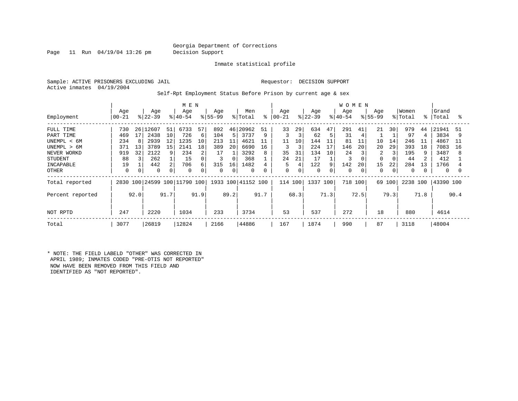Page 11 Run 04/19/04 13:26 pm Decision Support

Inmate statistical profile

Sample: ACTIVE PRISONERS EXCLUDING JAIL **Requestor: DECISION SUPPORT** Active inmates 04/19/2004

Self-Rpt Employment Status Before Prison by current age & sex

|                             |                  |          |                  |          |                         |         | <b>WOMEN</b>       |         |                    |          |                |         |                  |          |                  |      |                    |         |                  |             |                |         |
|-----------------------------|------------------|----------|------------------|----------|-------------------------|---------|--------------------|---------|--------------------|----------|----------------|---------|------------------|----------|------------------|------|--------------------|---------|------------------|-------------|----------------|---------|
| Employment                  | Age<br>$00 - 21$ |          | Age<br>$ 22-39 $ |          | Age<br>$ 40-54 $        |         | Age<br>$8155 - 99$ |         | Men<br>% Total     | နွ       | Age<br>  00-21 |         | Age<br>$ 22-39 $ |          | Age<br>$8 40-54$ |      | Age<br>$8155 - 99$ |         | Women<br>% Total | $\approx$ 1 | Grand<br>Total | °       |
| FULL TIME                   | 730              | 26       | 12607            | 51       | 6733                    | 57      | 892                | 46      | 20962              | 51       | 33             | 29      | 634              | 47       | 291              | 41   | 21                 | 30      | 979              | 44          | 21941          | -51     |
| PART TIME<br>UNEMPL < 6M    | 469<br>234       | 17       | 2438<br>2939     | 10<br>12 | 726<br>1235             | 6<br>10 | 104<br>213         | 5<br>11 | 3737<br>4621       | 9<br>11  | 11             | 3<br>10 | 62<br>144        | 5<br>11  | 31<br>81         | 11   | 10                 | 14      | 97<br>246        | 4<br>11     | 3834<br>4867   | 9<br>11 |
| UNEMPL > 6M<br>NEVER WORKD  | 371<br>919       | 13<br>32 | 3789<br>2122     | 15<br>9  | 2141<br>234             | 18<br>2 | 389<br>17          | 20      | 6690<br>3292       | 16<br>8  | 3<br>35        | 3<br>31 | 224<br>134       | 17<br>10 | 146<br>24        | 20   | 20<br>2            | 29<br>3 | 393<br>195       | 18<br>9     | 7083<br>3487   | 16<br>8 |
| <b>STUDENT</b><br>INCAPABLE | 88<br>19         |          | 262<br>442       | 2        | 15<br>706               | 0<br>б. | 3<br>315           | 16      | 368<br>1482        |          | 24<br>5        | 21      | 17<br>122        | 9        | 3<br>142         | 20   | 15                 | 22      | 44<br>284        | 2<br>13     | 412<br>1766    |         |
| OTHER                       | $\Omega$         |          | 0                |          | $\mathbf 0$             | 0       | $\overline{0}$     |         | 0                  | $\Omega$ | 0              | 0       | 0                | $\Omega$ | $\Omega$         |      | $\Omega$           | 0       | 0                |             | 0              |         |
| Total reported              | 2830             |          |                  |          | 100 24599 100 11790 100 |         |                    |         | 1933 100 41152 100 |          | 114 100        |         | 1337 100         |          | 718              | 100  |                    | 69 100  | 2238 100         |             | 43390 100      |         |
| Percent reported            |                  | 92.0     |                  | 91.7     |                         | 91.9    |                    | 89.2    |                    | 91.7     |                | 68.3    |                  | 71.3     |                  | 72.5 |                    | 79.3    |                  | 71.8        |                | 90.4    |
| NOT RPTD                    | 247              |          | 2220             |          | 1034                    |         | 233                |         | 3734               |          | 53             |         | 537              |          | 272              |      | 18                 |         | 880              |             | 4614           |         |
| Total                       | 3077             |          | 26819            |          | 12824                   |         | 2166               |         | 44886              |          | 167            |         | 1874             |          | 990              |      | 87                 |         | 3118             |             | 48004          |         |

\* NOTE: THE FIELD LABELD "OTHER" WAS CORRECTED IN APRIL 1989; INMATES CODED "PRE-OTIS NOT REPORTED" NOW HAVE BEEN REMOVED FROM THIS FIELD AND IDENTIFIED AS "NOT REPORTED".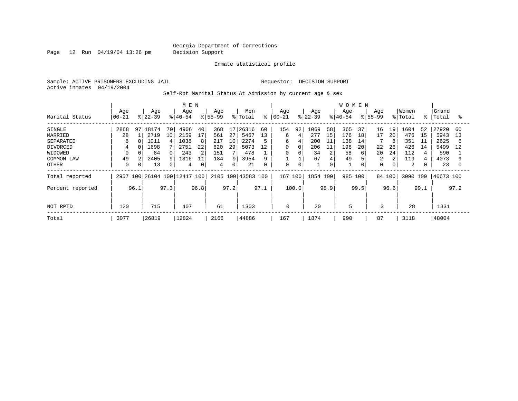Page 12 Run 04/19/04 13:26 pm Decision Support

Inmate statistical profile

Sample: ACTIVE PRISONERS EXCLUDING JAIL **Requestor: DECISION SUPPORT** Active inmates 04/19/2004

Self-Rpt Marital Status At Admission by current age & sex

|                  |           | M E N    |             |      |                         |             |             | <b>WOMEN</b> |                    |          |             |             |           |      |           |      |                |      |          |             |           |      |
|------------------|-----------|----------|-------------|------|-------------------------|-------------|-------------|--------------|--------------------|----------|-------------|-------------|-----------|------|-----------|------|----------------|------|----------|-------------|-----------|------|
|                  | Age       |          | Age         |      | Age                     |             | Age         |              | Men                |          | Age         |             | Age       |      | Age       |      | Age            |      | Women    |             | Grand     |      |
| Marital Status   | $00 - 21$ |          | $ 22 - 39 $ |      | $8 40-54$               |             | $8155 - 99$ |              | % Total            | နွ       | $ 00-21$    |             | $ 22-39 $ |      | $8 40-54$ |      | $8155 - 99$    |      | % Total  | $\approx$ 1 | Total     | °    |
| SINGLE           | 2868      | 97       | 18174       | 70   | 4906                    | 40          | 368         | 17           | 26316              | 60       | 154         | 92          | 1069      | 58   | 365       | 37   | 16             | 19   | 1604     | 52          | 27920     | -60  |
| MARRIED          | 28        |          | 2719        | 10   | 2159                    | 17          | 561         | 27           | 5467               | 13       | 6           | 4           | 277       | 15   | 176       | 18   | 17             | 20   | 476      | 15          | 5943      | 13   |
| SEPARATED        | 8         |          | 1011        |      | 1038                    | 8           | 217         | 10           | 2274               | 5        | 6           | 4           | 200       |      | 138       | 14   |                | 8    | 351      | 11          | 2625      | 6    |
| <b>DIVORCED</b>  | 4         |          | 1698        |      | 2751                    | 22          | 620         | 29           | 5073               | 12       | 0           | 0           | 206       | 11   | 198       | 20   | 22             | 26   | 426      | 14          | 5499      | 12   |
| WIDOWED          |           |          | 84          |      | 243                     | 2           | 151         |              | 478                |          | 0           | 0           | 34        | 2    | 58        | 6    | 20             | 24   | 112      |             | 590       |      |
| COMMON LAW       | 49        |          | 2405        |      | 1316                    | 11          | 184         | 9            | 3954               |          |             |             | 67        |      | 49        |      | $\overline{c}$ | 2    | 119      | 4           | 4073      |      |
| OTHER            | 0         | $\Omega$ | 13          |      | 4                       | $\mathbf 0$ | 4           | 0            | 21                 | $\Omega$ | $\mathbf 0$ | $\mathbf 0$ |           | 0    |           | 0    | $\mathbf 0$    | 0    | 2        |             | 23        |      |
| Total reported   | 2957      |          |             |      | 100 26104 100 12417 100 |             |             |              | 2105 100 43583 100 |          | 167         | 100         | 1854 100  |      | 985       | 100  | 84 100         |      | 3090 100 |             | 46673 100 |      |
| Percent reported |           | 96.1     |             | 97.3 |                         | 96.8        |             | 97.2         |                    | 97.1     |             | 100.0       |           | 98.9 |           | 99.5 |                | 96.6 |          | 99.1        |           | 97.2 |
|                  |           |          |             |      |                         |             |             |              |                    |          |             |             |           |      |           |      |                |      |          |             |           |      |
| NOT RPTD         | 120       |          | 715         |      | 407                     |             | 61          |              | 1303               |          | 0           |             | 20        |      | 5         |      | 3              |      | 28       |             | 1331      |      |
| Total            | 3077      |          | 26819       |      | 12824                   |             | 2166        |              | 44886              |          | 167         |             | 1874      |      | 990       |      | 87             |      | 3118     |             | 48004     |      |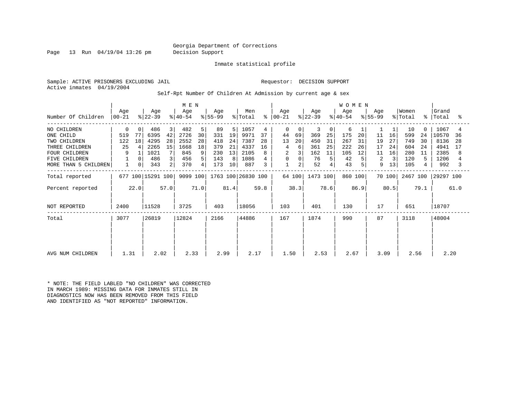Page 13 Run 04/19/04 13:26 pm Decision Support

Inmate statistical profile

Sample: ACTIVE PRISONERS EXCLUDING JAIL **Requestor: DECISION SUPPORT** Active inmates 04/19/2004

Self-Rpt Number Of Children At Admission by current age & sex

|                      |                  |          |                  |                | M E N            |      |                  |      |                    |      |                 |                |                  |             | WOMEN            |      |                  |        |                  |           |                |      |
|----------------------|------------------|----------|------------------|----------------|------------------|------|------------------|------|--------------------|------|-----------------|----------------|------------------|-------------|------------------|------|------------------|--------|------------------|-----------|----------------|------|
| Number Of Children   | Age<br>$00 - 21$ |          | Age<br>$ 22-39 $ |                | Age<br>$ 40-54 $ |      | Age<br>$ 55-99 $ |      | Men<br>% Total     | ႜ    | Aqe<br>$ 00-21$ |                | Age<br>$ 22-39 $ |             | Age<br>$ 40-54 $ |      | Aqe<br>$ 55-99 $ |        | Women<br>% Total | $\approx$ | Grand<br>Total | ႜ    |
| NO CHILDREN          | 0                | $\Omega$ | 486              | 3              | 482              | 5    | 89               | 5    | 1057               | 4    | 0               | $\Omega$       | 3                | $\mathbf 0$ | 6                |      |                  |        | 10               | $\Omega$  | 1067           |      |
| ONE CHILD            | 519              | 77       | 6395             | 42             | 2726             | 30   | 331              | 19   | 9971               | 37   | 44              | 69             | 369              | 25          | 175              | 20   | 11               | 16     | 599              | 24        | 10570          | 36   |
| TWO CHILDREN         | 122              | 18       | 4295             | 28             | 2552             | 28   | 418              | 24   | 7387               | 28   | 13              | 20             | 450              | 31          | 267              | 31   | 19               | 27     | 749              | 30        | 8136           | 28   |
| THREE CHILDREN       | 25               |          | 2265             | 15             | 1668             | 18   | 379              | 21   | 4337               | 16   | 4               | 6              | 361              | 25          | 222              | 26   | 17               | 24     | 604              | 24        | 4941           | 17   |
| <b>FOUR CHILDREN</b> | 9                |          | 1021             |                | 845              | 9    | 230              | 13   | 2105               |      |                 |                | 162              | 11          | 105              | 12   | 11               | 16     | 280              | 11        | 2385           | 8    |
| <b>FIVE CHILDREN</b> |                  | $\Omega$ | 486              | 3              | 456              | 5    | 143              | 8    | 1086               |      | 0               |                | 76               |             | 42               |      | 2                | 3      | 120              | 5.        | 1206           |      |
| MORE THAN 5 CHILDREN |                  | 0        | 343              | 2 <sub>1</sub> | 370              | 4    | 173              | 10   | 887                | 3    | $\mathbf{1}$    | $\overline{a}$ | 52               |             | 43               |      | 9                | 13     | 105              | 4         | 992            |      |
| Total reported       | 677              |          | 100 15291 100    |                | 9099 100         |      |                  |      | 1763 100 26830 100 |      |                 | 64 100         | 1473 100         |             | 860 100          |      |                  | 70 100 | 2467 100         |           | 29297 100      |      |
| Percent reported     |                  | 22.0     |                  | 57.0           |                  | 71.0 |                  | 81.4 |                    | 59.8 |                 | 38.3           |                  | 78.6        |                  | 86.9 |                  | 80.5   |                  | 79.1      |                | 61.0 |
| NOT REPORTED         | 2400             |          | 11528            |                | 3725             |      | 403              |      | 18056              |      | 103             |                | 401              |             | 130              |      | 17               |        | 651              |           | 18707          |      |
| Total                | 3077             |          | 26819            |                | 12824            |      | 2166             |      | 44886              |      | 167             |                | 1874             |             | 990              |      | 87               |        | 3118             |           | 48004          |      |
|                      |                  |          |                  |                |                  |      |                  |      |                    |      |                 |                |                  |             |                  |      |                  |        |                  |           |                |      |
| AVG NUM CHILDREN     | 1.31             |          | 2.02             |                | 2.33             |      | 2.99             |      | 2.17               |      | 1.50            |                | 2.53             |             | 2.67             |      | 3.09             |        | 2.56             |           | 2.20           |      |

\* NOTE: THE FIELD LABLED "NO CHILDREN" WAS CORRECTED IN MARCH 1989: MISSING DATA FOR INMATES STILL IN DIAGNOSTICS NOW HAS BEEN REMOVED FROM THIS FIELD AND IDENTIFIED AS "NOT REPORTED" INFORMATION.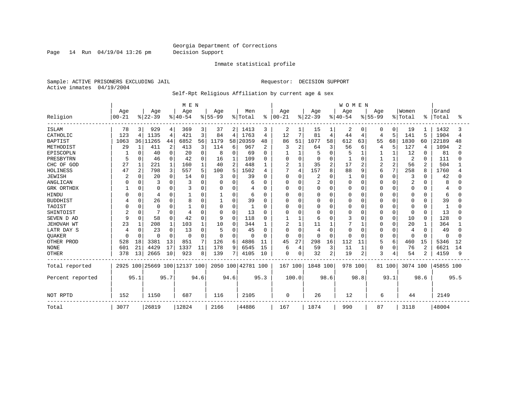Page 14 Run 04/19/04 13:26 pm Decision Support

#### Inmate statistical profile

Sample: ACTIVE PRISONERS EXCLUDING JAIL **Requestor: DECISION SUPPORT** Active inmates 04/19/2004

#### Self-Rpt Religious Affiliation by current age & sex

|                  |           |              |                |          | M E N                        |                |           |                |                    |      |               |                |           |                | <b>WOMEN</b> |                |                |                |          |                |           |      |
|------------------|-----------|--------------|----------------|----------|------------------------------|----------------|-----------|----------------|--------------------|------|---------------|----------------|-----------|----------------|--------------|----------------|----------------|----------------|----------|----------------|-----------|------|
|                  | Age       |              | Age            |          | Age                          |                | Age       |                | Men                |      | Age           |                | Age       |                | Age          |                | Age            |                | Women    |                | Grand     |      |
| Religion         | $00 - 21$ |              | $8 22-39$      |          | $ 40-54$                     |                | $8 55-99$ |                | % Total            |      | $8   00 - 21$ |                | $8 22-39$ |                | $ 40-54$     |                | $8155 - 99$    |                | % Total  | ႜ              | Total     | °    |
| <b>ISLAM</b>     | 78        | 3            | 929            | 4        | 369                          | 3 <sup>1</sup> | 37        | 2              | 1413               | 3    | 2             |                | 15        | ı              | 2            | 0              | 0              | $\Omega$       | 19       |                | 1432      |      |
| CATHOLIC         | 123       | 4            | 1135           | 4        | 421                          | 3              | 84        | 4              | 1763               | 4    | 12            | 7              | 81        | 4              | 44           | 4              | 4              | 5              | 141      | .5             | 1904      | 4    |
| <b>BAPTIST</b>   | 1063      |              | 36 11265       | 44       | 6852                         | 56             | 1179      | 58             | 20359              | 48   | 86            | 51             | 1077      | 58             | 612          | 63             | 55             | 68             | 1830     | 60             | 22189     | 48   |
| METHODIST        | 29        | 1            | 411            | 2        | 413                          | 3              | 114       | 6              | 967                | 2    | 3             | 2              | 64        | 3              | 56           | 6              | 4              | 5              | 127      | $\overline{4}$ | 1094      | 2    |
| EPISCOPLN        |           | <sup>0</sup> | 40             | 0        | 20                           | 0              | 8         | 0              | 69                 | 0    |               | $\mathbf{1}$   |           | 0              |              |                |                |                | 12       | $\mathbf 0$    | 81        |      |
| PRESBYTRN        | 5         | 0            | 46             | $\Omega$ | 42                           | $\Omega$       | 16        |                | 109                | 0    | 0             | $\mathbf 0$    |           | $\Omega$       |              | $\Omega$       |                |                | 2        | 0              | 111       |      |
| CHC OF GOD       | 27        | 1            | 221            |          | 160                          |                | 40        | $\overline{a}$ | 448                |      | 2             | $\mathbf{1}$   | 35        | $\overline{c}$ | 17           | 2              | $\overline{c}$ | $\overline{a}$ | 56       | 2              | 504       |      |
| HOLINESS         | 47        | 2            | 798            | 3        | 557                          | 5              | 100       | 5              | 1502               | 4    | 7             | $\overline{4}$ | 157       | 8              | 88           | 9              | 6              | 7              | 258      | 8              | 1760      |      |
| <b>JEWISH</b>    |           | <sup>0</sup> | 20             | $\Omega$ | 14                           | 0              | 3         | O              | 39                 | O    | $\Omega$      | $\mathbf 0$    | 2         | 0              |              | $\Omega$       | U              | $\Omega$       | 3        | 0              | 42        |      |
| ANGLICAN         |           | O            |                |          |                              |                | 0         | 0              | 6                  | O    | <sup>0</sup>  | $\mathbf 0$    | 2         | 0              |              | $\Omega$       |                | $\Omega$       | 2        | $\Omega$       | 8         |      |
| GRK ORTHDX       |           | 0            | $\Omega$       | $\Omega$ |                              |                | 0         | 0              | 4                  | 0    | <sup>0</sup>  | 0              |           | 0              | O            | 0              | O              | $\Omega$       | 0        | $\Omega$       | 4         |      |
| <b>HINDU</b>     |           | 0            | $\overline{4}$ |          |                              |                |           | 0              | 6                  | 0    | 0             | $\Omega$       |           | $\Omega$       |              | 0              |                | $\Omega$       | 0        | 0              | 6         |      |
| <b>BUDDHIST</b>  |           | 0            | 26             | $\Omega$ | 8                            |                |           | 0              | 39                 | 0    |               | $\Omega$       |           | $\Omega$       |              | $\Omega$       |                | $\Omega$       | 0        | $\Omega$       | 39        |      |
| TAOIST           |           | $\Omega$     | $\Omega$       |          |                              |                | 0         | 0              |                    | O    | <sup>0</sup>  | $\Omega$       |           | $\cap$         |              | $\Omega$       | O              | $\Omega$       | 0        | $\Omega$       | 1         |      |
| SHINTOIST        |           | $\Omega$     |                |          |                              | $\cap$         | 0         | O              | 13                 | O    | O             | $\Omega$       |           | $\Omega$       |              | $\Omega$       | U              | $\Omega$       | 0        | $\Omega$       | 13        |      |
| SEVEN D AD       | 9         | $\Omega$     | 58             |          | 42                           | $\Omega$       | q         | $\Omega$       | 118                | O    |               | $\mathbf{1}$   | 6         | $\Omega$       |              | $\Omega$       | O              | $\Omega$       | 10       | 0              | 128       |      |
| JEHOVAH WT       | 23        | 1            | 208            |          | 103                          |                | 10        | O              | 344                |      | 2             | $\mathbf{1}$   | 11        |                |              |                |                | $\Omega$       | 20       |                | 364       |      |
| LATR DAY S       |           | O            | 23             |          | 13                           | 0              | 5         | 0              | 45                 | 0    | $\Omega$      | 0              |           | $\Omega$       |              | $\Omega$       | 0              | O              | 4        | $\Omega$       | 49        |      |
| QUAKER           | n         | $\Omega$     | ∩              | $\Omega$ | $\Omega$                     | $\Omega$       | 0         | $\Omega$       | <sup>0</sup>       | 0    | n             | $\Omega$       | n         | $\Omega$       |              | $\Omega$       | O              | $\Omega$       | $\Omega$ | $\Omega$       | $\Omega$  |      |
| OTHER PROD       | 528       | 18           | 3381           | 13       | 851                          | 7              | 126       | 6              | 4886               | 11   | 45            | 27             | 298       | 16             | 112          | 11             | 5              | 6              | 460      | 15             | 5346      | 12   |
| <b>NONE</b>      | 601       | 21           | 4429           | 17       | 1337                         | 11             | 178       | 9              | 6545               | 15   | 6             | $\overline{4}$ | 59        | 3              | 11           | $\mathbf{1}$   | 0              | 0              | 76       | $\overline{c}$ | 6621      | 14   |
| <b>OTHER</b>     | 378       | 13           | 2665           | 10       | 923                          | 8              | 139       |                | 4105               | 10   | 0             | 0              | 32        | 2              | 19           | $\overline{2}$ | 3              | 4              | 54       | 2              | 4159      | 9    |
| Total reported   |           |              |                |          | 2925 100 25669 100 12137 100 |                |           |                | 2050 100 42781 100 |      | 167 100       |                | 1848 100  |                | 978 100      |                |                | 81 100         | 3074 100 |                | 45855 100 |      |
| Percent reported |           | 95.1         |                | 95.7     |                              | 94.6           |           | 94.6           |                    | 95.3 |               | 100.0          |           | 98.6           |              | 98.8           |                | 93.1           |          | 98.6           |           | 95.5 |
| NOT RPTD         | 152       |              | 1150           |          | 687                          |                | 116       |                | 2105               |      | 0             |                | 26        |                | 12           |                | 6              |                | 44       |                | 2149      |      |
| Total            | 3077      |              | 26819          |          | 12824                        |                | 2166      |                | 44886              |      | 167           |                | 1874      |                | 990          |                | 87             |                | 3118     |                | 48004     |      |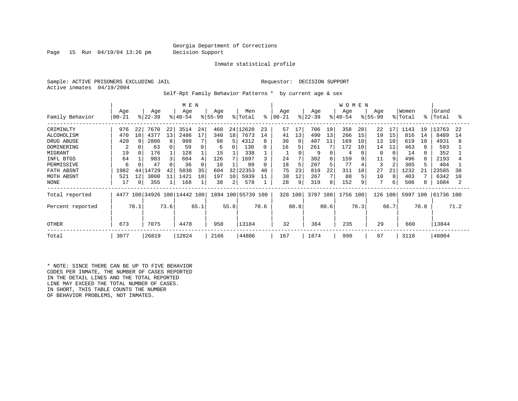Page 15 Run 04/19/04 13:26 pm Decision Support

Inmate statistical profile

Sample: ACTIVE PRISONERS EXCLUDING JAIL REGUESTOR: DECISION SUPPORT Active inmates 04/19/2004

Self-Rpt Family Behavior Patterns \* by current age & sex

|                                                                                                                       | M E N                                                  |                           |                                                                 |                           |                                                               |                                       |                                                        |                                  |                                                                       |                                     |                                              |                                     |                                                           |                                          | <b>WOMEN</b>                                            |                                      |                                                         |                                      |                                                              |                      |                                                                     |                      |
|-----------------------------------------------------------------------------------------------------------------------|--------------------------------------------------------|---------------------------|-----------------------------------------------------------------|---------------------------|---------------------------------------------------------------|---------------------------------------|--------------------------------------------------------|----------------------------------|-----------------------------------------------------------------------|-------------------------------------|----------------------------------------------|-------------------------------------|-----------------------------------------------------------|------------------------------------------|---------------------------------------------------------|--------------------------------------|---------------------------------------------------------|--------------------------------------|--------------------------------------------------------------|----------------------|---------------------------------------------------------------------|----------------------|
| Family Behavior                                                                                                       | Age<br>$00 - 21$                                       |                           | Age<br>$ 22 - 39 $                                              |                           | Age<br>$ 40-54 $                                              |                                       | Age<br>$8155 - 99$                                     |                                  | Men<br>% Total                                                        | ៖                                   | Age<br>  00-21                               |                                     | Age<br>$ 22-39 $                                          |                                          | Age<br>$ 40-54 $                                        |                                      | Age<br>$8155 - 99$                                      |                                      | Women<br>% Total                                             | °≈                   | Grand<br>Total                                                      | ႜ                    |
| CRIMINLTY<br>ALCOHOLISM<br>DRUG ABUSE<br>DOMINERING<br>MIGRANT<br>INFL BTGS<br>PERMISSIVE<br>FATH ABSNT<br>MOTH ABSNT | 976<br>470<br>420<br>2<br>19<br>64<br>6<br>1982<br>521 | 22<br>10<br>9<br>44<br>12 | 7670<br>4377<br>2806<br>63<br>176<br>903<br>47<br>14729<br>3800 | 22<br>13<br>8<br>42<br>11 | 3514<br>2486<br>988<br>59<br>128<br>604<br>36<br>5038<br>1421 | 24<br>17<br>4<br>$\Omega$<br>35<br>10 | 460<br>340<br>98<br>6<br>15<br>126<br>10<br>604<br>197 | 18<br>5<br>32<br>10 <sup>1</sup> | 24 12620<br>7673<br>4312<br>130<br>338<br>1697<br>99<br>22353<br>5939 | 23<br>14<br>8<br>0<br>0<br>40<br>11 | 57<br>41<br>30<br>16<br>24<br>18<br>75<br>38 | 17<br>13<br>9<br>5<br>5<br>23<br>12 | 706<br>490<br>407<br>261<br>9<br>302<br>207<br>819<br>267 | 19<br>13<br>11<br>7<br>8<br>5<br>22<br>7 | 358<br>266<br>169<br>172<br>4<br>159<br>77<br>311<br>88 | 20<br>15<br>10<br>10<br>9<br>18<br>5 | 22<br>19<br>13<br>14<br>$\Omega$<br>11<br>3<br>27<br>10 | 17<br>15<br>10<br>11<br>9<br>21<br>8 | 1143<br>816<br>619<br>463<br>14<br>496<br>305<br>1232<br>403 | 19<br>14<br>10<br>21 | 13763<br>8489<br>4931<br>593<br>352<br>2193<br>404<br>23585<br>6342 | 22<br>14<br>38<br>10 |
| NONE<br>Total reported<br>Percent reported<br><b>OTHER</b>                                                            | 17<br>4477<br>673                                      | $\overline{0}$<br>78.1    | 355<br>7075                                                     | 73.6                      | 168<br>100 34926 100 14442 100<br>4478                        | 65.1                                  | 38<br>958                                              | 2<br>55.8                        | 578<br>1894 100 55739 100<br>13184                                    | 70.6                                | 28<br>328 100<br>32                          | 9<br>80.8                           | 319<br>3787 100<br>364                                    | 8<br>80.6                                | 152<br>1756 100<br>235                                  | 9<br>76.3                            | 126<br>29                                               | 6<br>100<br>66.7                     | 506<br>5997<br>660                                           | 100<br>78.8          | 1084<br>61736 100<br>13844                                          | 71.2                 |
| Total                                                                                                                 | 3077                                                   |                           | 26819                                                           |                           | 12824                                                         |                                       | 2166                                                   |                                  | 44886                                                                 |                                     | 167                                          |                                     | 1874                                                      |                                          | 990                                                     |                                      | 87                                                      |                                      | 3118                                                         |                      | 48004                                                               |                      |

\* NOTE: SINCE THERE CAN BE UP TO FIVE BEHAVIOR CODES PER INMATE, THE NUMBER OF CASES REPORTED IN THE DETAIL LINES AND THE TOTAL REPORTED LINE MAY EXCEED THE TOTAL NUMBER OF CASES. IN SHORT, THIS TABLE COUNTS THE NUMBER OF BEHAVIOR PROBLEMS, NOT INMATES.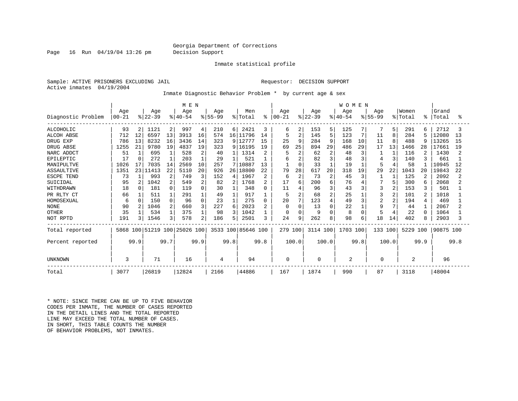Page 16 Run 04/19/04 13:26 pm Decision Support

Inmate statistical profile

Sample: ACTIVE PRISONERS EXCLUDING JAIL **Requestor: DECISION SUPPORT** Active inmates 04/19/2004

Inmate Diagnostic Behavior Problem \* by current age & sex

|                    | M E N     |          |           |                |                         |          |           |                 |                    |                |          |                |           |                | <b>WOMEN</b> |          |                |                |         |      |           |      |
|--------------------|-----------|----------|-----------|----------------|-------------------------|----------|-----------|-----------------|--------------------|----------------|----------|----------------|-----------|----------------|--------------|----------|----------------|----------------|---------|------|-----------|------|
|                    | Age       |          | Age       |                | Age                     |          | Age       |                 | Men                |                | Age      |                | Age       |                | Age          |          | Age            |                | Women   |      | Grand     |      |
| Diagnostic Problem | $00 - 21$ |          | $ 22-39 $ |                | $ 40-54$                |          | $8 55-99$ |                 | % Total            | ိ              | $ 00-21$ |                | $ 22-39 $ |                | $ 40-54$     |          | $8155 - 99$    |                | % Total | ႜ    | Total     | °    |
| <b>ALCOHOLIC</b>   | 93        | 2        | 1121      | $\overline{2}$ | 997                     | 4        | 210       | 6               | 2421               | 3              | 6        | 2              | 153       | 5              | 125          |          |                | 5              | 291     | 6    | 2712      |      |
| <b>ALCOH ABSE</b>  | 712       | 12       | 6597      | 13             | 3913                    | 16       | 574       | 16 <sup>1</sup> | 11796              | 14             | 5        | $\overline{2}$ | 145       | 5              | 123          | 7        | 11             | 8              | 284     | 5    | 12080     | 13   |
| DRUG EXP           | 786       | 13       | 8232      | 16             | 3436                    | 14       | 323       | 9               | 12777              | 15             | 25       | 9              | 284       | 9              | 168          | 10       | 11             | 8              | 488     | 9    | 13265     | 15   |
| DRUG ABSE          | 1255      | 21       | 9780      | 19             | 4837                    | 19       | 323       | 9 <sup>1</sup>  | 16195              | 19             | 69       | 25             | 894       | 29             | 486          | 29       | 17             | 13             | 1466    | 28   | 17661     | 19   |
| NARC ADDCT         | 51        |          | 695       |                | 528                     | 2        | 40        |                 | 1314               | $\overline{2}$ |          |                | 62        | 2              | 48           | 3        |                |                | 116     |      | 1430      |      |
| EPILEPTIC          | 17        | $\Omega$ | 272       |                | 203                     |          | 29        |                 | 521                |                | 6        |                | 82        | 3              | 48           | 3        |                | 3              | 140     |      | 661       |      |
| MANIPULTVE         | 1026      | 17       | 7035      | 14             | 2569                    | 10       | 257       |                 | 10887              | 13             |          | $\Omega$       | 33        |                | 19           |          | 5              |                | 58      |      | 10945     | 12   |
| ASSAULTIVE         | 1351      |          | 23 11413  | 22             | 5110                    | 20       | 926       |                 | 26 18800           | 22             | 79       | 28             | 617       | 20             | 318          | 19       | 29             | 22             | 1043    | 20   | 19843     | 22   |
| ESCPE TEND         | 73        |          | 993       | 2              | 749                     | 3        | 152       | 4               | 1967               | $\overline{2}$ | 6        | $\overline{2}$ | 73        | $\overline{2}$ | 45           | 3        |                |                | 125     | 2    | 2092      |      |
| SUICIDAL           | 95        |          | 1042      | 2              | 549                     | 2        | 82        | 2               | 1768               | 2              | 17       | 6              | 200       | 6              | 76           |          |                | 5              | 300     | 6    | 2068      |      |
| WITHDRAWN          | 18        |          | 181       | 0              | 119                     | $\Omega$ | 30        |                 | 348                | U              | 11       |                | 96        | 3              | 43           | 3        | 3              | 2              | 153     | 3    | 501       |      |
| PR RLTY CT         | 66        |          | 511       |                | 291                     |          | 49        |                 | 917                |                | 5        | 2              | 68        | $\overline{a}$ | 25           |          | 3              | 2              | 101     | 2    | 1018      |      |
| HOMOSEXUAL         | 6         | $\Omega$ | 150       | $\cap$         | 96                      | $\Omega$ | 23        |                 | 275                | $\Omega$       | 20       | 7              | 123       | 4              | 49           | 3        | $\overline{2}$ | $\overline{a}$ | 194     | 4    | 469       |      |
| <b>NONE</b>        | 90        |          | 1046      | 2              | 660                     | 3        | 227       | 6               | 2023               | $\overline{2}$ | $\Omega$ | $\Omega$       | 13        | $\Omega$       | 22           |          | 9              | 7              | 44      |      | 2067      |      |
| <b>OTHER</b>       | 35        |          | 534       |                | 375                     |          | 98        | ζ               | 1042               |                | $\Omega$ | $\Omega$       | 9         | $\Omega$       | 8            | $\Omega$ | 5              | 4              | 22      |      | 1064      |      |
| NOT RPTD           | 191       |          | 1546      | 3              | 578                     | 2        | 186       | 5               | 2501               | 3              | 24       | 9              | 262       | 8              | 98           | 6        | 18             | 14             | 402     | 8    | 2903      |      |
| Total reported     | 5868      |          |           |                | 100 51219 100 25026 100 |          |           |                 | 3533 100 85646 100 |                | 279 100  |                | 3114 100  |                | 1703 100     |          | 133 100        |                | 5229    | 100  | 90875 100 |      |
| Percent reported   |           | 99.9     |           | 99.7           |                         | 99.9     |           | 99.8            |                    | 99.8           |          | 100.0          |           | 100.0          |              | 99.8     |                | 100.0          |         | 99.9 |           | 99.8 |
| UNKNOWN            | 3         |          | 71        |                | 16                      |          | 4         |                 | 94                 |                | 0        |                | U         |                | 2            |          | O              |                | 2       |      | 96        |      |
| Total              | 3077      |          | 26819     |                | 12824                   |          | 2166      |                 | 44886              |                | 167      |                | 1874      |                | 990          |          | 87             |                | 3118    |      | 48004     |      |

\* NOTE: SINCE THERE CAN BE UP TO FIVE BEHAVIOR CODES PER INMATE, THE NUMBER OF CASES REPORTED IN THE DETAIL LINES AND THE TOTAL REPORTED LINE MAY EXCEED THE TOTAL NUMBER OF CASES. IN SHORT, THIS TABLE COUNTS THE NUMBER OF BEHAVIOR PROBLEMS, NOT INMATES.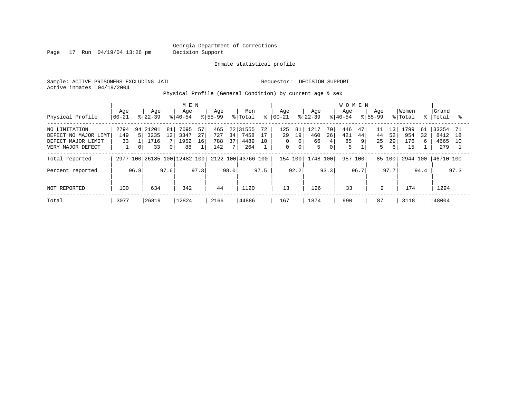Page 17 Run 04/19/04 13:26 pm Decision Support

Inmate statistical profile

Sample: ACTIVE PRISONERS EXCLUDING JAIL **Requestor: DECISION SUPPORT** Active inmates 04/19/2004

Physical Profile (General Condition) by current age & sex

|                                                                                  |                   |                                               | M E N                                                         |                                      |                                                   |                                                      |                                                        | <b>WOMEN</b>                           |                                                          |                                           |                                                 |
|----------------------------------------------------------------------------------|-------------------|-----------------------------------------------|---------------------------------------------------------------|--------------------------------------|---------------------------------------------------|------------------------------------------------------|--------------------------------------------------------|----------------------------------------|----------------------------------------------------------|-------------------------------------------|-------------------------------------------------|
| Physical Profile                                                                 | Age<br>$00 - 21$  | Age<br>$ 22-39 $                              | Age<br>$8 40-54$                                              | Age<br>$8155 - 99$                   | Men<br>% Total<br>°                               | Age<br>$ 00-21 $                                     | Age<br>$ 22-39 $                                       | Age<br>$8 40-54$                       | Age<br>$ 55 - 99 $                                       | Women<br>% Total                          | Grand<br>%   Total                              |
| NO LIMITATION<br>DEFECT NO MAJOR LIMT<br>DEFECT MAJOR LIMIT<br>VERY MAJOR DEFECT | 2794<br>149<br>33 | 21201<br>94<br>3235<br>1716<br>33<br>$\Omega$ | 57<br>7095<br>81<br>27<br>3347<br>12<br>16<br>1952<br>88<br>0 | 465<br>727<br>34<br>788<br>37<br>142 | 22 31555<br>72<br>7458<br>17<br>4489<br>10<br>264 | 125<br>81<br>29<br>19<br>0<br>01<br>$\mathbf 0$<br>0 | 1217<br>70<br>460<br>26<br>66<br>4<br>5<br>$\mathbf 0$ | 47<br>446<br>421<br>44<br>85<br>9<br>5 | 13'<br>11<br>44<br>52<br>25<br>29<br>5<br>6 <sup>1</sup> | 1799<br>61<br>954<br>32<br>176<br>6<br>15 | 33354<br>-71<br>8412<br>18<br>4665<br>10<br>279 |
| Total reported                                                                   | 2977              |                                               | 100 26185 100 12482 100                                       |                                      | 2122 100 43766 100                                | 154 100                                              | 1748 100                                               | 957<br>100                             | 85 100                                                   | 2944 100                                  | 46710 100                                       |
| Percent reported                                                                 | 96.8              |                                               | 97.6<br>97.3                                                  | 98.0                                 | 97.5                                              | 92.2                                                 | 93.3                                                   | 96.7                                   | 97.7                                                     | 94.4                                      | 97.3                                            |
| NOT REPORTED                                                                     | 100               | 634                                           | 342                                                           | 44                                   | 1120                                              | 13                                                   | 126                                                    | 33                                     | 2                                                        | 174                                       | 1294                                            |
| Total                                                                            | 3077              | 26819                                         | 12824                                                         | 2166                                 | 44886                                             | 167                                                  | 1874                                                   | 990                                    | 87                                                       | 3118                                      | 48004                                           |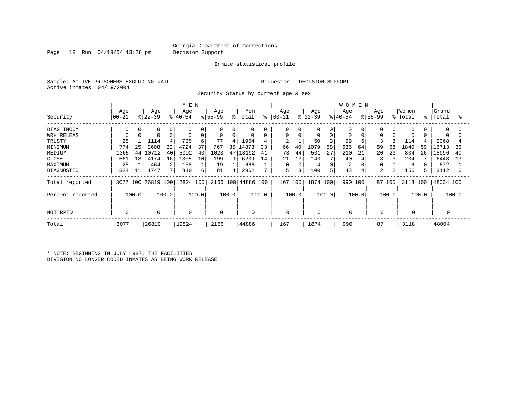Page 18 Run 04/19/04 13:26 pm Decision Support

#### Inmate statistical profile

Sample: ACTIVE PRISONERS EXCLUDING JAIL **Requestor: DECISION SUPPORT** Active inmates 04/19/2004

Security Status by current age & sex

|                  |                  |       |                  |       | M E N                        |       |                 |       |                    |       |                 |       |                  |             | <b>WOMEN</b>     |       |                 |          |                  |       |                |       |
|------------------|------------------|-------|------------------|-------|------------------------------|-------|-----------------|-------|--------------------|-------|-----------------|-------|------------------|-------------|------------------|-------|-----------------|----------|------------------|-------|----------------|-------|
| Security         | Age<br>$ 00-21 $ |       | Age<br>$ 22-39 $ |       | Age<br>$ 40-54 $             |       | Age<br>$ 55-99$ |       | Men<br>% Total     | ి     | Age<br>$ 00-21$ |       | Age<br>$ 22-39 $ |             | Age<br>$8 40-54$ |       | Age<br>$ 55-99$ |          | Women<br>% Total | °     | Grand<br>Total | °≈    |
| DIAG INCOM       | 0                | 0     | $\Omega$         | 0     | 0                            | 0     | 0               | 0     | 0                  |       | 0               | 0     | 0                | 0           | 0                |       | $\Omega$        | $\Omega$ | 0                |       | $\Omega$       | 0     |
| WRK RELEAS       | 0                |       | $\Omega$         | 0     | $\mathbf 0$                  | 0     | $\mathbf 0$     | 0     | $\mathbf 0$        | 0     | 0               | 0     | 0                | $\mathbf 0$ | 0                |       | 0               |          | 0                |       | 0              |       |
| TRUSTY           | 28               |       | 1114             |       | 735                          | 6     | 77              | 4     | 1954               | 4     | $\overline{2}$  |       | 50               |             | 59               | 6     | 3               |          | 114              |       | 2068           |       |
| MINIMUM          | 774              | 25    | 8608             | 32    | 4724                         | 37    | 767             | 35    | 14873              | 33    | 66              | 40    | 1079             | 58          | 636              | 64    | 59              | 68       | 1840             | 59    | 16713          | 35    |
| MEDIUM           | 1365             | 44    | 10712            | 40    | 5092                         | 40    | 1023            | 47    | 18192              | 41    | 73              | 44    | 501              | 27          | 210              | 21    | 20              | 23       | 804              | 26    | 18996          | 40    |
| CLOSE            | 561              | 18    | 4174             | 16    | 1305                         | 10    | 199             | 9     | 6239               | 14    | 21              | 13    | 140              | 7           | 40               |       | 3               |          | 204              |       | 6443           | 13    |
| MAXIMUM          | 25               |       | 464              | 2     | 158                          |       | 19              |       | 666                |       | 0               |       | 4                | $\Omega$    | 2                |       |                 |          | 6                |       | 672            |       |
| DIAGNOSTIC       | 324              | 11    | 1747             |       | 810                          | 6     | 81              | 4     | 2962               | 7     | 5               | 3     | 100              | 5           | 43               |       | $\overline{2}$  | 2        | 150              |       | 3112           | 6     |
| Total reported   |                  |       |                  |       | 3077 100 26819 100 12824 100 |       |                 |       | 2166 100 44886 100 |       | 167 100         |       | 1874 100         |             | 990 100          |       |                 | 87 100   | 3118             | 100   | 48004 100      |       |
| Percent reported |                  | 100.0 |                  | 100.0 |                              | 100.0 |                 | 100.0 |                    | 100.0 |                 | 100.0 |                  | 100.0       |                  | 100.0 |                 | 100.0    |                  | 100.0 |                | 100.0 |
| NOT RPTD         | $\Omega$         |       | $\mathbf 0$      |       | $\mathbf 0$                  |       | 0               |       | $\mathbf 0$        |       | $\mathbf 0$     |       | 0                |             |                  |       | $\mathbf 0$     |          | 0                |       |                |       |
| Total            | 3077             |       | 26819            |       | 12824                        |       | 2166            |       | 44886              |       | 167             |       | 1874             |             | 990              |       | 87              |          | 3118             |       | 48004          |       |

\* NOTE: BEGINNING IN JULY 1987, THE FACILITIES DIVISION NO LONGER CODED INMATES AS BEING WORK RELEASE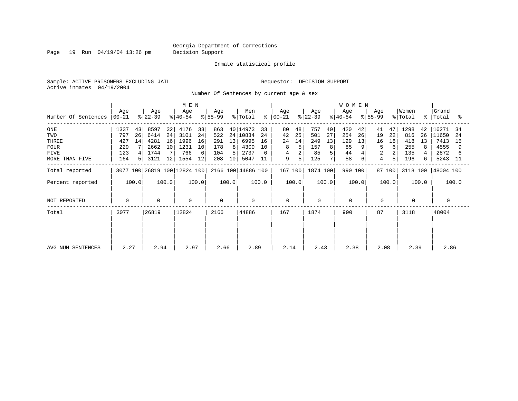Page 19 Run 04/19/04 13:26 pm Decision Support

#### Inmate statistical profile

Sample: ACTIVE PRISONERS EXCLUDING JAIL **Requestor: DECISION SUPPORT** Active inmates 04/19/2004

Number Of Sentences by current age & sex

|                     |                  |       |                  | M E N |                              |       |                  |                 |                    |       |                  |       |                  | <b>WOMEN</b>   |                  |       |                    |        |                  |       |                    |       |
|---------------------|------------------|-------|------------------|-------|------------------------------|-------|------------------|-----------------|--------------------|-------|------------------|-------|------------------|----------------|------------------|-------|--------------------|--------|------------------|-------|--------------------|-------|
| Number Of Sentences | Age<br>$ 00-21 $ |       | Age<br>$ 22-39 $ |       | Age<br>୫∣40-54               |       | Age<br>$8 55-99$ |                 | Men<br>% Total     | ႜ     | Age<br>$ 00-21 $ |       | Age<br>$ 22-39 $ |                | Age<br>$ 40-54 $ |       | Age<br>$8155 - 99$ |        | Women<br>% Total |       | Grand<br>%   Total | ႜ     |
| $_{\rm ONE}$        | 1337             | 43    | 8597             | 32    | 4176                         | 33    | 863              |                 | 40 14973           | 33    | 80               | 48    | 757              | 40             | 420              | 42    | 41                 | 47     | 1298             | 42    | 16271              | -34   |
| TWO                 | 797              | 26    | 6414             | 24    | 3101                         | 24    | 522              |                 | 24 10834           | 24    | 42               | 25    | 501              | 27             | 254              | 26    | 19                 | 22     | 816              | 26    | 11650              | -24   |
| THREE               | 427              | 14    | 4281             | 16    | 1996                         | 16    | 291              | 13              | 6995               | 16    | 24               | 14    | 249              | 13             | 129              | 13    | 16                 | 18     | 418              | 13    | 7413               | 15    |
| <b>FOUR</b>         | 229              |       | 2662             | 10    | 1231                         | 10    | 178              | 8               | 4300               | 10    | 8                |       | 157              | 8 <sup>1</sup> | 85               | 9     | 5                  | 6      | 255              | 8     | 4555               |       |
| <b>FIVE</b>         | 123              | 4 I   | 1744             |       | 766                          | 6     | 104              | 5               | 2737               |       | 4                |       | 85               |                | 44               |       | 2                  |        | 135              |       | 2872               |       |
| MORE THAN FIVE      | 164              | 5     | 3121             | 12    | 1554                         | 12    | 208              | 10 <sup>1</sup> | 5047               | 11    | 9                | 5     | 125              |                | 58               | 6     | 4                  | 5      | 196              | 6     | 5243               | -11   |
| Total reported      |                  |       |                  |       | 3077 100 26819 100 12824 100 |       |                  |                 | 2166 100 44886 100 |       | 167 100          |       | 1874 100         |                | 990 100          |       |                    | 87 100 | 3118 100         |       | 48004 100          |       |
| Percent reported    |                  | 100.0 |                  | 100.0 |                              | 100.0 |                  | 100.0           |                    | 100.0 |                  | 100.0 |                  | 100.0          |                  | 100.0 |                    | 100.0  |                  | 100.0 |                    | 100.0 |
| NOT REPORTED        | 0                |       | $\Omega$         |       | 0                            |       | $\Omega$         |                 | $\mathbf 0$        |       | $\mathbf 0$      |       | $\Omega$         |                | $\Omega$         |       | 0                  |        |                  |       | 0                  |       |
| Total               | 3077             |       | 26819            |       | 12824                        |       | 2166             |                 | 44886              |       | 167              |       | 1874             |                | 990              |       | 87                 |        | 3118             |       | 48004              |       |
|                     |                  |       |                  |       |                              |       |                  |                 |                    |       |                  |       |                  |                |                  |       |                    |        |                  |       |                    |       |
|                     |                  |       |                  |       |                              |       |                  |                 |                    |       |                  |       |                  |                |                  |       |                    |        |                  |       |                    |       |
| AVG NUM SENTENCES   | 2.27             |       | 2.94             |       | 2.97                         |       | 2.66             |                 | 2.89               |       | 2.14             |       | 2.43             |                | 2.38             |       | 2.08               |        | 2.39             |       | 2.86               |       |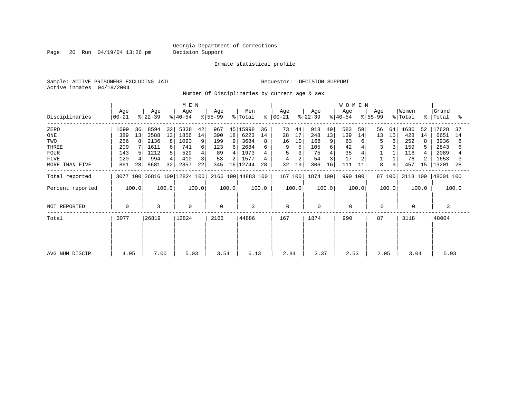Page 20 Run 04/19/04 13:26 pm Decision Support

Inmate statistical profile

Sample: ACTIVE PRISONERS EXCLUDING JAIL **Requestor: DECISION SUPPORT** Active inmates 04/19/2004

Number Of Disciplinaries by current age & sex

|                  | M E N            |       |                  |       |                              |       |                  |                 |                    |       |                   |       |                  | WOMEN          |                  |       |                  |        |                  |       |                    |       |
|------------------|------------------|-------|------------------|-------|------------------------------|-------|------------------|-----------------|--------------------|-------|-------------------|-------|------------------|----------------|------------------|-------|------------------|--------|------------------|-------|--------------------|-------|
| Disciplinaries   | Age<br>$00 - 21$ |       | Age<br>$ 22-39 $ |       | Age<br>$ 40-54 $             |       | Age<br>$ 55-99 $ |                 | Men<br>% Total     | ွေ    | Age<br>$ 00 - 21$ |       | Age<br>$ 22-39 $ |                | Age<br>$ 40-54 $ |       | Age<br>$ 55-99 $ |        | Women<br>% Total |       | Grand<br>%   Total | ႜ     |
| ZERO             | 1099             | 36    | 8594             | 32    | 5338                         | 42    | 967              | 45              | 15998              | 36    | 73                | 44    | 918              | 49             | 583              | 59    | 56               | 64     | 1630             | 52    | 17628              | 37    |
| ONE              | 389              | 13    | 3588             | 13    | 1856                         | 14    | 390              | 18              | 6223               | 14    | 28                | 17    | 248              | 13             | 139              | 14    | 13               | 15     | 428              | 14    | 6651               | 14    |
| TWO              | 256              | 8     | 2136             | 8     | 1093                         | 9     | 199              | 9               | 3684               | 8     | 16                | 10    | 168              | 9 <sup>1</sup> | 63               | 6     |                  | 6      | 252              | 8     | 3936               |       |
| THREE            | 209              |       | 1611             | 6     | 741                          | 6     | 123              | 6               | 2684               |       | 9                 | 5     | 105              |                | 42               |       | 3                |        | 159              |       | 2843               |       |
| <b>FOUR</b>      | 143              |       | 1212             |       | 529                          |       | 89               | 4               | 1973               |       | 5                 |       | 75               |                | 35               |       |                  |        | 116              |       | 2089               |       |
| <b>FIVE</b>      | 120              |       | 994              |       | 410                          |       | 53               |                 | 1577               |       |                   |       | 54               |                | 17               |       |                  |        | 76               |       | 1653               |       |
| MORE THAN FIVE   | 861              | 28    | 8681             | 32    | 2857                         | 22    | 345              | 16 <sub>1</sub> | 12744              | 28    | 32                | 19    | 306              | 16             | 111              | 11    | 8                | 9      | 457              | 15    | 13201              | 28    |
| Total reported   |                  |       |                  |       | 3077 100 26816 100 12824 100 |       |                  |                 | 2166 100 44883 100 |       | 167 100           |       | 1874 100         |                | 990 100          |       |                  | 87 100 | 3118 100         |       | 48001 100          |       |
| Percent reported |                  | 100.0 |                  | 100.0 |                              | 100.0 |                  | 100.0           |                    | 100.0 |                   | 100.0 |                  | 100.0          |                  | 100.0 |                  | 100.0  |                  | 100.0 |                    | 100.0 |
| NOT REPORTED     | $\mathbf 0$      |       | 3                |       | 0                            |       | $\Omega$         |                 | 3                  |       | 0                 |       | $\mathbf 0$      |                | $\mathbf 0$      |       | $\mathbf 0$      |        | $\Omega$         |       | 3                  |       |
| Total            | 3077             |       | 26819            |       | 12824                        |       | 2166             |                 | 44886              |       | 167               |       | 1874             |                | 990              |       | 87               |        | 3118             |       | 48004              |       |
|                  |                  |       |                  |       |                              |       |                  |                 |                    |       |                   |       |                  |                |                  |       |                  |        |                  |       |                    |       |
|                  |                  |       |                  |       |                              |       |                  |                 |                    |       |                   |       |                  |                |                  |       |                  |        |                  |       |                    |       |
| AVG NUM DISCIP   | 4.95             |       | 7.00             |       | 5.03                         |       | 3.54             |                 | 6.13               |       | 2.84              |       | 3.37             |                | 2.53             |       | 2.05             |        | 3.04             |       | 5.93               |       |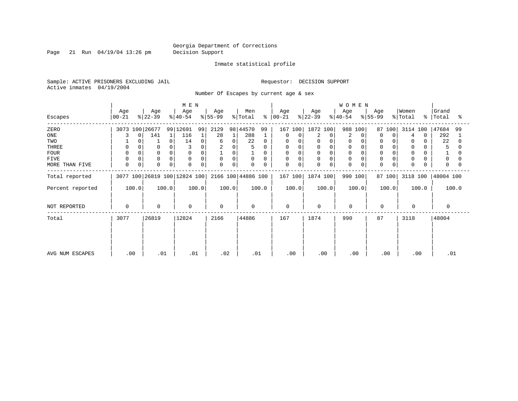Page 21 Run 04/19/04 13:26 pm Decision Support

#### Inmate statistical profile

Sample: ACTIVE PRISONERS EXCLUDING JAIL **Requestor: DECISION SUPPORT** Active inmates 04/19/2004

Number Of Escapes by current age & sex

|                  |                  |                  | M E N                        |                         |                      |                  |                  | <b>WOMEN</b>     |                  |                              |                         |
|------------------|------------------|------------------|------------------------------|-------------------------|----------------------|------------------|------------------|------------------|------------------|------------------------------|-------------------------|
| Escapes          | Age<br>$00 - 21$ | Age<br>$ 22-39 $ | Age<br>$ 40-54 $             | Age<br>$ 55-99 $        | Men<br>% Total<br>ွေ | Age<br>$ 00-21 $ | Age<br>$ 22-39 $ | Age<br>$ 40-54 $ | Age<br>$ 55-99 $ | Women<br>$\frac{1}{2}$ Total | Grand<br>%   Total<br>ႜ |
| ZERO             | 3073 100 26677   |                  | 99 12691<br>99               | 2129                    | 98 44570<br>99       | 167 100          | 1872 100         | 988<br>100       | 87 100           | 3114 100                     | 47684<br>99             |
| ONE              | 0                | 141              | 116<br>1                     | 28                      | 288                  | 0<br>0           | 2<br>0           | 2<br>0           | 0<br>0           | 0<br>$\overline{4}$          | 292                     |
| TWO              |                  |                  | 0<br>14                      | $\Omega$<br>6           | 22<br>$\Omega$       | 0<br>$\Omega$    | 0                | 0                | 0                | 0                            | 22                      |
| THREE            | $\Omega$         |                  |                              | $\overline{c}$<br>0     |                      | 0                |                  |                  | $\mathbf 0$      | 0                            | 5                       |
| <b>FOUR</b>      | $\Omega$         |                  |                              | 0                       | $\Omega$             | $\Omega$         |                  |                  | $\Omega$         | $\Omega$                     |                         |
| FIVE             | $\mathbf 0$      | $\mathbf 0$      | 0<br>$\Omega$                | $\Omega$<br>$\mathbf 0$ | 0<br>$\Omega$        | 0<br>0           | 0                | $\mathbf 0$      | $\mathbf 0$      | 0                            | 0                       |
| MORE THAN FIVE   | $\mathbf 0$<br>0 | $\Omega$         | 0<br>$\Omega$                | $\Omega$<br>0           | $\Omega$<br>$\Omega$ | $\mathbf 0$<br>0 | 0<br>0           | $\Omega$         | 0<br>0           | $\Omega$                     | $\Omega$                |
| Total reported   |                  |                  | 3077 100 26819 100 12824 100 |                         | 2166 100 44886 100   | 167 100          | 1874 100         | 990 100          | 87 100           | 3118 100                     | 48004 100               |
| Percent reported | 100.0            | 100.0            | 100.0                        | 100.0                   | 100.0                | 100.0            | 100.0            | 100.0            | 100.0            | 100.0                        | 100.0                   |
| NOT REPORTED     | 0                | $\mathbf 0$      | $\mathbf 0$                  | $\Omega$                | $\Omega$             | 0                | $\Omega$         | $\overline{0}$   | $\mathbf 0$      | $\Omega$                     | $\Omega$                |
| Total            | 3077             | 26819            | 12824                        | 2166                    | 44886                | 167              | 1874             | 990              | 87               | 3118                         | 48004                   |
|                  |                  |                  |                              |                         |                      |                  |                  |                  |                  |                              |                         |
|                  |                  |                  |                              |                         |                      |                  |                  |                  |                  |                              |                         |
| AVG NUM ESCAPES  | .00              | .01              | .01                          | .02                     | .01                  | .00              | .00              | .00              | .00              | .00                          | .01                     |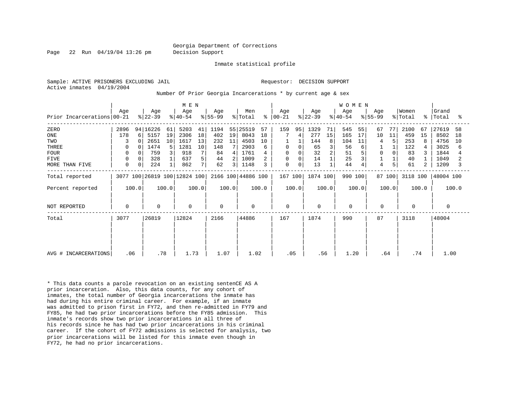Page 22 Run 04/19/04 13:26 pm Decision Support

Inmate statistical profile

Active inmates 04/19/2004

Sample: ACTIVE PRISONERS EXCLUDING JAIL RESOLUTION SUPPORT Requestor: DECISION SUPPORT

Number Of Prior Georgia Incarcerations \* by current age & sex

| Prior Incarcerations 00-21                                                  | Age                                         | $ 22-39 $                                       | Age                                           | M E N<br>Age<br>$ 40-54 $                         |                                | Age<br>$ 55-99 $                            |                         | Men<br>% Total                                           | ៖                        | Age<br>$ 00-21 $                  |         | Age<br>$ 22-39 $                           |               | W O M E N<br>Age<br>$ 40-54 $             |                     | Age<br>$ 55-99 $          |                                 | Women<br>% Total                            | $\approx$ 1        | Grand<br>Total                                        | ႜ                        |
|-----------------------------------------------------------------------------|---------------------------------------------|-------------------------------------------------|-----------------------------------------------|---------------------------------------------------|--------------------------------|---------------------------------------------|-------------------------|----------------------------------------------------------|--------------------------|-----------------------------------|---------|--------------------------------------------|---------------|-------------------------------------------|---------------------|---------------------------|---------------------------------|---------------------------------------------|--------------------|-------------------------------------------------------|--------------------------|
| ZERO<br>ONE<br>TWO<br>THREE<br><b>FOUR</b><br><b>FIVE</b><br>MORE THAN FIVE | 2896<br>178<br>3<br>0<br>0<br>$\Omega$<br>0 | 94 16226<br>5157<br>6<br>2651<br>1474<br>0<br>0 | 61<br>19<br>10<br>5<br>3<br>759<br>328<br>224 | 5203<br>2306<br>1617<br>1281<br>918<br>637<br>862 | 41<br>18<br>13<br>10<br>5<br>7 | 1194<br>402<br>232<br>148<br>84<br>44<br>62 | 19<br>11<br>4<br>2<br>3 | 55 25519<br>8043<br>4503<br>2903<br>1761<br>1009<br>1148 | 57<br>18<br>10<br>6<br>3 | 159<br>0<br>0<br>0<br>$\mathbf 0$ | 95<br>0 | 1329<br>277<br>144<br>65<br>32<br>14<br>13 | 71<br>15<br>8 | 545<br>165<br>104<br>56<br>51<br>25<br>44 | 55<br>17<br>11<br>6 | 67<br>10<br>$\Omega$<br>4 | 77<br>11<br>5<br>5 <sub>1</sub> | 2100<br>459<br>253<br>122<br>83<br>40<br>61 | 67<br>15<br>8<br>2 | 27619<br>8502<br>4756<br>3025<br>1844<br>1049<br>1209 | 58<br>18<br>10<br>6<br>3 |
| Total reported<br>Percent reported                                          | 100.0                                       |                                                 | 100.0                                         | 3077 100 26819 100 12824 100                      | 100.0                          |                                             | 100.0                   | 2166 100 44886 100                                       | 100.0                    | 167 100                           | 100.0   | 1874 100                                   | 100.0         | 990 100                                   | 100.0               |                           | 87 100<br>100.0                 | 3118 100                                    | 100.0              | 48004 100                                             | 100.0                    |
| NOT REPORTED                                                                | 0                                           |                                                 | $\Omega$                                      | $\mathbf 0$                                       |                                | $\Omega$                                    |                         | $\mathbf 0$                                              |                          | $\Omega$                          |         | $\mathbf 0$                                |               | $\Omega$                                  |                     | $\mathbf 0$               |                                 | $\Omega$                                    |                    | $\Omega$                                              |                          |
| Total                                                                       | 3077                                        | 26819                                           |                                               | 12824                                             |                                | 2166                                        |                         | 44886                                                    |                          | 167                               |         | 1874                                       |               | 990                                       |                     | 87                        |                                 | 3118                                        |                    | 48004                                                 |                          |
| AVG # INCARCERATIONS                                                        | .06                                         |                                                 | .78                                           | 1.73                                              |                                | 1.07                                        |                         | 1.02                                                     |                          | .05                               |         | .56                                        |               | 1.20                                      |                     | .64                       |                                 | .74                                         |                    | 1.00                                                  |                          |

\* This data counts a parole revocation on an existing sentenCE AS A prior incarceration. Also, this data counts, for any cohort of inmates, the total number of Georgia incarcerations the inmate has had during his entire criminal career. For example, if an inmate was admitted to prison first in FY72, and then re-admitted in FY79 and FY85, he had two prior incarcerations before the FY85 admission. This inmate's records show two prior incarcerations in all three of his records since he has had two prior incarcerations in his criminal career. If the cohort of FY72 admissions is selected for analysis, two prior incarcerations will be listed for this inmate even though in FY72, he had no prior incarcerations.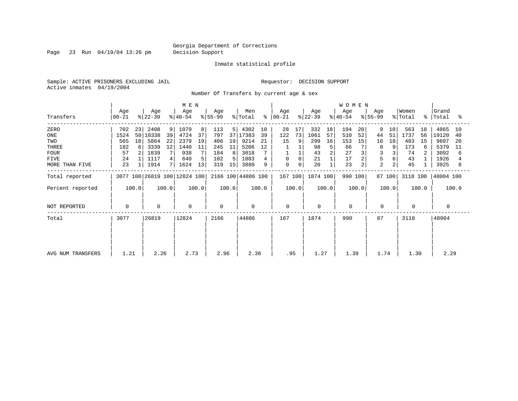Page 23 Run 04/19/04 13:26 pm Decision Support

#### Inmate statistical profile

Sample: ACTIVE PRISONERS EXCLUDING JAIL **Requestor: DECISION SUPPORT** Active inmates 04/19/2004

Number Of Transfers by current age & sex

|                   | MEN              |       |                  |       |                              |       |                  |       |                    |       |                      |       |                  | <b>WOMEN</b> |                  |                |                  |        |                  |       |                    |       |
|-------------------|------------------|-------|------------------|-------|------------------------------|-------|------------------|-------|--------------------|-------|----------------------|-------|------------------|--------------|------------------|----------------|------------------|--------|------------------|-------|--------------------|-------|
| Transfers         | Age<br>$ 00-21 $ |       | Age<br>$ 22-39 $ |       | Age<br>$ 40-54 $             |       | Age<br>$ 55-99 $ |       | Men<br>% Total     |       | Age<br>$8   00 - 21$ |       | Age<br>$ 22-39 $ |              | Age<br>$8 40-54$ |                | Age<br>$ 55-99 $ |        | Women<br>% Total |       | Grand<br>%   Total | °≈    |
| ZERO              | 702              | 23    | 2408             | 9     | 1079                         | 8     | 113              | 5     | 4302               | 10    | 28                   | 17    | 332              | 18           | 194              | 20             | 9                | 10     | 563              | 18    | 4865               | 10    |
| ONE               | 1524             |       | 50 10338         | 39    | 4724                         | 37    | 797              |       | 37 17383           | 39    | 122                  | 73    | 1061             | 57           | 510              | 52             | 44               | 51     | 1737             | 56    | 19120              | 40    |
| TWO               | 565              | 18    | 5864             | 22    | 2379                         | 19    | 406              | 19    | 9214               | 21    | 15                   |       | 299              | 16           | 153              | 15             | 16               | 18     | 483              | 15    | 9697               | -20   |
| THREE             | 182              | 6     | 3339             | 12    | 1440                         | 11    | 245              | 11    | 5206               | 12    |                      |       | 98               | 5            | 66               |                | 8                |        | 173              | 6     | 5379               | 11    |
| <b>FOUR</b>       | 57               |       | 1839             |       | 938                          |       | 184              | 81    | 3018               |       |                      |       | 43               |              | 27               |                |                  |        | 74               |       | 3092               | 6     |
| FIVE              | 24               |       | 1117             |       | 640                          | 5     | 102              | 5.    | 1883               |       | 0                    | 0     | 21               |              | 17               | $\overline{a}$ | 5                |        | 43               |       | 1926               |       |
| MORE THAN FIVE    | 23               |       | 1914             |       | 1624                         | 13    | 319              | 15    | 3880               | 9     | $\mathbf 0$          | 0     | 20               |              | 23               | $\overline{a}$ | $\overline{2}$   |        | 45               |       | 3925               | 8     |
| Total reported    |                  |       |                  |       | 3077 100 26819 100 12824 100 |       |                  |       | 2166 100 44886 100 |       | 167 100              |       | 1874 100         |              | 990 100          |                |                  | 87 100 | 3118 100         |       | 48004 100          |       |
| Percent reported  |                  | 100.0 |                  | 100.0 |                              | 100.0 |                  | 100.0 |                    | 100.0 |                      | 100.0 |                  | 100.0        |                  | 100.0          |                  | 100.0  |                  | 100.0 |                    | 100.0 |
| NOT REPORTED      | 0                |       | 0                |       | $\mathbf 0$                  |       | $\mathbf 0$      |       | 0                  |       | $\mathbf 0$          |       | 0                |              | $\mathbf 0$      |                | 0                |        | 0                |       | 0                  |       |
| Total             | 3077             |       | 26819            |       | 12824                        |       | 2166             |       | 44886              |       | 167                  |       | 1874             |              | 990              |                | 87               |        | 3118             |       | 48004              |       |
|                   |                  |       |                  |       |                              |       |                  |       |                    |       |                      |       |                  |              |                  |                |                  |        |                  |       |                    |       |
| AVG NUM TRANSFERS | 1.21             |       | 2.26             |       | 2.73                         |       | 2.96             |       | 2.36               |       | .95                  |       | 1.27             |              | 1.39             |                | 1.74             |        | 1.30             |       | 2.29               |       |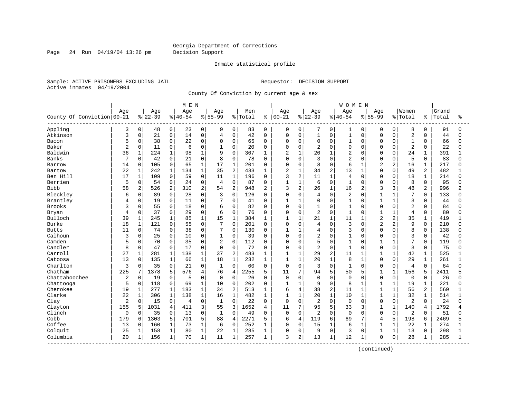Page 24 Run 04/19/04 13:26 pm Decision Support

#### Inmate statistical profile

Sample: ACTIVE PRISONERS EXCLUDING JAIL **Requestor: DECISION SUPPORT** Active inmates 04/19/2004

County Of Conviction by current age & sex

|                            |                |                |           |                | M E N     |              |                |                |         |                |                |                |                |              | <b>WOMEN</b>   |              |                |                |                |                |       |              |
|----------------------------|----------------|----------------|-----------|----------------|-----------|--------------|----------------|----------------|---------|----------------|----------------|----------------|----------------|--------------|----------------|--------------|----------------|----------------|----------------|----------------|-------|--------------|
|                            | Age            |                | Age       |                | Age       |              | Age            |                | Men     |                | Age            |                | Age            |              | Age            |              | Aqe            |                | Women          |                | Grand |              |
| County Of Conviction 00-21 |                |                | $8 22-39$ |                | $8 40-54$ |              | $8 55-99$      |                | % Total | ႜ              | $00 - 21$      |                | $ 22-39$       |              | $8 40-54$      |              | $8 55-99$      |                | % Total        | နွ             | Total | ႜ            |
| Appling                    | 3              | 0              | 48        | 0 <sup>1</sup> | 23        | 0            | 9              | 0              | 83      | 0              | 0              | 0              | 7              | 0            | 1              | 0            | 0              | 0              | 8              | 0              | 91    | <sup>0</sup> |
| Atkinson                   | 3              | 0              | 21        | 0              | 14        | $\mathbf 0$  | $\overline{4}$ | 0              | 42      | $\Omega$       | 0              | $\mathbf 0$    | $\mathbf{1}$   | $\mathbf 0$  | $1\,$          | 0            | $\Omega$       | $\Omega$       | $\overline{2}$ | $\Omega$       | 44    |              |
| Bacon                      | 5              | 0              | 38        | 0              | 22        | $\mathbf 0$  | $\mathbf 0$    | $\Omega$       | 65      | $\Omega$       | 0              | $\mathbf 0$    | 0              | $\Omega$     | $1\,$          | $\Omega$     | $\Omega$       | $\Omega$       | $\mathbf{1}$   | $\Omega$       | 66    | $\Omega$     |
| Baker                      | $\overline{2}$ | 0              | 11        | 0              | 6         | $\mathbf 0$  |                | $\Omega$       | 20      | $\Omega$       | $\Omega$       | $\mathbf 0$    | 2              | $\Omega$     | $\mathbf 0$    | $\Omega$     | $\Omega$       | $\cap$         | $\overline{2}$ | $\Omega$       | 22    |              |
| Baldwin                    | 36             | $\mathbf{1}$   | 224       | $\mathbf{1}$   | 98        | $\mathbf{1}$ | 9              | $\Omega$       | 367     | $\mathbf{1}$   | $\overline{c}$ | $\mathbf{1}$   | 20             | $\mathbf{1}$ | $\overline{2}$ | $\cap$       | $\Omega$       | $\Omega$       | 24             | $\mathbf{1}$   | 391   |              |
| Banks                      | 7              | 0              | 42        | 0              | 21        | $\mathbf 0$  | 8              | $\Omega$       | 78      | $\Omega$       | 0              | $\Omega$       | 3              | $\Omega$     | $\overline{2}$ | $\Omega$     | $\Omega$       | $\Omega$       | 5              | $\Omega$       | 83    | n            |
| Barrow                     | 14             | 0              | 105       | 0              | 65        | $\mathbf{1}$ | 17             | $\mathbf 1$    | 201     | $\Omega$       | 0              | $\mathbf 0$    | 8              | $\Omega$     | 6              | $\mathbf{1}$ | $\overline{2}$ | $\overline{2}$ | 16             | $\mathbf{1}$   | 217   |              |
| Bartow                     | 22             | 1              | 242       | $\mathbf{1}$   | 134       | $1\,$        | 35             | $\overline{c}$ | 433     | 1              | 2              | $\mathbf{1}$   | 34             | 2            | 13             | $\mathbf{1}$ | $\Omega$       | $\Omega$       | 49             | $\overline{2}$ | 482   |              |
| Ben Hill                   | 17             | $\mathbf 1$    | 109       | 0              | 59        | $\mathbf 0$  | 11             | $\mathbf{1}$   | 196     | $\Omega$       | 3              | $\overline{2}$ | 11             | $\mathbf{1}$ | 4              | $\Omega$     | $\Omega$       | $\Omega$       | 18             | 1              | 214   | U            |
| Berrien                    | 5              | 0              | 54        | 0              | 24        | $\mathbf{0}$ | $\overline{4}$ | 0              | 87      | 0              | 1              | $\mathbf{1}$   | 6              | $\mathbf 0$  | $\mathbf{1}$   | $\Omega$     | $\Omega$       | $\Omega$       | 8              | 0              | 95    |              |
| Bibb                       | 58             | $\overline{2}$ | 526       | 2              | 310       | 2            | 54             | $\overline{2}$ | 948     | $\overline{2}$ | 3              | 2              | 26             | $\mathbf{1}$ | 16             | 2            | 3              | 3              | 48             | $\overline{a}$ | 996   |              |
| Bleckley                   | 6              | 0              | 89        | $\Omega$       | 28        | $\Omega$     | 3              | $\Omega$       | 126     | $\Omega$       | $\Omega$       | $\Omega$       | 4              | $\Omega$     | $\overline{2}$ | $\Omega$     | 1              | $\mathbf{1}$   | 7              | $\Omega$       | 133   |              |
| Brantley                   | 4              | 0              | 19        | $\overline{0}$ | 11        | $\Omega$     | 7              | 0              | 41      | $\Omega$       | 1              | $\mathbf{1}$   | $\Omega$       | $\Omega$     | $\mathbf{1}$   | $\Omega$     | $\overline{1}$ | $\mathbf{1}$   | 3              | $\Omega$       | 44    |              |
| Brooks                     | 3              | 0              | 55        | 0              | 18        | $\mathbf 0$  | 6              | $\Omega$       | 82      | $\Omega$       | 0              | $\mathbf 0$    | $\mathbf{1}$   | $\Omega$     | $\mathbf{1}$   | $\Omega$     | $\Omega$       | $\Omega$       | $\overline{2}$ | $\Omega$       | 84    |              |
| Bryan                      | 4              | 0              | 37        | 0              | 29        | $\mathbf 0$  | 6              | $\Omega$       | 76      | $\Omega$       | 0              | $\mathbf 0$    | 2              | $\Omega$     | $\mathbf{1}$   | 0            | 1              | $\mathbf{1}$   | 4              | $\Omega$       | 80    |              |
| Bulloch                    | 39             | 1              | 245       | $\mathbf 1$    | 85        | $1\,$        | 15             | $\mathbf{1}$   | 384     |                | 1              | $\mathbf{1}$   | 21             | $\mathbf{1}$ | 11             |              | $\overline{2}$ | $\overline{2}$ | 35             | $\mathbf{1}$   | 419   |              |
| Burke                      | 18             | $\mathbf 1$    | 121       | 0              | 55        | $\Omega$     | 7              | $\Omega$       | 201     | $\Omega$       | $\Omega$       | $\Omega$       | 4              | $\Omega$     | 3              | $\Omega$     | $\overline{a}$ | $\overline{2}$ | 9              | $\Omega$       | 210   |              |
| <b>Butts</b>               | 11             | $\mathbf 0$    | 74        | $\mathbf{0}$   | 38        | $\mathbf 0$  | 7              | $\Omega$       | 130     | $\Omega$       | 1              | $\mathbf{1}$   | 4              | $\Omega$     | 3              | $\Omega$     | $\Omega$       | $\Omega$       | 8              | $\Omega$       | 138   |              |
| Calhoun                    | 3              | 0              | 25        | 0              | 10        | $\mathbf 0$  | $\mathbf{1}$   | 0              | 39      | $\Omega$       | 0              | $\mathbf 0$    | 2              | $\Omega$     | $\mathbf{1}$   | $\Omega$     | $\Omega$       | $\mathbf 0$    | 3              | $\mathbf 0$    | 42    |              |
| Camden                     | 5              | 0              | 70        | 0              | 35        | $\mathbf 0$  | $\overline{2}$ | $\mathbf 0$    | 112     | $\Omega$       | $\Omega$       | $\mathbf 0$    | 5              | $\Omega$     | $\mathbf{1}$   | $\Omega$     | 1              | $\mathbf{1}$   | 7              | $\Omega$       | 119   | $\cap$       |
| Candler                    | 8              | 0              | 47        | 0              | 17        | $\mathbf 0$  | $\mathbf 0$    | 0              | 72      | 0              | 0              | $\mathbf 0$    | $\overline{2}$ | $\Omega$     | $\mathbf{1}$   | $\Omega$     | $\Omega$       | $\mathbf 0$    | 3              | $\Omega$       | 75    |              |
| Carroll                    | 27             | $\mathbf 1$    | 281       | 1              | 138       | $\mathbf{1}$ | 37             | $\overline{2}$ | 483     | 1              | $\mathbf{1}$   | $\mathbf{1}$   | 29             | 2            | 11             | $\mathbf{1}$ | $\mathbf{1}$   | $\mathbf{1}$   | 42             | $\mathbf 1$    | 525   |              |
| Catoosa                    | 13             | $\Omega$       | 135       | $\mathbf{1}$   | 66        | $\mathbf{1}$ | 18             | $\mathbf{1}$   | 232     | $\mathbf{1}$   | $\mathbf{1}$   | $\mathbf{1}$   | 20             | $\mathbf{1}$ | 8              | $\mathbf{1}$ | $\Omega$       | $\Omega$       | 29             | $\mathbf{1}$   | 261   |              |
| Charlton                   | 3              | 0              | 35        | 0              | 21        | $\mathbf 0$  | $\mathbf{1}$   | $\Omega$       | 60      | $\Omega$       | $\mathbf 0$    | $\Omega$       | 3              | $\Omega$     | $\mathbf{1}$   | $\Omega$     | $\Omega$       | 0              | 4              | $\Omega$       | 64    |              |
| Chatham                    | 225            | 7              | 1378      | 5              | 576       | 4            | 76             | $\overline{4}$ | 2255    | 5              | 11             | 7              | 94             | 5            | 50             | 5            | 1              | $\mathbf{1}$   | 156            | 5              | 2411  |              |
| Chattahoochee              | 2              | 0              | 19        | 0              | 5         | $\mathbf 0$  | $\mathbf 0$    | $\mathbf 0$    | 26      | $\Omega$       | $\mathbf 0$    | $\mathbf 0$    | 0              | $\Omega$     | $\mathbf 0$    | $\Omega$     | $\mathbf 0$    | $\mathbf 0$    | $\mathbf 0$    | $\Omega$       | 26    |              |
| Chattooga                  | 5              | $\mathbf 0$    | 118       | 0              | 69        | $\mathbf{1}$ | 10             | 0              | 202     | 0              | $\mathbf{1}$   | $\mathbf{1}$   | 9              | $\Omega$     | 8              | 1            | 1              | $\mathbf{1}$   | 19             | 1              | 221   | U            |
| Cherokee                   | 19             | 1              | 277       | $\mathbf 1$    | 183       | $\mathbf 1$  | 34             | $\overline{2}$ | 513     | 1              | 6              | $\overline{4}$ | 38             | 2            | 11             | $\mathbf{1}$ | $\mathbf{1}$   | $\mathbf{1}$   | 56             | 2              | 569   |              |
| Clarke                     | 22             | $\mathbf 1$    | 306       | $\mathbf{1}$   | 138       | $\mathbf{1}$ | 16             | $\mathbf{1}$   | 482     | 1              | $\mathbf{1}$   | $\mathbf{1}$   | 20             | $\mathbf{1}$ | 10             | $\mathbf{1}$ | $\mathbf{1}$   | $\mathbf{1}$   | 32             | $\mathbf 1$    | 514   |              |
| Clay                       | 2              | 0              | 15        | 0              | 4         | $\mathbf 0$  | $\mathbf{1}$   | $\mathbf 0$    | 22      | $\mathbf{0}$   | 0              | $\mathbf 0$    | 2              | $\mathbf 0$  | $\mathbf 0$    | $\Omega$     | $\mathbf 0$    | 0              | $\overline{2}$ | $\Omega$       | 24    |              |
| Clayton                    | 155            | 5              | 1031      | 4              | 411       | 3            | 55             | 3              | 1652    | 4              | 11             | 7              | 95             | 5            | 33             | 3            | 1              | $\mathbf{1}$   | 140            | 4              | 1792  |              |
| Clinch                     | $\Omega$       | 0              | 35        | $\Omega$       | 13        | $\Omega$     | $\mathbf{1}$   | $\Omega$       | 49      | $\Omega$       | $\mathbf 0$    | $\Omega$       | $\overline{a}$ | $\Omega$     | $\Omega$       | $\Omega$     | $\Omega$       | $\Omega$       | 2              | $\Omega$       | 51    | $\cap$       |
| Cobb                       | 179            | 6              | 1303      | 5              | 701       | 5            | 88             | $\overline{4}$ | 2271    | 5              | 6              | $\overline{4}$ | 119            | 6            | 69             | 7            | 4              | 5              | 198            | 6              | 2469  |              |
| Coffee                     | 13             | $\Omega$       | 160       | $\mathbf{1}$   | 73        | $\mathbf{1}$ | 6              | $\Omega$       | 252     | $\mathbf{1}$   | $\Omega$       | $\Omega$       | 15             | $\mathbf{1}$ | 6              | $\mathbf{1}$ | $\mathbf{1}$   | $\mathbf{1}$   | 22             | $\mathbf 1$    | 274   |              |
| Colquit                    | 25             | $\mathbf 1$    | 158       | $\mathbf{1}$   | 80        | $\mathbf{1}$ | 22             | $\mathbf{1}$   | 285     | 1              | 0              | $\mathbf 0$    | 9              | $\Omega$     | 3              | $\Omega$     | $\mathbf{1}$   | $\mathbf{1}$   | 13             | $\Omega$       | 298   |              |
| Columbia                   | 20             | 1              | 156       | 1              | 70        | $\mathbf{1}$ | 11             | $\mathbf{1}$   | 257     | 1              | 3              | 2              | 13             | $\mathbf 1$  | 12             | 1            | $\Omega$       | 0              | 28             | 1              | 285   |              |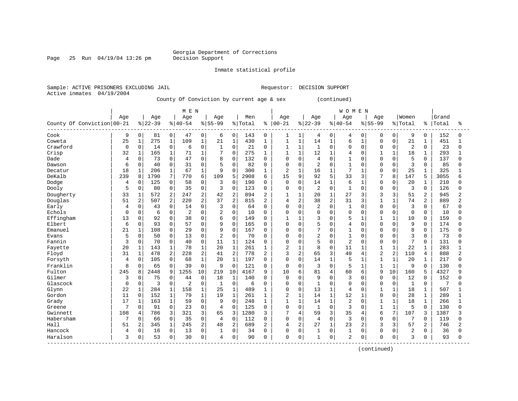#### Georgia Department of Corrections<br>Decision Support

Page 25 Run 04/19/04 13:26 pm

Inmate statistical profile

Sample: ACTIVE PRISONERS EXCLUDING JAIL Requestor: DECISION SUPPORT Active inmates 04/19/2004

County Of Conviction by current age & sex (continued)

|                            |              |                |          |                | M E N    |                |                |                |         |                |                |                |                |              | <b>WOMEN</b>   |              |                |                |                |                |       |                |
|----------------------------|--------------|----------------|----------|----------------|----------|----------------|----------------|----------------|---------|----------------|----------------|----------------|----------------|--------------|----------------|--------------|----------------|----------------|----------------|----------------|-------|----------------|
|                            | Age          |                | Age      |                | Age      |                | Age            |                | Men     |                | Age            |                | Age            |              | Age            |              | Age            |                | Women          |                | Grand |                |
| County Of Conviction 00-21 |              |                | $ 22-39$ |                | $ 40-54$ |                | $8 55-99$      |                | % Total | ៖              | $ 00 - 21$     |                | $ 22-39$       |              | $8140 - 54$    |              | $8155 - 99$    |                | % Total        | ⊱              | Total | ిక             |
| Cook                       | 9            | 0              | 81       | $\overline{0}$ | 47       | 0              | 6              | 0              | 143     | 0              | 1              | 1              | 4              | 0            | 4              | $\Omega$     | 0              | 0              | 9              | 0              | 152   | 0              |
| Coweta                     | 25           | $\mathbf{1}$   | 275      | $\mathbf{1}$   | 109      | $\mathbf 1$    | 21             | $\mathbf 1$    | 430     | 1              | 1              | $\mathbf{1}$   | 14             | $\mathbf{1}$ | 6              | 1            | $\mathbf 0$    | $\Omega$       | 21             | 1              | 451   | 1              |
| Crawford                   | 0            | $\mathbf 0$    | 14       | 0              | 6        | $\mathbf 0$    | $\mathbf{1}$   | $\mathbf 0$    | 21      | $\mathbf 0$    | 1              | $\mathbf{1}$   | 1              | $\Omega$     | $\Omega$       | $\Omega$     | $\mathbf 0$    | $\Omega$       | $\overline{2}$ | $\Omega$       | 23    | $\Omega$       |
| Crisp                      | 32           | $\mathbf{1}$   | 165      | $\mathbf{1}$   | 71       | $\mathbf{1}$   | 7              | $\Omega$       | 275     | 1              | $\mathbf{1}$   | $\mathbf{1}$   | 12             | $\mathbf{1}$ | $\overline{4}$ | $\Omega$     | 1              | $\mathbf{1}$   | 18             | $\mathbf 1$    | 293   | 1              |
| Dade                       | 4            | 0              | 73       | 0              | 47       | $\Omega$       | 8              | $\Omega$       | 132     | 0              | $\mathbf 0$    | 0              | 4              | $\Omega$     | 1              | $\Omega$     | $\Omega$       | $\Omega$       | 5              | $\Omega$       | 137   | U              |
| Dawson                     | 6            | 0              | 40       | 0              | 31       | 0              | 5              | $\mathbf 0$    | 82      | 0              | $\mathbf 0$    | 0              | $\overline{2}$ | $\Omega$     |                | $\Omega$     | $\mathbf 0$    | $\Omega$       | 3              | 0              | 85    | U              |
| Decatur                    | 18           | $1\,$          | 206      | $\mathbf{1}$   | 67       | $\mathbf{1}$   | 9              | $\Omega$       | 300     | $\mathbf 1$    | 2              | $\mathbf{1}$   | 16             | $\mathbf{1}$ | 7              |              | $\Omega$       | $\Omega$       | 25             |                | 325   |                |
| DeKalb                     | 239          | 8              | 1790     | 7              | 770      | 6              | 109            | 5              | 2908    | 6              | 15             | 9              | 92             | 5            | 33             | 3            | 7              | 8              | 147            | 5              | 3055  | б              |
| Dodge                      | 4            | 0              | 125      | 0              | 58       | $\mathbf 0$    | 3              | $\mathbf 0$    | 190     | 0              | $\mathbf 0$    | $\Omega$       | 14             | $\mathbf 1$  | 6              |              | $\mathbf 0$    | $\Omega$       | 20             | 1              | 210   | U              |
| Dooly                      | 5            | 0              | 80       | 0              | 35       | $\mathbf 0$    | 3              | $\mathbf 0$    | 123     | 0              | $\mathbf 0$    | $\Omega$       | 2              | $\mathbf 0$  | $\mathbf{1}$   | $\Omega$     | $\mathbf 0$    | $\Omega$       | 3              | 0              | 126   | O              |
| Dougherty                  | 33           | $\mathbf 1$    | 572      | 2              | 247      | $\overline{2}$ | 42             | $\overline{2}$ | 894     | 2              | 1              | 1              | 20             | $\mathbf{1}$ | 27             | 3            | 3              | 3              | 51             | 2              | 945   | $\overline{a}$ |
| Douglas                    | 51           | $\overline{2}$ | 507      | $\overline{a}$ | 220      | $\overline{2}$ | 37             | $\overline{2}$ | 815     | $\overline{2}$ | 4              | $\overline{a}$ | 38             | 2            | 31             | 3            | $\mathbf 1$    | $\mathbf{1}$   | 74             | $\overline{2}$ | 889   | $\overline{a}$ |
| Early                      | 4            | 0              | 43       | 0              | 14       | 0              | 3              | $\Omega$       | 64      | $\Omega$       | $\mathbf 0$    | 0              | $\overline{2}$ | $\Omega$     | $\mathbf{1}$   | $\Omega$     | $\Omega$       | $\Omega$       | 3              | $\Omega$       | 67    | U              |
| Echols                     | <sup>0</sup> | 0              | 6        | 0              | 2        | $\Omega$       | $\overline{2}$ | $\Omega$       | 10      | $\Omega$       | 0              | $\Omega$       | $\Omega$       | $\Omega$     | $\Omega$       | $\Omega$     | $\Omega$       | $\Omega$       | 0              | $\Omega$       | 10    | O              |
| Effingham                  | 13           | 0              | 92       | 0              | 38       | $\Omega$       | 6              | $\Omega$       | 149     | $\Omega$       | 1              | 1              | 3              | $\Omega$     | 5              |              | $\mathbf{1}$   |                | 10             | $\Omega$       | 159   | O              |
| Elbert                     | 6            | 0              | 93       | 0              | 57       | $\mathbf 0$    | 9              | $\mathbf 0$    | 165     | 0              | $\Omega$       | 0              | 5              | $\Omega$     | $\overline{4}$ | $\Omega$     | $\Omega$       | $\Omega$       | 9              | 0              | 174   | U              |
| Emanuel                    | 21           | $\mathbf 1$    | 108      | 0              | 29       | $\Omega$       | 9              | $\Omega$       | 167     | $\Omega$       | $\Omega$       | $\Omega$       | 7              | $\Omega$     | $\mathbf{1}$   | $\Omega$     | $\Omega$       | $\Omega$       | 8              | $\Omega$       | 175   | U              |
| Evans                      | 5            | 0              | 50       | 0              | 13       | $\Omega$       | 2              | $\mathbf 0$    | 70      | $\Omega$       | 0              | $\Omega$       | $\overline{2}$ | $\Omega$     | $\mathbf{1}$   | $\Omega$     | $\mathbf 0$    | $\Omega$       | 3              | $\mathbf 0$    | 73    | U              |
| Fannin                     | 3            | 0              | 70       | 0              | 40       | 0              | 11             | $\mathbf 1$    | 124     | 0              | 0              | 0              | 5              | $\mathbf 0$  | $\overline{2}$ | $\Omega$     | $\mathbf 0$    | $\Omega$       | 7              | $\Omega$       | 131   | U              |
| Fayette                    | 20           | $\mathbf 1$    | 143      | $\mathbf{1}$   | 78       | $\mathbf 1$    | 20             | $\mathbf{1}$   | 261     | $\mathbf 1$    | $\overline{2}$ | $\mathbf{1}$   | 8              | $\Omega$     | 11             | 1            | $\mathbf{1}$   | $\mathbf{1}$   | 22             | $\mathbf{1}$   | 283   | 1              |
| Floyd                      | 31           | $\mathbf 1$    | 478      | 2              | 228      | $\overline{2}$ | 41             | $\overline{2}$ | 778     | 2              | 3              | $\overline{2}$ | 65             | 3            | 40             | 4            | $\overline{c}$ | $\overline{2}$ | 110            | 4              | 888   | $\overline{a}$ |
| Forsyth                    | 4            | 0              | 105      | 0              | 68       | $1\,$          | 20             | $\mathbf{1}$   | 197     | 0              | $\mathbf 0$    | 0              | 14             | 1            | 5              |              | $\mathbf{1}$   |                | 20             | 1              | 217   | $\cap$         |
| Franklin                   | 8            | 0              | 65       | 0              | 39       | $\mathbf 0$    | 9              | $\mathbf 0$    | 121     | 0              | $\mathbf 0$    | 0              | 3              | $\Omega$     | 5              |              | $\mathbf{1}$   | 1              | 9              | 0              | 130   | U              |
| Fulton                     | 245          | 8              | 2448     | 9              | 1255     | 10             | 219            | 10             | 4167    | 9              | 10             | 6              | 81             | 4            | 60             | 6            | 9              | 10             | 160            | 5              | 4327  | q              |
| Gilmer                     | 3            | 0              | 75       | $\Omega$       | 44       | $\mathbf 0$    | 18             | $\mathbf{1}$   | 140     | $\Omega$       | $\Omega$       | $\Omega$       | 9              | $\Omega$     | 3              | <sup>0</sup> | $\Omega$       | $\Omega$       | 12             | $\Omega$       | 152   | O              |
| Glascock                   | 0            | $\Omega$       | 3        | $\Omega$       | 2        | $\Omega$       | 1              | $\Omega$       | 6       | $\Omega$       | 0              | $\Omega$       | $\mathbf{1}$   | $\Omega$     | $\Omega$       | $\Omega$     | $\mathbf 0$    | $\Omega$       | 1              | $\Omega$       | 7     | O              |
| Glynn                      | 22           | $\mathbf 1$    | 284      | $\mathbf{1}$   | 158      | $\mathbf{1}$   | 25             | $\mathbf{1}$   | 489     | $\mathbf{1}$   | 0              | 0              | 13             | $\mathbf{1}$ | $\overline{4}$ | $\Omega$     | 1              | $\mathbf{1}$   | 18             | $\mathbf{1}$   | 507   |                |
| Gordon                     | 11           | $\mathbf 0$    | 152      | $\mathbf{1}$   | 79       | $\mathbf{1}$   | 19             | $\mathbf{1}$   | 261     | $\mathbf{1}$   | $\overline{2}$ | $\mathbf{1}$   | 14             | $\mathbf{1}$ | 12             | 1            | $\mathbf 0$    | $\Omega$       | 28             | $\mathbf{1}$   | 289   | $\mathbf{1}$   |
| Grady                      | 17           | $\mathbf 1$    | 163      | $\mathbf{1}$   | 59       | $\mathbf 0$    | 9              | $\Omega$       | 248     | $\mathbf{1}$   | $\mathbf{1}$   | $\mathbf{1}$   | 14             | $\mathbf{1}$ | $\overline{2}$ | $\Omega$     | $\mathbf{1}$   | $\mathbf{1}$   | 18             | $\mathbf{1}$   | 266   | $\mathbf{1}$   |
| Greene                     | 7            | 0              | 91       | 0              | 23       | $\mathbf 0$    | $\overline{4}$ | $\Omega$       | 125     | $\mathbf 0$    | $\mathbf 0$    | 0              | $\mathbf{1}$   | $\Omega$     | 3              | $\Omega$     | $\mathbf{1}$   |                | 5              | $\Omega$       | 130   | $\Omega$       |
| Gwinnett                   | 108          | 4              | 786      | 3              | 321      | 3              | 65             | 3              | 1280    | 3              | 7              | 4              | 59             | 3            | 35             | 4            | 6              | 7              | 107            | 3              | 1387  | 3              |
| Habersham                  | 7            | 0              | 66       | 0              | 35       | $\mathbf 0$    | $\overline{4}$ | $\mathbf 0$    | 112     | 0              | $\Omega$       | $\Omega$       | 4              | $\Omega$     | 3              | $\Omega$     | $\Omega$       | $\Omega$       | 7              | $\Omega$       | 119   | O              |
| Hall                       | 51           | 2              | 345      | $\mathbf{1}$   | 245      | $\overline{2}$ | 48             | $\overline{2}$ | 689     | 2              | 4              | 2              | 27             | $\mathbf{1}$ | 23             | 2            | 3              | 3              | 57             | 2              | 746   | $\overline{2}$ |
| Hancock                    | 4            | 0              | 16       | 0              | 13       | $\mathbf 0$    | 1              | $\mathbf 0$    | 34      | $\Omega$       | 0              | 0              | 1              | $\Omega$     | $\mathbf{1}$   | $\Omega$     | $\mathbf 0$    | $\Omega$       | 2              | 0              | 36    | U              |
| Haralson                   | 3            | 0              | 53       | $\overline{0}$ | 30       | $\mathbf 0$    | 4              | $\mathbf 0$    | 90      | 0              | $\mathbf 0$    | 0              | 1              | $\mathbf 0$  | $\overline{2}$ | 0            | $\mathbf 0$    | $\mathbf{0}$   | 3              | 0              | 93    | O              |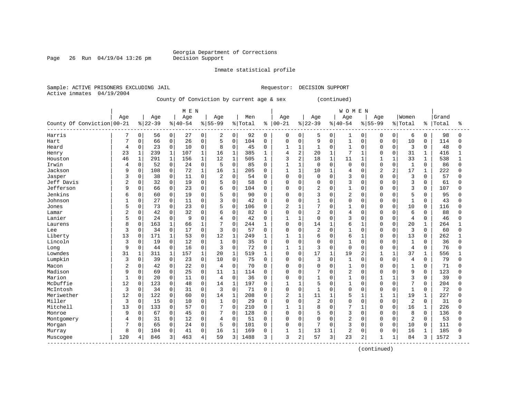#### Georgia Department of Corrections<br>Decision Support

Page 26 Run 04/19/04 13:26 pm

Inmate statistical profile

Sample: ACTIVE PRISONERS EXCLUDING JAIL Requestor: DECISION SUPPORT Active inmates 04/19/2004

County Of Conviction by current age & sex (continued)

|                            |                |              |          |              | M E N    |              |                |                     |         |             |                |                |                |              | <b>WOMEN</b>   |                |              |              |                |              |       |              |
|----------------------------|----------------|--------------|----------|--------------|----------|--------------|----------------|---------------------|---------|-------------|----------------|----------------|----------------|--------------|----------------|----------------|--------------|--------------|----------------|--------------|-------|--------------|
|                            | Age            |              | Age      |              | Age      |              | Age            |                     | Men     |             | Age            |                | Age            |              | Age            |                | Age          |              | Women          |              | Grand |              |
| County Of Conviction 00-21 |                |              | $ 22-39$ |              | $ 40-54$ |              | $8155 - 99$    |                     | % Total |             | $8   00 - 21$  |                | $ 22-39$       |              | $8140 - 54$    |                | $8155 - 99$  |              | % Total        | ႜ            | Total | ႜ            |
| Harris                     |                | 0            | 56       | 0            | 27       | 0            | 2              | 0                   | 92      | 0           | 0              | 0              | 5              | 0            | 1              | $\mathbf 0$    | 0            | 0            | 6              | 0            | 98    | 0            |
| Hart                       | 7              | 0            | 66       | $\mathbf 0$  | 26       | $\mathbf 0$  | 5              | $\mathbf 0$         | 104     | $\mathbf 0$ | $\Omega$       | $\Omega$       | 9              | $\mathbf 0$  | $\mathbf{1}$   | 0              | $\Omega$     | 0            | 10             | 0            | 114   | $\Omega$     |
| Heard                      | 4              | 0            | 23       | $\mathbf 0$  | 10       | $\mathbf 0$  | 8              | $\mathsf{O}\xspace$ | 45      | $\Omega$    | 1              | $\mathbf 1$    | $\mathbf{1}$   | $\Omega$     | $\mathbf{1}$   | $\Omega$       | $\Omega$     | $\mathbf 0$  | 3              | 0            | 48    | <sup>0</sup> |
| Henry                      | 23             | $\mathbf 1$  | 239      | $\mathbf{1}$ | 107      | $\mathbf{1}$ | 16             | $\mathbf{1}$        | 385     | 1           | 4              | $\sqrt{2}$     | 20             |              | $\overline{7}$ | $\mathbf{1}$   | $\Omega$     | $\mathbf 0$  | 31             | $\mathbf{1}$ | 416   | 1            |
| Houston                    | 46             | $\mathbf{1}$ | 291      | $\mathbf 1$  | 156      | $\mathbf{1}$ | 12             | $\mathbf{1}$        | 505     | 1           | 3              | $\overline{2}$ | 18             | $\mathbf{1}$ | 11             | 1              | $\mathbf{1}$ | 1            | 33             | 1            | 538   | 1            |
| Irwin                      | 4              | 0            | 52       | $\mathbf 0$  | 24       | $\mathbf 0$  | 5              | $\mathbf 0$         | 85      | $\Omega$    |                | $\mathbf{1}$   | $\Omega$       | $\Omega$     | $\mathbf 0$    | $\Omega$       | $\Omega$     | $\mathbf 0$  | $\mathbf{1}$   | 0            | 86    | $\Omega$     |
| Jackson                    | 9              | 0            | 108      | 0            | 72       | $\mathbf{1}$ | 16             | $\mathbf{1}$        | 205     | O           | $\mathbf{1}$   | $\mathbf{1}$   | 10             |              | $\overline{4}$ | $\Omega$       | 2            | 2            | 17             | 1            | 222   | $\Omega$     |
| Jasper                     | 3              | $\Omega$     | 38       | $\Omega$     | 11       | $\Omega$     | $\overline{a}$ | $\Omega$            | 54      | $\Omega$    | $\Omega$       | $\Omega$       | $\Omega$       | $\Omega$     | 3              | $\cap$         | $\cap$       | $\Omega$     | 3              | 0            | 57    | U            |
| Jeff Davis                 | $\overline{2}$ | 0            | 32       | $\mathbf 0$  | 19       | $\mathbf 0$  | 5              | $\mathbf 0$         | 58      | O           | $\Omega$       | 0              | $\Omega$       | $\Omega$     | 3              | $\Omega$       | $\Omega$     | $\Omega$     | 3              | 0            | 61    | <sup>0</sup> |
| Jefferson                  | 9              | 0            | 66       | 0            | 23       | $\mathbf 0$  | 6              | $\overline{0}$      | 104     | 0           | $\Omega$       | 0              | $\overline{2}$ | $\Omega$     | $\mathbf{1}$   | $\Omega$       | n            | $\Omega$     | 3              | 0            | 107   | $\Omega$     |
| Jenkins                    | 6              | 0            | 60       | $\mathbf 0$  | 19       | $\Omega$     | 5              | $\mathbf 0$         | 90      | O           | $\Omega$       | $\Omega$       | 3              | $\Omega$     | $\overline{c}$ | $\Omega$       | 0            | $\Omega$     | 5              | 0            | 95    | <sup>0</sup> |
| Johnson                    | $\mathbf{1}$   | 0            | 27       | $\mathbf 0$  | 11       | $\mathbf 0$  | 3              | $\mathbf 0$         | 42      | $\Omega$    | $\Omega$       | $\mathbf 0$    | $\mathbf{1}$   | $\Omega$     | $\overline{0}$ | $\Omega$       | $\Omega$     | $\mathbf 0$  | $\mathbf{1}$   | 0            | 43    | $\Omega$     |
| Jones                      | 5              | 0            | 73       | $\mathbf 0$  | 23       | $\Omega$     | 5              | $\mathbf 0$         | 106     | $\mathbf 0$ | $\overline{2}$ | $\mathbf{1}$   | 7              | $\cap$       | $\mathbf{1}$   | $\Omega$       | $\Omega$     | $\Omega$     | 10             | $\Omega$     | 116   | $\Omega$     |
| Lamar                      |                | 0            | 42       | $\mathbf 0$  | 32       | $\Omega$     | б              | $\mathbf 0$         | 82      | O           | $\Omega$       | 0              | $\overline{2}$ | $\Omega$     | 4              | $\Omega$       | $\Omega$     | $\Omega$     | 6              | 0            | 88    | U            |
| Lanier                     | 5              | 0            | 24       | $\mathbf 0$  | 9        | $\Omega$     | 4              | $\Omega$            | 42      | $\Omega$    | $\mathbf{1}$   | $\mathbf{1}$   | $\Omega$       | $\Omega$     | 3              | O              | $\Omega$     | $\Omega$     | 4              | 0            | 46    | <sup>0</sup> |
| Laurens                    | 8              | 0            | 163      | 1            | 66       | $\mathbf{1}$ | 7              | $\mathbf 0$         | 244     |             | $\Omega$       | $\mathbf 0$    | 14             |              | 6              |                | $\Omega$     | $\Omega$     | 20             | $\mathbf{1}$ | 264   |              |
| Lee                        | 3              | 0            | 34       | $\mathbf 0$  | 17       | $\Omega$     | 3              | $\mathbf 0$         | 57      | $\Omega$    | $\Omega$       | $\Omega$       | $\overline{2}$ | $\Omega$     | $\mathbf{1}$   | $\Omega$       | $\Omega$     | $\Omega$     | 3              | $\Omega$     | 60    | U            |
| Liberty                    | 13             | 0            | 171      | $\mathbf 1$  | 53       | $\Omega$     | 12             | $\mathbf{1}$        | 249     |             |                | $\mathbf{1}$   | 6              | $\Omega$     | 6              |                | $\Omega$     | $\Omega$     | 13             | 0            | 262   |              |
| Lincoln                    | 3              | 0            | 19       | $\mathbf 0$  | 12       | $\mathbf{0}$ | $\mathbf{1}$   | $\mathbf 0$         | 35      | $\Omega$    | $\Omega$       | 0              | $\Omega$       | $\Omega$     | $\mathbf{1}$   | $\Omega$       | $\Omega$     | 0            | $\mathbf 1$    | 0            | 36    | <sup>0</sup> |
| Long                       | 9              | 0            | 44       | $\mathbf 0$  | 16       | $\Omega$     | 3              | $\mathbf 0$         | 72      | 0           | $\mathbf{1}$   | $\mathbf 1$    | 3              | $\Omega$     | $\Omega$       | $\Omega$       | $\Omega$     | $\Omega$     | $\overline{4}$ | 0            | 76    | $\Omega$     |
| Lowndes                    | 31             | 1            | 311      | $\mathbf{1}$ | 157      | $\mathbf{1}$ | 20             | $\mathbf{1}$        | 519     | -1          | $\Omega$       | $\mathbf 0$    | 17             | $\mathbf{1}$ | 19             | 2              | -1           | $\mathbf{1}$ | 37             | 1            | 556   | 1            |
| Lumpkin                    | 3              | 0            | 39       | $\mathsf 0$  | 23       | $\mathbf 0$  | 10             | $\mathsf{O}\xspace$ | 75      | 0           | $\Omega$       | $\mathbf 0$    | 3              | $\mathbf 0$  | $\mathbf{1}$   | $\Omega$       | $\Omega$     | $\mathbf 0$  | $\overline{4}$ | 0            | 79    | $\Omega$     |
| Macon                      |                | 0            | 42       | $\mathbf 0$  | 22       | 0            | 4              | $\mathbf 0$         | 70      | 0           | $\Omega$       | 0              | $\Omega$       | $\Omega$     | 1              | $\Omega$       | n            | $\Omega$     | 1              | 0            | 71    | U            |
| Madison                    | 9              | 0            | 69       | $\mathsf 0$  | 25       | $\Omega$     | 11             | $\mathbf{1}$        | 114     | U           | $\Omega$       | $\Omega$       |                | $\cap$       | $\overline{c}$ | $\Omega$       | $\cap$       | $\Omega$     | 9              | O            | 123   | U            |
| Marion                     | $\mathbf{1}$   | $\Omega$     | 20       | $\mathbf 0$  | 11       | $\Omega$     | 4              | $\mathbf 0$         | 36      | O           | $\Omega$       | $\Omega$       | $\mathbf{1}$   | $\Omega$     | $\mathbf{1}$   | $\Omega$       |              | $\mathbf{1}$ | 3              | 0            | 39    | U            |
| McDuffie                   | 12             | 0            | 123      | $\mathbf 0$  | 48       | $\Omega$     | 14             | $\mathbf{1}$        | 197     | O           |                | $\mathbf{1}$   | 5              | $\Omega$     | $\mathbf{1}$   | $\Omega$       | $\Omega$     | $\Omega$     | 7              | $\Omega$     | 204   | <sup>0</sup> |
| McIntosh                   | 3              | 0            | 34       | $\mathbf 0$  | 31       | $\Omega$     | 3              | $\mathbf 0$         | 71      | 0           | $\Omega$       | $\mathbf 0$    | $\mathbf{1}$   | $\Omega$     | $\mathbf 0$    | $\Omega$       | $\Omega$     | $\Omega$     | $\mathbf{1}$   | 0            | 72    | $\Omega$     |
| Meriwether                 | 12             | 0            | 122      | $\mathbf 0$  | 60       | $\Omega$     | 14             | $\mathbf{1}$        | 208     | 0           | $\overline{2}$ | $\mathbf 1$    | 11             |              | 5              |                | $\mathbf{1}$ | $\mathbf 1$  | 19             | $\mathbf{1}$ | 227   | $\Omega$     |
| Miller                     | 3              | 0            | 15       | $\mathbf 0$  | 10       | $\Omega$     | $\mathbf{1}$   | $\mathbf 0$         | 29      | $\Omega$    | $\Omega$       | $\mathbf 0$    | $\overline{2}$ | $\Omega$     | $\Omega$       | $\Omega$       | $\cap$       | $\Omega$     | 2              | $\Omega$     | 31    | $\Omega$     |
| Mitchell                   | 13             | 0            | 133      | $\mathbf 0$  | 57       | $\Omega$     | 7              | $\mathbf 0$         | 210     | 0           |                | $\mathbf{1}$   | 8              | $\Omega$     | 7              |                | $\Omega$     | $\Omega$     | 16             | 1            | 226   | $\Omega$     |
| Monroe                     | 9              | 0            | 67       | $\mathbf 0$  | 45       | $\Omega$     |                | $\Omega$            | 128     | 0           | $\Omega$       | $\Omega$       |                | $\Omega$     | 3              | $\Omega$       | $\Omega$     | $\Omega$     | 8              | $\Omega$     | 136   | $\cap$       |
| Montgomery                 | 4              | 0            | 31       | $\mathbf 0$  | 12       | $\Omega$     | $\overline{4}$ | $\mathbf 0$         | 51      | O           | $\Omega$       | $\Omega$       | $\Omega$       | $\Omega$     | $\overline{c}$ | $\Omega$       | $\Omega$     | $\Omega$     | 2              | 0            | 53    | U            |
| Morgan                     |                | 0            | 65       | $\mathbf 0$  | 24       | $\mathbf 0$  | 5              | $\mathbf 0$         | 101     | O           | $\Omega$       | $\mathbf 0$    | 7              | $\Omega$     | 3              | $\Omega$       | $\Omega$     | $\mathbf 0$  | 10             | 0            | 111   | $\cap$       |
| Murray                     | 8              | 0            | 104      | $\mathsf 0$  | 41       | $\mathbf 0$  | 16             | $\mathbf{1}$        | 169     | 0           |                | 1              | 13             |              | $\overline{c}$ | 0              | $\Omega$     | 0            | 16             | 1            | 185   | $\Omega$     |
| Muscogee<br>------------   | 120            | 4            | 846      | 3            | 463      | 4            | 59             | $\overline{3}$      | 1488    | 3           | 3              | 2              | 57             | 3            | 23             | $\overline{a}$ | $\mathbf{1}$ | 1            | 84             | 3            | 1572  | 3            |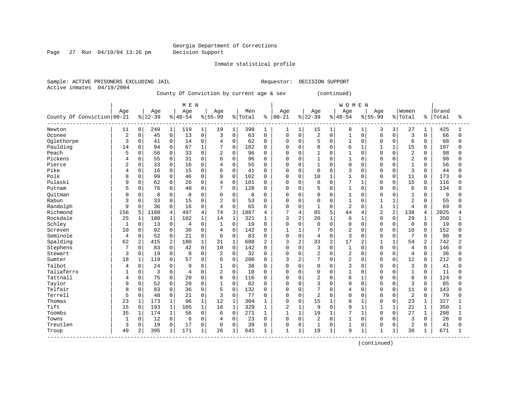Page 27 Run 04/19/04 13:26 pm Decision Support

Inmate statistical profile

Sample: ACTIVE PRISONERS EXCLUDING JAIL **Requestor: DECISION SUPPORT** Active inmates 04/19/2004

County Of Conviction by current age & sex (continued)

|                                                   |                |                |          |                | M E N          |                |                |              |         |                |                |              |                |              | <b>WOMEN</b>   |                |                |                |                 |          |       |              |
|---------------------------------------------------|----------------|----------------|----------|----------------|----------------|----------------|----------------|--------------|---------|----------------|----------------|--------------|----------------|--------------|----------------|----------------|----------------|----------------|-----------------|----------|-------|--------------|
|                                                   | Age            |                | Age      |                | Age            |                | Age            |              | Men     |                | Age            |              | Age            |              | Age            |                | Age            |                | Women           |          | Grand |              |
| County Of Conviction 00-21                        |                |                | $ 22-39$ |                | $8 40-54$      |                | $8155 - 99$    |              | % Total | ွေ             | $ 00-21$       |              | $8 22-39$      |              | $8 40-54$      |                | $8155 - 99$    |                | % Total         | ိ        | Total | ిక           |
| Newton                                            | 11             | 0              | 249      | $\mathbf{1}$   | 119            | 1              | 19             | 1            | 398     | 1              | 1              | $\mathbf{1}$ | 15             | $\mathbf{1}$ | 8              | 1              | 3              | 3              | 27              | 1        | 425   |              |
| Oconee                                            | $\overline{a}$ | $\mathbf 0$    | 45       | $\mathbf 0$    | 13             | $\Omega$       | 3              | $\mathbf 0$  | 63      | $\mathbf 0$    | $\Omega$       | $\Omega$     | $\overline{c}$ | $\Omega$     | $\mathbf{1}$   | $\Omega$       | $\Omega$       | $\Omega$       | $\overline{3}$  | $\Omega$ | 66    | $\Omega$     |
| Oglethorpe                                        | 3              | 0              | 41       | $\mathbf 0$    | 14             | $\Omega$       | $\overline{4}$ | $\mathbf 0$  | 62      | $\Omega$       | $\Omega$       | $\Omega$     | 5              | $\Omega$     | $\mathbf{1}$   | $\Omega$       | $\Omega$       | $\Omega$       | 6               | $\Omega$ | 68    | 0            |
| Paulding                                          | 14             | $\mathbf 0$    | 94       | $\mathbf 0$    | 67             | $\mathbf{1}$   | 7              | $\Omega$     | 182     | $\Omega$       | $\Omega$       | $\Omega$     | 8              | $\Omega$     | 6              | $\mathbf{1}$   | 1              |                | 15              | $\Omega$ | 197   | $\Omega$     |
| Peach                                             | 5              | 0              | 56       | $\mathbf 0$    | 33             | $\Omega$       | $\overline{2}$ | $\mathbf 0$  | 96      | $\mathbf 0$    | $\Omega$       | 0            | $\mathbf{1}$   | $\Omega$     | $\mathbf{1}$   | $\Omega$       | $\Omega$       | $\Omega$       | $\overline{2}$  | 0        | 98    | U            |
| Pickens                                           | $\overline{4}$ | 0              | 55       | $\mathbf 0$    | 31             | $\Omega$       | 6              | $\Omega$     | 96      | $\Omega$       | $\mathbf 0$    | $\Omega$     | $\mathbf{1}$   | $\Omega$     | $\mathbf{1}$   | $\Omega$       | $\Omega$       | $\Omega$       | 2               | $\Omega$ | 98    | $\Omega$     |
| Pierce                                            |                | 0              | 33       | $\mathbf 0$    | 16             | $\Omega$       | 4              | $\Omega$     | 55      | 0              | $\Omega$       | $\Omega$     |                | O            | $\Omega$       | $\Omega$       | $\cap$         | $\Omega$       | $\mathbf 1$     | $\Omega$ | 56    | 0            |
| Pike                                              | 4              | $\mathbf 0$    | 16       | $\mathbf 0$    | 15             | $\Omega$       | 6              | $\Omega$     | 41      | 0              | $\mathbf 0$    | $\Omega$     | $\Omega$       | $\Omega$     | 3              | $\Omega$       | $\Omega$       | $\Omega$       | $\overline{3}$  | $\Omega$ | 44    | <sup>0</sup> |
| Polk                                              | 8              | $\Omega$       | 99       | $\mathbf 0$    | 46             | $\Omega$       | 9              | $\Omega$     | 162     | $\Omega$       | $\Omega$       | $\Omega$     | 10             | $\mathbf{1}$ | $\mathbf{1}$   | $\cap$         | $\Omega$       | $\Omega$       | 11              | $\Omega$ | 173   | $\Omega$     |
| Pulaski                                           | 9              | $\Omega$       | 62       | $\mathbf 0$    | 26             | $\mathbf 0$    | 4              | $\Omega$     | 101     | $\Omega$       | $\Omega$       | $\Omega$     | 8              | $\Omega$     | 7              | 1              | $\Omega$       | $\Omega$       | 15              | $\Omega$ | 116   | $\Omega$     |
| Putnam                                            | 5              | $\mathbf 0$    | 76       | $\mathbf 0$    | 40             | $\Omega$       | 7              | $\Omega$     | 128     | $\Omega$       | $\Omega$       | $\Omega$     | 5              | $\Omega$     |                | $\Omega$       | $\Omega$       | $\Omega$       | 6               | $\Omega$ | 134   | $\Omega$     |
| Ouitman                                           | U              | 0              | 8        | $\mathbf 0$    | $\Omega$       | $\Omega$       | 0              | $\Omega$     | 8       | $\Omega$       | 0              | $\Omega$     | $\Omega$       | $\Omega$     | $\mathbf{1}$   | $\Omega$       | $\Omega$       | $\Omega$       | $\mathbf{1}$    | $\Omega$ | 9     | O            |
| Rabun                                             | 3              | 0              | 33       | $\mathbf 0$    | 15             | $\Omega$       | $\overline{2}$ | $\Omega$     | 53      | $\Omega$       | $\Omega$       | 0            | $\Omega$       | $\Omega$     | $\mathbf{1}$   | $\Omega$       | 1              |                | $\overline{2}$  | $\Omega$ | 55    | O            |
| Randolph                                          | 9              | $\mathbf 0$    | 36       | $\mathbf 0$    | 16             | $\mathbf 0$    | $\overline{4}$ | $\Omega$     | 65      | $\Omega$       | $\Omega$       | 0            | $\mathbf{1}$   | $\Omega$     | $\overline{2}$ | $\Omega$       | $\mathbf{1}$   | $\mathbf{1}$   | $\overline{4}$  | $\Omega$ | 69    | U            |
| Richmond                                          | 156            | 5              | 1160     | 4              | 497            | $\overline{4}$ | 74             | 3            | 1887    | 4              | 7              | 4            | 85             | 5            | 44             | $\overline{4}$ | $\overline{2}$ | $\overline{2}$ | 138             | 4        | 2025  | 4            |
| Rockdale                                          | 25             | 1              | 180      | 1              | 102            | $\mathbf{1}$   | 14             | $\mathbf{1}$ | 321     | 1              | 3              | 2            | 20             | $\mathbf{1}$ | 6              | 1              | $\Omega$       | $\Omega$       | 29              | 1        | 350   |              |
| Schley                                            | $\mathbf{1}$   | $\mathbf 0$    | 13       | $\mathbf 0$    | 4              | $\Omega$       | $\mathbf{1}$   | $\Omega$     | 19      | $\Omega$       | $\Omega$       | $\Omega$     | $\Omega$       | $\Omega$     | $\Omega$       | $\Omega$       | $\Omega$       | $\Omega$       | $\mathbf{0}$    | $\Omega$ | 19    | 0            |
| Screven                                           | 10             | 0              | 92       | $\mathbf 0$    | 36             | $\Omega$       | $\overline{4}$ | $\Omega$     | 142     | $\Omega$       | $\mathbf{1}$   | $\mathbf{1}$ | 7              | $\Omega$     | $\overline{c}$ | $\Omega$       | $\Omega$       | $\Omega$       | 10              | $\Omega$ | 152   | U            |
| Seminole                                          | $\overline{4}$ | $\mathbf 0$    | 52       | $\mathbf 0$    | 21             | $\Omega$       | 6              | $\Omega$     | 83      | $\mathbf 0$    | $\Omega$       | 0            | $\overline{4}$ | $\Omega$     | 3              | $\Omega$       | $\Omega$       | $\Omega$       | $7\phantom{.0}$ | $\Omega$ | 90    | $\Omega$     |
| Spalding                                          | 62             | $\overline{c}$ | 415      | $\overline{c}$ | 180            | $\mathbf{1}$   | 31             | $\mathbf{1}$ | 688     | $\overline{2}$ | 3              | 2            | 33             | 2            | 17             |                | $\mathbf{1}$   | $\mathbf{1}$   | 54              | 2        | 742   | 2            |
| Stephens                                          | 7              | $\mathbf 0$    | 83       | $\mathbf 0$    | 42             | $\mathbf 0$    | 10             | $\Omega$     | 142     | $\Omega$       | $\Omega$       | 0            | 3              | $\Omega$     | $\mathbf{1}$   | $\Omega$       | $\Omega$       | $\Omega$       | $\overline{4}$  | $\Omega$ | 146   | $\Omega$     |
| Stewart                                           | 3              | 0              | 19       | $\mathbf 0$    | 8              | $\mathbf 0$    | $\overline{2}$ | $\Omega$     | 32      | 0              | $\mathbf 0$    | 0            | $\overline{2}$ | $\Omega$     | $\overline{c}$ | $\Omega$       | $\Omega$       | $\Omega$       | $\overline{4}$  | $\Omega$ | 36    | <sup>0</sup> |
| Sumter                                            | 18             | 1              | 119      | 0              | 57             | $\mathbf{0}$   | 6              | $\mathbf 0$  | 200     | $\Omega$       | 3              | 2            | 7              | $\Omega$     | $\overline{2}$ | $\Omega$       | $\Omega$       | $\Omega$       | 12              | 0        | 212   | $\Omega$     |
| Talbot                                            | 4              | 0              | 24       | $\mathbf 0$    | 9              | $\Omega$       | $\mathbf{1}$   | $\Omega$     | 38      | $\Omega$       | $\Omega$       | $\Omega$     | $\Omega$       | $\Omega$     | 3              | $\Omega$       | $\Omega$       | $\Omega$       | 3               | $\Omega$ | 41    | <sup>0</sup> |
| Taliaferro                                        |                | $\Omega$       | 3        | $\Omega$       | $\overline{4}$ | $\Omega$       | $\overline{2}$ | $\Omega$     | 10      | $\Omega$       | $\Omega$       | $\Omega$     | $\Omega$       | $\Omega$     | $\mathbf{1}$   | $\cap$         | $\Omega$       | $\Omega$       | $\mathbf{1}$    | $\Omega$ | 11    | $\Omega$     |
| Tattnall                                          | 4              | 0              | 75       | $\mathbf 0$    | 29             | $\mathbf 0$    | 8              | $\Omega$     | 116     | $\Omega$       | $\Omega$       | $\Omega$     | $\overline{c}$ | $\Omega$     | 6              | 1              | $\Omega$       | $\Omega$       | 8               | $\Omega$ | 124   | U            |
| Taylor                                            | 9              | $\mathbf 0$    | 52       | $\mathbf 0$    | 20             | $\Omega$       | $\mathbf{1}$   | $\mathbf 0$  | 82      | $\mathbf 0$    | $\Omega$       | $\Omega$     | 3              | $\Omega$     | $\Omega$       | $\Omega$       | $\Omega$       | $\Omega$       | 3               | $\Omega$ | 85    | <sup>0</sup> |
| Telfair                                           | 8              | 0              | 83       | $\mathbf 0$    | 36             | $\Omega$       | 5              | $\mathbf 0$  | 132     | $\Omega$       | $\Omega$       | 0            | 7              | $\Omega$     | $\overline{4}$ | $\Omega$       | $\Omega$       | $\Omega$       | 11              | $\Omega$ | 143   | $\Omega$     |
| Terrell                                           | 5              | $\mathbf 0$    | 48       | $\mathbf 0$    | 21             | $\Omega$       | 3              | $\Omega$     | 77      | $\Omega$       | $\Omega$       | $\Omega$     | $\overline{2}$ | $\Omega$     | $\Omega$       | $\Omega$       | $\Omega$       | $\Omega$       | $\overline{2}$  | $\Omega$ | 79    | U            |
| Thomas                                            | 23             | $\mathbf 1$    | 173      | $\mathbf{1}$   | 96             | $\mathbf{1}$   | 12             | $\mathbf{1}$ | 304     | 1              | $\mathbf 0$    | 0            | 15             | $\mathbf{1}$ | 8              |                | $\Omega$       | $\Omega$       | 23              | 1        | 327   |              |
| Tift                                              | 15             | $\mathbf 0$    | 193      | 1              | 105            | $\mathbf{1}$   | 16             | $\mathbf{1}$ | 329     | 1              | $\overline{2}$ | $\mathbf{1}$ | 9              | $\Omega$     | 9              | $\mathbf{1}$   | $\mathbf 1$    |                | 21              | 1        | 350   |              |
| Toombs                                            | 35             | $\mathbf 1$    | 174      | $\mathbf{1}$   | 56             | $\Omega$       | 6              | $\Omega$     | 271     | 1              | $\mathbf{1}$   | $\mathbf{1}$ | 19             | $\mathbf{1}$ | 7              | 1              | $\Omega$       | $\Omega$       | 27              | 1        | 298   | 1            |
| Towns                                             | 1              | 0              | 12       | $\mathbf 0$    | 6              | $\mathbf 0$    | 4              | $\Omega$     | 23      | $\mathbf 0$    | $\mathbf 0$    | $\Omega$     | $\overline{2}$ | $\Omega$     | $\mathbf{1}$   | $\Omega$       | $\Omega$       | $\Omega$       | 3               | $\Omega$ | 26    | 0            |
| Treutlen                                          | 3              | $\mathbf 0$    | 19       | $\mathbf 0$    | 17             | $\mathbf 0$    | $\mathsf 0$    | $\mathbf 0$  | 39      | $\Omega$       | 0              | 0            | $\mathbf{1}$   | $\mathbf 0$  | $\mathbf{1}$   | 0              | $\Omega$       | $\Omega$       | $\overline{2}$  | $\Omega$ | 41    | <sup>0</sup> |
| Troup<br>. <u>_ _ _ _ _ _ _ _ _ _ _ _ _ _ _ _</u> | 49             | 2              | 395      | $\mathbf{1}$   | 171            | $\mathbf{1}$   | 26             | $\mathbf{1}$ | 641     |                | $\mathbf{1}$   | $\mathbf{1}$ | 19             | $\mathbf{1}$ | 9              | 1              | $\mathbf{1}$   | $\mathbf{1}$   | 30              |          | 671   | $\mathbf{1}$ |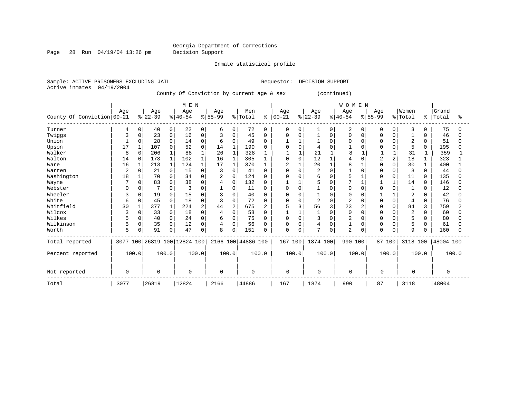Page 28 Run 04/19/04 13:26 pm Decision Support

Inmate statistical profile

Sample: ACTIVE PRISONERS EXCLUDING JAIL **Requestor: DECISION SUPPORT** Active inmates 04/19/2004 County Of Conviction by current age & sex (continued) | M E N | W O M E N |

|                            |                |          |           |             | M F. M                       |          |           |                |                    |              |                |        |                |          | W O M E N      |          |           |          |                |              |           |       |
|----------------------------|----------------|----------|-----------|-------------|------------------------------|----------|-----------|----------------|--------------------|--------------|----------------|--------|----------------|----------|----------------|----------|-----------|----------|----------------|--------------|-----------|-------|
|                            | Age            |          | Age       |             | Age                          |          | Age       |                | Men                |              | Age            |        | Age            |          | Age            |          | Age       |          | Women          |              | Grand     |       |
| County Of Conviction 00-21 |                |          | $ 22-39 $ |             | $8 40-54$                    |          | $8 55-99$ |                | % Total            | ి            | $ 00 - 21$     |        | $ 22-39$       |          | $ 40-54 $      |          | $8 55-99$ |          | % Total        | နွ           | Total     | °     |
| Turner                     | 4              | $\Omega$ | 40        | 0           | 22                           | $\Omega$ | 6         | 0              | 72                 | <sup>0</sup> | $\Omega$       |        |                | 0        | 2              | $\Omega$ |           | $\Omega$ | 3              | $\Omega$     | 75        |       |
| Twiggs                     |                | $\Omega$ | 23        | $\mathbf 0$ | 16                           | O        | 3         | $\Omega$       | 45                 |              | $\Omega$       |        |                | $\Omega$ |                | $\Omega$ |           |          |                | $\Omega$     | 46        |       |
| Union                      |                | ∩        | 28        | $\Omega$    | 14                           |          | 6         | $\Omega$       | 49                 |              |                |        |                |          |                |          |           |          | $\overline{2}$ | $\Omega$     | 51        |       |
| Upson                      | 17             |          | 107       | $\Omega$    | 52                           |          | 14        | $\mathbf{1}$   | 190                |              |                |        |                |          |                |          |           |          | 5              | $\Omega$     | 195       |       |
| Walker                     | 8              | $\Omega$ | 206       |             | 88                           |          | 26        | $\mathbf{1}$   | 328                |              |                |        | 21             |          | 8              |          |           |          | 31             |              | 359       |       |
| Walton                     | 14             | $\Omega$ | 173       |             | 102                          |          | 16        | 1              | 305                |              | $\cap$         | $\cap$ | 12             |          |                |          | 2         |          | 18             |              | 323       |       |
| Ware                       | 16             |          | 213       |             | 124                          |          | 17        |                | 370                |              | $\overline{c}$ |        | 20             |          |                |          |           |          | 30             |              | 400       |       |
| Warren                     | $\overline{2}$ | n        | 21        | $\Omega$    | 15                           |          | 3         |                | 41                 |              |                |        | $\overline{c}$ |          |                |          |           |          | 3              | <sup>0</sup> | 44        |       |
| Washington                 | 18             |          | 70        | $\Omega$    | 34                           |          | 2         | $\Omega$       | 124                |              |                |        | 6              |          |                |          |           |          | 11             | $\Omega$     | 135       |       |
| Wayne                      |                | ∩        | 83        | $\Omega$    | 38                           | ∩        | 4         | $\Omega$       | 132                |              |                |        |                |          |                |          |           |          | 14             | $\Omega$     | 146       |       |
| Webster                    | U              | $\Omega$ | 7         | $\Omega$    | 3                            |          |           | $\Omega$       | 11                 |              | $\Omega$       | $\cap$ |                |          | $\cap$         |          |           |          |                | $\Omega$     | 12        |       |
| Wheeler                    | 3              | n        | 19        | $\Omega$    | 15                           |          | 3         |                | 40                 |              |                |        |                |          |                |          |           |          | $\overline{2}$ |              | 42        |       |
| White                      | 6              | $\Omega$ | 45        | $\Omega$    | 18                           |          | 3         | $\Omega$       | 72                 |              | $\Omega$       |        | $\overline{2}$ | $\Omega$ |                |          |           | $\Omega$ | $\overline{4}$ | $\Omega$     | 76        |       |
| Whitfield                  | 30             |          | 377       |             | 224                          | 2        | 44        | $\overline{2}$ | 675                | 2            |                |        | 56             |          | 23             |          |           |          | 84             | 3            | 759       |       |
| Wilcox                     | 3              | $\Omega$ | 33        | $\Omega$    | 18                           | U        | 4         | $\cap$         | 58                 |              |                |        |                | $\cap$   | $\Omega$       | $\cap$   |           |          | $\overline{c}$ | $\cap$       | 60        |       |
| Wilkes                     | 5              | $\Omega$ | 40        | $\Omega$    | 24                           |          | 6         |                | 75                 |              |                |        | 3              |          | 2              |          |           |          | 5              | <sup>0</sup> | 80        |       |
| Wilkinson                  | 5              | ∩        | 35        | $\Omega$    | 12                           | O        | 4         | U              | 56                 |              | $\Omega$       | O      | 4              |          |                | O        |           |          | 5              | <sup>0</sup> | 61        |       |
| Worth                      | 5              | $\Omega$ | 91        | $\Omega$    | 47                           | 0        | 8         | $\Omega$       | 151                |              | $\Omega$       |        | $\overline{7}$ | 0        | $\overline{2}$ | $\Omega$ | n         | 0        | $\mathsf{Q}$   | $\Omega$     | 160       |       |
| Total reported             |                |          |           |             | 3077 100 26819 100 12824 100 |          |           |                | 2166 100 44886 100 |              | 167 100        |        | 1874 100       |          | 990 100        |          | 87 100    |          | 3118 100       |              | 48004 100 |       |
| Percent reported           | 100.0          |          |           | 100.0       |                              | 100.0    | 100.0     |                |                    | 100.0        |                | 100.0  | 100.0          |          | 100.0          |          |           | 100.0    |                | 100.0        |           | 100.0 |
| Not reported               | 0              |          | $\Omega$  |             | $\Omega$                     |          | $\Omega$  |                | $\Omega$           |              | $\Omega$       |        | $\mathbf 0$    |          | $\Omega$       |          | 0         |          | $\Omega$       |              | $\Omega$  |       |
| Total                      | 3077           |          | 26819     |             | 12824                        |          | 2166      |                | 44886              |              | 167            |        | 1874           |          | 990            |          | 87        |          | 3118           |              | 48004     |       |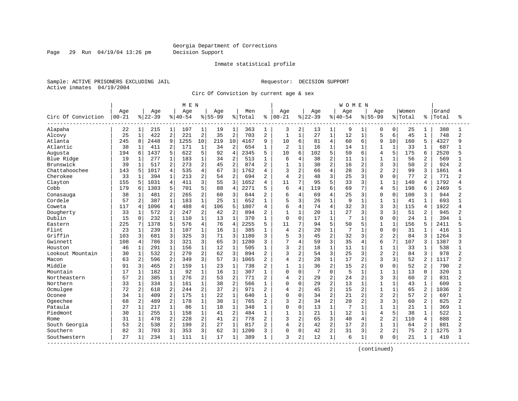Page 29 Run 04/19/04 13:26 pm Decision Support

#### Inmate statistical profile

Sample: ACTIVE PRISONERS EXCLUDING JAIL **Requestor: DECISION SUPPORT** Active inmates 04/19/2004

Circ Of Conviction by current age & sex

|                    |           |                |          |                | M E N     |                |           |                |         |                |                |                |          |                | WOMEN       |                |                |                |         |                |       |                |
|--------------------|-----------|----------------|----------|----------------|-----------|----------------|-----------|----------------|---------|----------------|----------------|----------------|----------|----------------|-------------|----------------|----------------|----------------|---------|----------------|-------|----------------|
|                    | Age       |                | Age      |                | Age       |                | Age       |                | Men     |                | Age            |                | Age      |                | Age         |                | Age            |                | Women   |                | Grand |                |
| Circ Of Conviction | $00 - 21$ |                | $ 22-39$ |                | $8 40-54$ |                | $8 55-99$ |                | % Total | ႜ              | $00 - 21$      |                | $ 22-39$ |                | $8140 - 54$ |                | $8 55-99$      |                | % Total | ႜ              | Total | ፠              |
| Alapaha            | 22        | $\mathbf{1}$   | 215      | 1              | 107       | $\mathbf{1}$   | 19        | $\mathbf{1}$   | 363     | 1              | 3              | 2              | 13       | 1              | 9           | 1              | 0              | 0              | 25      |                | 388   | 1              |
| Alcovy             | 25        | $\mathbf{1}$   | 422      | 2              | 221       | $\sqrt{2}$     | 35        | $\overline{2}$ | 703     | $\overline{2}$ | $\mathbf{1}$   | $\mathbf{1}$   | 27       | $\mathbf{1}$   | 12          | $\mathbf{1}$   | 5              | 6              | 45      | $\mathbf{1}$   | 748   | $\overline{2}$ |
| Atlanta            | 245       | 8              | 2448     | 9              | 1255      | 10             | 219       | 10             | 4167    | $\mathsf{Q}$   | 10             | 6              | 81       | 4              | 60          | 6              | 9              | 10             | 160     | 5              | 4327  | 9              |
| Atlantic           | 38        | 1              | 411      | 2              | 171       | $\mathbf{1}$   | 34        | $\overline{a}$ | 654     | 1              | $\overline{a}$ | $\mathbf{1}$   | 16       | $\mathbf 1$    | 14          | $\mathbf{1}$   | 1              | $\mathbf{1}$   | 33      |                | 687   |                |
| Augusta            | 194       | 6              | 1437     | 5              | 622       | 5              | 92        | $\overline{4}$ | 2345    | 5              | 10             | 6              | 102      | 5              | 59          | 6              | $\overline{4}$ | 5              | 175     | 6              | 2520  |                |
| Blue Ridge         | 19        | $\mathbf 1$    | 277      | $\mathbf 1$    | 183       | $\mathbf{1}$   | 34        | $\overline{2}$ | 513     | 1              | 6              | 4              | 38       | $\overline{a}$ | 11          | 1              | $\mathbf{1}$   | $\mathbf{1}$   | 56      | 2              | 569   |                |
| Brunswick          | 39        | $\mathbf{1}$   | 517      | 2              | 273       | 2              | 45        | $\overline{2}$ | 874     | $\overline{2}$ | $\mathbf{1}$   | $\mathbf{1}$   | 30       | $\overline{a}$ | 16          | 2              | 3              | 3              | 50      | $\overline{2}$ | 924   | 2              |
| Chattahoochee      | 143       | 5              | 1017     | 4              | 535       | $\overline{4}$ | 67        | 3              | 1762    | 4              | 3              | $\overline{a}$ | 66       | 4              | 28          | 3              | $\overline{2}$ | $\overline{a}$ | 99      | 3              | 1861  |                |
| Cherokee           | 33        | 1              | 394      | 1              | 213       | $\overline{2}$ | 54        | $\overline{2}$ | 694     | 2              | $\overline{4}$ | 2              | 48       | 3              | 25          | 3              | $\Omega$       | $\Omega$       | 77      | 2              | 771   | 2              |
| Clayton            | 155       | 5              | 1031     | 4              | 411       | 3              | 55        | 3              | 1652    | 4              | 11             | 7              | 95       | 5              | 33          | 3              | $\mathbf{1}$   | $\mathbf{1}$   | 140     | 4              | 1792  |                |
| Cobb               | 179       | 6              | 1303     | 5              | 701       | 5              | 88        | 4              | 2271    | 5              | 6              | 4              | 119      | 6              | 69          | 7              | $\overline{4}$ | 5              | 198     | 6              | 2469  |                |
| Conasauga          | 38        | $\mathbf 1$    | 481      | $\overline{a}$ | 265       | 2              | 60        | 3              | 844     | $\overline{c}$ | 6              | $\overline{4}$ | 69       | 4              | 25          | 3              | $\Omega$       | $\Omega$       | 100     | 3              | 944   | 2              |
| Cordele            | 57        | 2              | 387      | $\mathbf{1}$   | 183       | $1\,$          | 25        | $\mathbf{1}$   | 652     | 1              | 5              | 3              | 26       | $\mathbf{1}$   | 9           | $\mathbf{1}$   | $\mathbf{1}$   | $\mathbf{1}$   | 41      |                | 693   |                |
| Coweta             | 117       | 4              | 1096     | $\overline{4}$ | 488       | $\overline{4}$ | 106       | 5              | 1807    | $\overline{4}$ | б              | 4              | 74       | 4              | 32          | 3              | 3              | 3              | 115     | 4              | 1922  |                |
| Dougherty          | 33        | $\mathbf 1$    | 572      | $\overline{2}$ | 247       | $\overline{2}$ | 42        | $\overline{2}$ | 894     | $\overline{2}$ | 1              | $\mathbf{1}$   | 20       | $\mathbf 1$    | 27          | 3              | 3              | 3              | 51      | 2              | 945   | 2              |
| Dublin             | 15        | 0              | 232      | $\mathbf{1}$   | 110       | $\mathbf{1}$   | 13        | $\mathbf{1}$   | 370     | 1              | 0              | $\mathbf 0$    | 17       | $\mathbf{1}$   | 7           | 1              | $\Omega$       | $\Omega$       | 24      |                | 394   |                |
| Eastern            | 225       | 7              | 1378     | 5              | 576       | 4              | 76        | $\overline{4}$ | 2255    | 5              | 11             | 7              | 94       | 5              | 50          | 5              | 1              | $\mathbf{1}$   | 156     | 5              | 2411  |                |
| Flint              | 23        | 1              | 239      | $\mathbf{1}$   | 107       | $\mathbf{1}$   | 16        | $\mathbf{1}$   | 385     | 1              | $\overline{4}$ | 2              | 20       | $\mathbf{1}$   | 7           | 1              | $\Omega$       | $\Omega$       | 31      |                | 416   |                |
| Griffin            | 103       | 3              | 681      | 3              | 325       | 3              | 71        | 3              | 1180    | $\mathbf{3}$   | 5              | 3              | 45       | $\overline{a}$ | 32          | 3              | $\overline{c}$ | $\overline{2}$ | 84      | 3              | 1264  | 3              |
| Gwinnett           | 108       | 4              | 786      | 3              | 321       | 3              | 65        | 3              | 1280    | 3              | 7              | 4              | 59       | 3              | 35          | 4              | 6              | 7              | 107     | 3              | 1387  | ζ              |
| Houston            | 46        | 1              | 291      | $\mathbf 1$    | 156       | $\mathbf{1}$   | 12        | $\mathbf{1}$   | 505     | 1              | 3              | $\overline{2}$ | 18       | 1              | 11          |                |                | $\mathbf{1}$   | 33      |                | 538   |                |
| Lookout Mountain   | 30        | $\mathbf 1$    | 532      | $\overline{a}$ | 270       | $\overline{2}$ | 62        | 3              | 894     | $\overline{a}$ | 3              | $\overline{2}$ | 54       | 3              | 25          | 3              | $\overline{2}$ | $\overline{2}$ | 84      | 3              | 978   | $\overline{2}$ |
| Macon              | 63        | 2              | 596      | 2              | 349       | 3              | 57        | 3              | 1065    | $\overline{2}$ | 4              | $\overline{a}$ | 28       | $\mathbf{1}$   | 17          | 2              | 3              | 3              | 52      | 2              | 1117  | 2              |
| Middle             | 91        | 3              | 465      | $\overline{a}$ | 159       | $\mathbf{1}$   | 23        | $\mathbf{1}$   | 738     | $\overline{2}$ | $\mathbf{1}$   | $\mathbf{1}$   | 36       | $\overline{2}$ | 15          | 2              | $\Omega$       | $\Omega$       | 52      | 2              | 790   |                |
| Mountain           | 17        | $\mathbf{1}$   | 182      | $\mathbf{1}$   | 92        | $1\,$          | 16        | $\mathbf 1$    | 307     | $\mathbf{1}$   | 0              | $\mathbf 0$    | 7        | $\Omega$       | 5           | $\mathbf{1}$   | $\mathbf{1}$   | $\mathbf{1}$   | 13      | $\Omega$       | 320   |                |
| Northeastern       | 57        | $\overline{a}$ | 385      | $\mathbf{1}$   | 276       | $\overline{a}$ | 53        | $\overline{2}$ | 771     | $\overline{2}$ | 4              | $\overline{c}$ | 29       | $\overline{2}$ | 24          | $\overline{2}$ | $\mathbf{3}$   | 3              | 60      | $\overline{a}$ | 831   | $\overline{a}$ |
| Northern           | 33        | $\mathbf{1}$   | 334      | $\mathbf{1}$   | 161       | $\mathbf 1$    | 38        | $\overline{2}$ | 566     | 1              | 0              | $\mathbf 0$    | 29       | $\overline{2}$ | 13          | 1              |                | $\mathbf{1}$   | 43      |                | 609   |                |
| Ocmulgee           | 72        | $\overline{2}$ | 618      | $\overline{2}$ | 244       | $\overline{2}$ | 37        | $\overline{2}$ | 971     | $\overline{2}$ | 4              | $\overline{2}$ | 45       | $\overline{2}$ | 15          | 2              | $\mathbf{1}$   | $\mathbf{1}$   | 65      | 2              | 1036  | 2              |
| Oconee             | 34        | 1              | 409      | $\overline{2}$ | 175       | $\mathbf{1}$   | 22        | $\mathbf{1}$   | 640     | -1             | $\Omega$       | $\Omega$       | 34       | $\overline{a}$ | 21          | $\overline{2}$ | $\overline{2}$ | $\overline{2}$ | 57      | 2              | 697   |                |
| Ogeechee           | 68        | $\overline{a}$ | 489      | $\overline{c}$ | 178       | $1\,$          | 30        | $\mathbf 1$    | 765     | $\overline{2}$ | 3              | $\overline{2}$ | 34       | $\overline{c}$ | 20          | 2              | 3              | 3              | 60      | 2              | 825   | 2              |
| Pataula            | 27        | $\mathbf{1}$   | 217      | $\mathbf{1}$   | 86        | $1\,$          | 18        | $\mathbf{1}$   | 348     | 1              | 0              | $\mathbf 0$    | 13       | $\mathbf{1}$   | 7           | $\mathbf{1}$   | $\mathbf{1}$   | $\mathbf{1}$   | 21      | $\mathbf{1}$   | 369   |                |
| Piedmont           | 30        | $\mathbf 1$    | 255      | $\mathbf{1}$   | 158       | $\mathbf{1}$   | 41        | $\overline{2}$ | 484     | 1              | 1              | 1              | 21       | $\mathbf{1}$   | 12          | 1              | $\overline{4}$ | 5              | 38      | $\mathbf{1}$   | 522   |                |
| Rome               | 31        | 1              | 478      | $\overline{2}$ | 228       | $\overline{2}$ | 41        | $\overline{2}$ | 778     | $\overline{2}$ | 3              | $\overline{2}$ | 65       | 3              | 40          | 4              | $\overline{2}$ | $\overline{2}$ | 110     | 4              | 888   | $\overline{2}$ |
| South Georgia      | 53        | 2              | 538      | $\overline{2}$ | 199       | $\overline{2}$ | 27        | $\mathbf{1}$   | 817     | $\overline{c}$ | 4              | 2              | 42       | $\overline{a}$ | 17          | 2              | $\mathbf{1}$   | $\mathbf{1}$   | 64      | 2              | 881   | $\overline{2}$ |
| Southern           | 82        | 3              | 703      | 3              | 353       | 3              | 62        | 3              | 1200    | 3              | 0              | $\Omega$       | 42       | 2              | 31          | 3              | $\overline{2}$ | $\overline{a}$ | 75      | 2              | 1275  | 3              |
| Southwestern       | 27        | 1              | 234      | $\mathbf{1}$   | 111       | $\mathbf{1}$   | 17        | $\mathbf{1}$   | 389     | 1              | 3              | 2              | 12       | $\mathbf{1}$   | 6           | $\mathbf{1}$   | $\Omega$       | $\mathbf 0$    | 21      |                | 410   |                |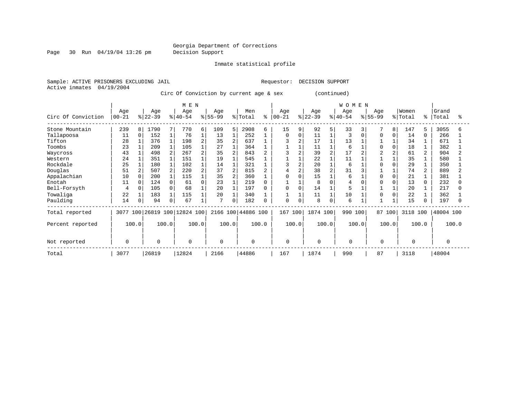Page 30 Run 04/19/04 13:26 pm Decision Support

Inmate statistical profile

Sample: ACTIVE PRISONERS EXCLUDING JAIL **Requestor: DECISION SUPPORT** Active inmates 04/19/2004

Circ Of Conviction by current age & sex (continued)

|                    |                  |          |                  |                | M E N                        |       |                  |                |                    |       |                  |       |                  |   | WOMEN            |                  |   |                  |                |                |       |
|--------------------|------------------|----------|------------------|----------------|------------------------------|-------|------------------|----------------|--------------------|-------|------------------|-------|------------------|---|------------------|------------------|---|------------------|----------------|----------------|-------|
| Circ Of Conviction | Age<br>$00 - 21$ |          | Age<br>$ 22-39 $ |                | Age<br>$ 40-54$              |       | Age<br>$ 55-99 $ |                | Men<br>% Total     | ి     | Age<br>$00 - 21$ |       | Age<br>$ 22-39 $ |   | Age<br>$ 40-54 $ | Age<br>$ 55-99 $ |   | Women<br>% Total | ి              | Grand<br>Total | る     |
| Stone Mountain     | 239              | 8        | 1790             | 7              | 770                          | 6     | 109              | 5              | 2908               | 6     | 15               | 9     | 92               | 5 | 33               |                  | 8 | 147              | 5              | 3055           | 6     |
| Tallapoosa         | 11               | $\Omega$ | 152              |                | 76                           |       | 13               |                | 252                |       | $\Omega$         |       | 11               |   | 3                | $\cap$           | 0 | 14               | 0              | 266            |       |
| Tifton             | 28               |          | 376              |                | 198                          |       | 35               | $\overline{a}$ | 637                |       |                  |       | 17               |   | 13               |                  |   | 34               |                | 671            |       |
| Toombs             | 23               |          | 209              |                | 105                          |       | 27               |                | 364                |       |                  |       | 11               |   | 6                |                  | 0 | 18               |                | 382            |       |
| Waycross           | 43               |          | 498              | 2              | 267                          |       | 35               |                | 843                |       |                  |       | 39               |   | 17               |                  | 2 | 61               | $\overline{a}$ | 904            |       |
| Western            | 24               |          | 351              |                | 151                          |       | 19               |                | 545                |       |                  |       | 22               |   | 11               |                  |   | 35               |                | 580            |       |
| Rockdale           | 25               |          | 180              |                | 102                          |       | 14               |                | 321                |       |                  |       | 20               |   | 6                |                  |   | 29               |                | 350            |       |
| Douglas            | 51               |          | 507              | $\overline{2}$ | 220                          |       | 37               | $\overline{a}$ | 815                |       |                  |       | 38               |   | 31               |                  |   | 74               |                | 889            |       |
| Appalachian        | 10               | $\Omega$ | 200              |                | 115                          |       | 35               | $\overline{a}$ | 360                |       | $\Omega$         |       | 15               |   | 6                |                  | 0 | 21               |                | 381            |       |
| Enotah             | 11               | $\Omega$ | 124              | 0              | 61                           |       | 23               |                | 219                |       |                  |       | 8                |   |                  |                  |   | 13               |                | 232            |       |
| Bell-Forsyth       | 4                |          | 105              | 0              | 68                           |       | 20               |                | 197                |       | $\Omega$         |       | 14               |   |                  |                  |   | 20               |                | 217            |       |
| Towaliga           | 22               |          | 183              | 1              | 115                          |       | 20               |                | 340                |       |                  |       | 11               |   | 10               | $\Omega$         | 0 | 22               |                | 362            |       |
| Paulding           | 14               | 0        | 94               | 0              | 67                           |       | 7                | $\mathbf 0$    | 182                |       | $\mathbf 0$      |       | 8                |   | 6                |                  |   | 15               |                | 197            |       |
| Total reported     |                  |          |                  |                | 3077 100 26819 100 12824 100 |       |                  |                | 2166 100 44886 100 |       | 167 100          |       | 1874 100         |   | 990 100          | 87 100           |   | 3118 100         |                | 48004 100      |       |
| Percent reported   |                  | 100.0    |                  | 100.0          |                              | 100.0 | 100.0            |                |                    | 100.0 |                  | 100.0 | 100.0            |   | 100.0            | 100.0            |   |                  | 100.0          |                | 100.0 |
| Not reported       | $\Omega$         |          | $\Omega$         |                | $\Omega$                     |       | $\Omega$         |                | 0                  |       | $\mathbf 0$      |       | $\mathbf 0$      |   | $\Omega$         | $\Omega$         |   |                  |                | 0              |       |
| Total              | 3077             |          | 26819            |                | 12824                        |       | 2166             |                | 44886              |       | 167              |       | 1874             |   | 990              | 87               |   | 3118             |                | 48004          |       |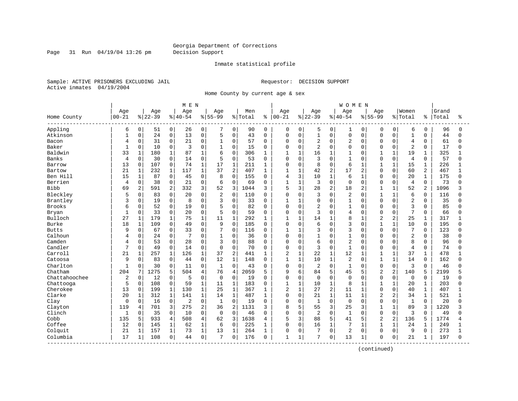Page 31 Run 04/19/04 13:26 pm Decision Support

#### Inmate statistical profile

Sample: ACTIVE PRISONERS EXCLUDING JAIL **Requestor: DECISION SUPPORT** Active inmates 04/19/2004

Home County by current age & sex

|               |                |                |          |                | M E N       |                     |                |                |         |              |              |              |                |                | <b>WOMEN</b>   |              |                |                |                |                |       |              |
|---------------|----------------|----------------|----------|----------------|-------------|---------------------|----------------|----------------|---------|--------------|--------------|--------------|----------------|----------------|----------------|--------------|----------------|----------------|----------------|----------------|-------|--------------|
|               | Age            |                | Age      |                | Age         |                     | Age            |                | Men     |              | Age          |              | Age            |                | Age            |              | Aqe            |                | Women          |                | Grand |              |
| Home County   | $00 - 21$      |                | $ 22-39$ |                | $8140 - 54$ |                     | $8155 - 99$    |                | % Total | ႜ            | $ 00 - 21$   |              | $ 22-39$       |                | $8 40-54$      |              | $8155 - 99$    |                | % Total        | ႜ              | Total | ႜ            |
| Appling       | 6              | 0              | 51       | 0              | 26          | 0                   |                | 0              | 90      | 0            | 0            | 0            | 5              | 0              | 1              | 0            | 0              | 0              | 6              | 0              | 96    | 0            |
| Atkinson      | $\mathbf{1}$   | 0              | 24       | 0              | 13          | $\mathbf 0$         | 5              | 0              | 43      | $\Omega$     | 0            | $\mathbf 0$  | $\mathbf{1}$   | $\mathbf 0$    | $\mathbf 0$    | 0            | $\Omega$       | $\Omega$       | $\mathbf{1}$   | $\Omega$       | 44    | $\Omega$     |
| Bacon         | 4              | 0              | 31       | 0              | 21          | $\mathbf 0$         | 1              | $\Omega$       | 57      | $\Omega$     | 0            | $\mathbf 0$  | 2              | $\Omega$       | $\overline{2}$ | $\Omega$     | $\Omega$       | $\Omega$       | 4              | $\Omega$       | 61    | $\Omega$     |
| Baker         | $\mathbf{1}$   | 0              | 10       | 0              | 3           | $\mathbf 0$         |                | $\Omega$       | 15      | $\Omega$     | 0            | $\mathbf 0$  | 2              | $\Omega$       | $\mathbf 0$    | $\Omega$     | $\Omega$       | $\Omega$       | $\overline{2}$ | $\Omega$       | 17    |              |
| Baldwin       | 33             | $\mathbf{1}$   | 180      | $\mathbf{1}$   | 87          | $\mathbf{1}$        | 6              | $\Omega$       | 306     | $\mathbf{1}$ | $\mathbf{1}$ | $\mathbf{1}$ | 16             | $\mathbf{1}$   | $\mathbf{1}$   | $\cap$       | 1              | $\mathbf{1}$   | 19             | $\mathbf 1$    | 325   |              |
| Banks         | 4              | 0              | 30       | 0              | 14          | $\mathbf 0$         | 5              | $\Omega$       | 53      | $\Omega$     | 0            | $\Omega$     | 3              | $\Omega$       | $\mathbf{1}$   | $\Omega$     | $\Omega$       | $\Omega$       | 4              | 0              | 57    | n            |
| Barrow        | 13             | $\mathbf 0$    | 107      | 0              | 74          | $\mathbf{1}$        | 17             | $\mathbf 1$    | 211     | 1            | 0            | $\mathbf 0$  | 8              | $\Omega$       | 6              | $\mathbf{1}$ | $\mathbf{1}$   | $\mathbf{1}$   | 15             | $\mathbf{1}$   | 226   |              |
| Bartow        | 21             | 1              | 232      | $\mathbf{1}$   | 117         | $1\,$               | 37             | $\overline{2}$ | 407     | 1            | $\mathbf{1}$ | $\mathbf{1}$ | 42             | 2              | 17             | 2            | $\Omega$       | $\Omega$       | 60             | $\overline{2}$ | 467   | $\mathbf{1}$ |
| Ben Hill      | 15             | 1              | 87       | 0              | 45          | 0                   | 8              | $\mathbf 0$    | 155     | 0            | 4            | 3            | 10             | 1              | 6              | $\mathbf{1}$ | $\Omega$       | $\Omega$       | 20             | 1              | 175   | U            |
| Berrien       | 4              | 0              | 38       | 0              | 21          | $\mathbf 0$         | 6              | 0              | 69      | 0            | $\mathbf{1}$ | $\mathbf{1}$ | 3              | $\mathbf 0$    | $\mathbf 0$    | 0            | $\Omega$       | $\mathbf 0$    | 4              | $\mathbf 0$    | 73    |              |
| Bibb          | 69             | $\overline{a}$ | 591      | 2              | 332         | 3                   | 52             | 3              | 1044    | 3            | 5            | 3            | 28             | 2              | 18             | 2            | $\mathbf{1}$   | $\mathbf{1}$   | 52             | 2              | 1096  |              |
| Bleckley      | 5              | 0              | 83       | $\Omega$       | 20          | $\Omega$            | $\overline{2}$ | $\Omega$       | 110     | $\Omega$     | 0            | $\Omega$     | 3              | $\Omega$       | $\overline{2}$ | $\Omega$     | 1              | $\mathbf{1}$   | 6              | $\Omega$       | 116   |              |
| Brantley      | 3              | 0              | 19       | $\overline{0}$ | 8           | $\Omega$            | 3              | $\mathbf 0$    | 33      | $\Omega$     | 1            | $\mathbf{1}$ | 0              | $\Omega$       | $\mathbf{1}$   | $\Omega$     | $\Omega$       | $\Omega$       | $\overline{2}$ | $\Omega$       | 35    |              |
| <b>Brooks</b> | 6              | 0              | 52       | 0              | 19          | $\mathbf 0$         | 5              | 0              | 82      | $\Omega$     | 0            | $\mathbf 0$  | 2              | $\Omega$       | $\mathbf{1}$   | $\Omega$     | $\Omega$       | $\Omega$       | 3              | $\Omega$       | 85    |              |
| Bryan         | $\mathbf{1}$   | 0              | 33       | 0              | 20          | $\mathbf 0$         | 5              | $\Omega$       | 59      | $\Omega$     | 0            | $\mathbf 0$  | 3              | $\Omega$       | 4              | $\Omega$     | $\Omega$       | $\Omega$       | 7              | $\Omega$       | 66    |              |
| Bulloch       | 27             | 1              | 179      | $\mathbf 1$    | 75          | $\mathbf 1$         | 11             | $\mathbf{1}$   | 292     |              | 1            | $\mathbf{1}$ | 14             |                | 8              | 1            | $\overline{2}$ | 2              | 25             | 1              | 317   |              |
| Burke         | 18             | $\mathbf 1$    | 109      | 0              | 49          | $\Omega$            | 9              | $\Omega$       | 185     | $\Omega$     | $\Omega$     | $\Omega$     | 6              | $\Omega$       | 3              | $\Omega$     | $\mathbf{1}$   | $\mathbf{1}$   | 10             | $\Omega$       | 195   | ∩            |
| <b>Butts</b>  | 9              | 0              | 67       | $\mathbf{0}$   | 33          | $\mathbf 0$         | 7              | $\mathbf 0$    | 116     | 0            | 1            | $\mathbf{1}$ | 3              | $\Omega$       | 3              | $\Omega$     | $\Omega$       | $\Omega$       | 7              | $\Omega$       | 123   |              |
| Calhoun       | 4              | 0              | 24       | 0              |             | $\mathbf 0$         | 1              | 0              | 36      | $\Omega$     | $\Omega$     | $\mathbf 0$  | $\mathbf{1}$   | $\Omega$       | $\mathbf{1}$   | $\Omega$     | $\Omega$       | $\mathbf 0$    | $\overline{2}$ | 0              | 38    |              |
| Camden        | 4              | 0              | 53       | $\mathbf{0}$   | 28          | $\mathbf 0$         | 3              | 0              | 88      | $\Omega$     | 0            | $\mathbf 0$  | 6              | $\Omega$       | $\overline{2}$ | $\Omega$     | $\Omega$       | $\Omega$       | 8              | $\Omega$       | 96    | $\cap$       |
| Candler       | 7              | 0              | 49       | 0              | 14          | $\mathbf 0$         | 0              | 0              | 70      | 0            | 0            | 0            | 3              | $\Omega$       | $\mathbf{1}$   | $\Omega$     | $\Omega$       | 0              | $\overline{4}$ | $\Omega$       | 74    |              |
| Carroll       | 21             | $\mathbf{1}$   | 257      | $\mathbf{1}$   | 126         | $\mathbf{1}$        | 37             | $\overline{2}$ | 441     | 1            | 2            | $\mathbf{1}$ | 22             | $\mathbf{1}$   | 12             | $\mathbf{1}$ | $\mathbf{1}$   | $\mathbf{1}$   | 37             | $\mathbf 1$    | 478   |              |
| Catoosa       | 9              | $\Omega$       | 83       | $\Omega$       | 44          | $\Omega$            | 12             | $\mathbf{1}$   | 148     | $\Omega$     | $\mathbf{1}$ | $\mathbf{1}$ | 10             | $\mathbf{1}$   | $\overline{2}$ | $\Omega$     | $\mathbf{1}$   | $\mathbf{1}$   | 14             | $\Omega$       | 162   |              |
| Charlton      | $\mathbf{1}$   | 0              | 30       | $\Omega$       | 11          | $\mathbf 0$         | $\mathbf{1}$   | $\Omega$       | 43      | $\Omega$     | 0            | $\mathbf 0$  | 2              | $\Omega$       | $\mathbf{1}$   | $\Omega$     | $\Omega$       | $\mathbf 0$    | 3              | $\Omega$       | 46    |              |
| Chatham       | 204            | 7              | 1275     | 5              | 504         | 4                   | 76             | $\overline{4}$ | 2059    | 5            | 9            | 6            | 84             | 5              | 45             | 5            | $\overline{c}$ | $\overline{a}$ | 140            | 5              | 2199  |              |
| Chattahoochee | $\overline{2}$ | 0              | 12       | 0              | 5           | $\mathbf 0$         | $\mathbf 0$    | $\mathbf 0$    | 19      | $\Omega$     | $\Omega$     | $\mathbf 0$  | 0              | $\Omega$       | $\mathbf 0$    | $\Omega$     | $\Omega$       | $\mathbf 0$    | $\mathbf 0$    | $\Omega$       | 19    |              |
| Chattooga     | 5              | $\mathbf 0$    | 108      | 0              | 59          | $\mathbf{1}$        | 11             | $\mathbf{1}$   | 183     | 0            | 1            | $\mathbf{1}$ | 10             | $\mathbf 1$    | 8              | 1            | 1              | 1              | 20             | 1              | 203   | U            |
| Cherokee      | 13             | $\mathbf 0$    | 199      | $\mathbf 1$    | 130         | $\mathbf 1$         | 25             | $\mathbf{1}$   | 367     | 1            | 2            | $\mathbf{1}$ | 27             | $\overline{c}$ | 11             | $\mathbf{1}$ | $\Omega$       | $\Omega$       | 40             | $\mathbf 1$    | 407   |              |
| Clarke        | 20             | $\mathbf 1$    | 312      | $\mathbf{1}$   | 141         | $\mathbf{1}$        | 14             | $\mathbf{1}$   | 487     | 1            | 0            | $\mathbf 0$  | 21             | $\mathbf{1}$   | 11             | $\mathbf{1}$ | $\overline{a}$ | 2              | 34             | $\mathbf 1$    | 521   |              |
| Clay          | 0              | $\mathbf 0$    | 16       | 0              | 2           | $\mathbf 0$         | $\mathbf{1}$   | $\mathbf 0$    | 19      | $\Omega$     | 0            | $\mathbf 0$  | $\mathbf{1}$   | $\mathbf 0$    | $\mathbf 0$    | $\Omega$     | $\Omega$       | 0              | $\mathbf{1}$   | $\mathbf 0$    | 20    |              |
| Clayton       | 119            | 4              | 701      | 3              | 275         | 2                   | 36             | $\overline{2}$ | 1131    | 3            | 8            | 5            | 55             | 3              | 25             | 3            | $\mathbf{1}$   | $\mathbf{1}$   | 89             | 3              | 1220  |              |
| Clinch        | $\mathbf{1}$   | $\Omega$       | 35       | $\Omega$       | 10          | $\Omega$            | $\Omega$       | $\Omega$       | 46      | $\Omega$     | $\Omega$     | $\Omega$     | $\overline{a}$ | $\Omega$       | $\mathbf{1}$   | $\Omega$     | $\Omega$       | $\Omega$       | 3              | $\Omega$       | 49    | $\cap$       |
| Cobb          | 135            | 5              | 933      | 4              | 508         | $\overline{4}$      | 62             | 3              | 1638    | 4            | 5            | 3            | 88             | 5              | 41             | 5            | $\overline{a}$ | 2              | 136            | 5              | 1774  |              |
| Coffee        | 12             | $\Omega$       | 145      | 1              | 62          | $\mathbf{1}$        | 6              | $\Omega$       | 225     | $\mathbf{1}$ | $\Omega$     | $\Omega$     | 16             | $\mathbf{1}$   | 7              | $\mathbf{1}$ | $\mathbf{1}$   | $\mathbf{1}$   | 24             | $\mathbf 1$    | 249   |              |
| Colquit       | 21             | $\mathbf 1$    | 157      | $\mathbf{1}$   | 73          | $\mathbf{1}$        | 13             | $\mathbf{1}$   | 264     | 1            | 0            | $\Omega$     | 7              | $\Omega$       | $\overline{2}$ | $\Omega$     | $\Omega$       | $\Omega$       | 9              | $\Omega$       | 273   |              |
| Columbia      | 17             | 1              | 108      | $\mathbf{0}$   | 44          | $\mathsf{O}\xspace$ |                | 0              | 176     | $\Omega$     | 1            | 1            | 7              | 0              | 13             | 1            | $\Omega$       | 0              | 21             | 1              | 197   | $\Omega$     |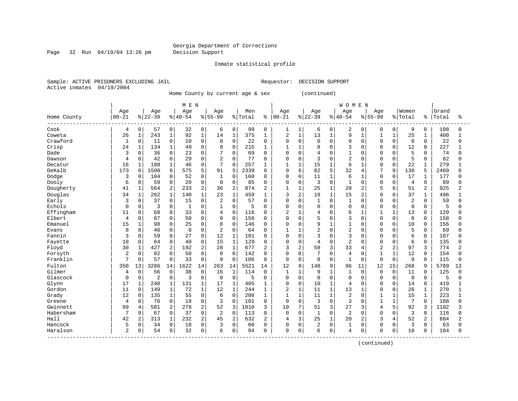Page 32 Run 04/19/04 13:26 pm Decision Support

Inmate statistical profile

Sample: ACTIVE PRISONERS EXCLUDING JAIL **Requestor: DECISION SUPPORT** Active inmates 04/19/2004

Home County by current age & sex (continued)

| Age<br>Age<br>$00 - 21$<br>$ 22-39$<br>Home County<br>Cook<br>0<br>57<br>4<br>Coweta<br>$\mathbf{1}$<br>243<br>26<br>Crawford<br>0<br>$\mathbf{1}$<br>11<br>134<br>Crisp<br>24<br>$\mathbf{1}$<br>Dade<br>3<br>0<br>36<br>0<br>42<br>Dawson<br>4<br>Decatur<br>16<br>$\mathbf{1}$<br>188<br>DeKalb<br>173<br>6<br>1500<br>Dodge<br>$\Omega$<br>104<br>3<br>0<br>Dooly<br>59<br>6<br>$\mathbf{1}$<br>Dougherty<br>41<br>564<br>Douglas<br>$\mathbf 1$<br>34<br>262<br>0<br>37<br>Early<br>3<br>Echols<br>$\Omega$<br>0 | Age<br>Men<br>Age<br>$8140 - 54$<br>$8 55-99$<br>% Total               | Age<br>Grand<br>Age<br>Age<br>Aqe<br>Women<br>$00 - 21$<br>$ 22-39$<br>$8 40-54$<br>$8 55-99$<br>% Total<br>Total<br>ႜ<br>ႜ                | ిక                 |
|-----------------------------------------------------------------------------------------------------------------------------------------------------------------------------------------------------------------------------------------------------------------------------------------------------------------------------------------------------------------------------------------------------------------------------------------------------------------------------------------------------------------------|------------------------------------------------------------------------|--------------------------------------------------------------------------------------------------------------------------------------------|--------------------|
|                                                                                                                                                                                                                                                                                                                                                                                                                                                                                                                       |                                                                        |                                                                                                                                            |                    |
|                                                                                                                                                                                                                                                                                                                                                                                                                                                                                                                       |                                                                        |                                                                                                                                            |                    |
|                                                                                                                                                                                                                                                                                                                                                                                                                                                                                                                       | 0<br>32<br>$\mathbf 0$<br>$\mathbf 0$<br>99<br>6                       | 9<br>108<br>0<br>0<br>2<br>0<br>0<br>1<br>1<br>6<br>0<br>0                                                                                 | 0                  |
|                                                                                                                                                                                                                                                                                                                                                                                                                                                                                                                       | $\mathbf{1}$<br>$\mathbf{1}$<br>14<br>$1\,$<br>375<br>92               | 2<br>$\mathbf{1}$<br>13<br>9<br>25<br>$\mathbf{1}$<br>400<br>$\mathbf{1}$<br>$\mathbf{1}$<br>1<br>$\mathbf{1}$<br>1                        | 1                  |
|                                                                                                                                                                                                                                                                                                                                                                                                                                                                                                                       | 0<br>$\mathbf 0$<br>$\mathbf 0$<br>$\mathbf 0$<br>22<br>10             | $\Omega$<br>$\mathbf 0$<br>$\mathbf 0$<br>$\mathbf 0$<br>$\Omega$<br>0<br>$\Omega$<br>$\Omega$<br>$\mathbf 0$<br>$\Omega$<br>$\Omega$      | 22<br>0            |
|                                                                                                                                                                                                                                                                                                                                                                                                                                                                                                                       | $\mathbf{1}$<br>$\Omega$<br>8<br>$\Omega$<br>215<br>49                 | 3<br>227<br>$\mathbf{1}$<br>$\mathbf{1}$<br>$\mathbf{1}$<br>8<br>$\Omega$<br>$\Omega$<br>$\Omega$<br>12<br>$\Omega$<br>$\Omega$            | $\mathbf{1}$       |
|                                                                                                                                                                                                                                                                                                                                                                                                                                                                                                                       | $\mathbf 0$<br>0<br>7<br>$\Omega$<br>69<br>23                          | $\mathbf 0$<br>$\overline{4}$<br>5<br>$\mathbf 0$<br>0<br>$\Omega$<br>$\cap$<br>$\Omega$<br>0<br>0                                         | 74<br><sup>0</sup> |
|                                                                                                                                                                                                                                                                                                                                                                                                                                                                                                                       | 0<br>0<br>$\overline{c}$<br>$\Omega$<br>77<br>29                       | $\overline{c}$<br>5<br>3<br>0<br>$\Omega$<br>$\Omega$<br>$\mathbf 0$<br>$\Omega$<br>$\Omega$<br>$\cap$<br>$\Omega$                         | 82<br><sup>0</sup> |
|                                                                                                                                                                                                                                                                                                                                                                                                                                                                                                                       | $\mathbf{1}$<br>$\Omega$<br>7<br>$\Omega$<br>46<br>257                 | $\mathbf{1}$<br>15<br>$\mathbf{1}$<br>6<br>22<br>279<br>$\mathbf{1}$<br>$\Omega$<br>$\Omega$<br>$\mathbf{1}$<br>-1                         |                    |
|                                                                                                                                                                                                                                                                                                                                                                                                                                                                                                                       | 6<br>5<br>91<br>575<br>5<br>2339                                       | 9<br>82<br>5<br>32<br>7<br>6<br>9<br>130<br>5<br>2469<br>6<br>4                                                                            | б                  |
|                                                                                                                                                                                                                                                                                                                                                                                                                                                                                                                       | $\mathbf 0$<br>$\Omega$<br>52<br>$\Omega$<br>160<br>1                  | 6<br>$\mathbf 0$<br>11<br>$\mathbf{1}$<br>$\Omega$<br>17<br>177<br>$\Omega$<br>1<br>$\Omega$<br>$\Omega$<br>1                              | 0                  |
|                                                                                                                                                                                                                                                                                                                                                                                                                                                                                                                       | $\mathbf 0$<br>0<br>$\mathbf 0$<br>$\mathbf 0$<br>85<br>20             | 3<br>$\mathbf 0$<br>0<br>$\mathbf 0$<br>$\Omega$<br>$\mathbf 0$<br>$\overline{4}$<br>0<br>$\mathbf 0$<br>$\Omega$                          | 89<br>0            |
|                                                                                                                                                                                                                                                                                                                                                                                                                                                                                                                       | $\overline{c}$<br>$\overline{2}$<br>36<br>$\overline{2}$<br>233<br>874 | $\mathbf{1}$<br>$\overline{2}$<br>$\mathbf{1}$<br>25<br>6<br>51<br>2<br>1<br>20<br>2<br>5<br>925                                           | 2                  |
|                                                                                                                                                                                                                                                                                                                                                                                                                                                                                                                       | $\mathbf{1}$<br>$1\,$<br>140<br>$\mathbf 1$<br>23<br>459               | 3<br>2<br>1<br>19<br>15<br>2<br>37<br>496<br>1<br>$\Omega$<br>$\Omega$<br>1                                                                | $\mathbf{1}$       |
|                                                                                                                                                                                                                                                                                                                                                                                                                                                                                                                       | $\mathbf 0$<br>0<br>$\overline{2}$<br>$\Omega$<br>57<br>15             | 2<br>$\mathbf 0$<br>$\mathbf 0$<br>$\mathbf{1}$<br>0<br>$\mathbf{1}$<br>$\Omega$<br>$\Omega$<br>$\mathbf 0$<br>$\Omega$<br>$\Omega$        | 59<br>$\Omega$     |
|                                                                                                                                                                                                                                                                                                                                                                                                                                                                                                                       | 0<br>$\mathbf 0$<br>3<br>$\mathbf 0$<br>5<br>1                         | 0<br>$\Omega$<br>$\Omega$<br>$\Omega$<br>$\Omega$<br>$\mathbf 0$<br>$\mathbf 0$<br>$\Omega$<br>$\Omega$<br>$\Omega$<br>0                   | 5<br>$\Omega$      |
| Effingham<br>11<br>0<br>68                                                                                                                                                                                                                                                                                                                                                                                                                                                                                            | 0<br>0<br>$\Omega$<br>33<br>$\overline{4}$<br>116                      | $\overline{2}$<br>6<br>13<br>129<br>$\mathbf{1}$<br>4<br>$\Omega$<br>$\mathbf{1}$<br>$\Omega$<br>0<br>$\mathbf{1}$                         | O                  |
| Elbert<br>87<br>0<br>4                                                                                                                                                                                                                                                                                                                                                                                                                                                                                                | $\mathbf 0$<br>$\Omega$<br>$\Omega$<br>9<br>50<br>150                  | 5<br>8<br>$\Omega$<br>3<br>158<br>$\Omega$<br>$\Omega$<br>$\Omega$<br>$\Omega$<br>$\Omega$<br>$\Omega$<br>$\Omega$                         | U                  |
| Emanuel<br>15<br>$\mathbf{1}$<br>98                                                                                                                                                                                                                                                                                                                                                                                                                                                                                   | $\mathbf 0$<br>8<br>25<br>$\Omega$<br>$\Omega$<br>146                  | 9<br>$\Omega$<br>$\mathbf{1}$<br>$\Omega$<br>10<br>156<br>$\Omega$<br>1<br>$\Omega$<br>$\Omega$<br>$\Omega$<br>$\Omega$                    | U                  |
| 0<br>46<br>8<br>Evans                                                                                                                                                                                                                                                                                                                                                                                                                                                                                                 | $\mathbf 0$<br>$\mathbf 0$<br>$\overline{2}$<br>$\mathbf 0$<br>8<br>64 | $\overline{2}$<br>$\overline{2}$<br>5<br>$\Omega$<br>$\mathbf 0$<br>$\mathbf{1}$<br>$\Omega$<br>$\Omega$<br>1<br>$\Omega$<br>O             | 69<br><sup>0</sup> |
| Fannin<br>3<br>0<br>59                                                                                                                                                                                                                                                                                                                                                                                                                                                                                                | 0<br>12<br>$\mathbf 0$<br>27<br>$\mathbf 1$<br>101                     | 3<br>3<br>6<br>$\Omega$<br>0<br>0<br>$\mathbf 0$<br>$\Omega$<br>0<br>107<br>$\Omega$<br>$\Omega$                                           | U                  |
| 10<br>64<br>Fayette<br>0                                                                                                                                                                                                                                                                                                                                                                                                                                                                                              | $\mathbf 0$<br>$1\,$<br>$\Omega$<br>15<br>129<br>40                    | $\overline{2}$<br>$\Omega$<br>4<br>$\Omega$<br>$\cap$<br>6<br>135<br>$\mathbf 0$<br>0<br>$\Omega$<br>$\Omega$<br>$\Omega$                  | <sup>0</sup>       |
| Floyd<br>30<br>427<br>1                                                                                                                                                                                                                                                                                                                                                                                                                                                                                               | 2<br>192<br>2<br>28<br>$\mathbf{1}$<br>677                             | 3<br>97<br>3<br>$\overline{a}$<br>59<br>33<br>$\overline{2}$<br>$\overline{2}$<br>3<br>774<br>2<br>4                                       | 2                  |
| Forsyth<br>2<br>0<br>82                                                                                                                                                                                                                                                                                                                                                                                                                                                                                               | 0<br>$\mathbf 0$<br>$\mathbf 0$<br>8<br>50<br>142                      | $\mathbf 0$<br>7<br>$\overline{4}$<br>12<br>154<br>$\Omega$<br>0<br>$\Omega$<br>$\mathbf{1}$<br>0<br>0                                     | 0                  |
| Franklin<br>$\overline{7}$<br>57<br>0                                                                                                                                                                                                                                                                                                                                                                                                                                                                                 | $\mathbf 0$<br>$\mathbf 0$<br>9<br>$\Omega$<br>33<br>106               | 8<br>$\Omega$<br>9<br>$\mathbf 0$<br>0<br>1<br>$\Omega$<br>$\mathbf 0$<br>$\Omega$<br>115<br>0<br>$\Omega$                                 | $\Omega$           |
| Fulton<br>3286<br>350<br>13                                                                                                                                                                                                                                                                                                                                                                                                                                                                                           | 1622<br>263<br>5521<br>14<br>14<br>14                                  | 12<br>148<br>9<br>96<br>12<br>15<br>268<br>5789<br>8<br>11<br>9<br>14                                                                      | 13                 |
| Gilmer<br>$\Omega$<br>56<br>4                                                                                                                                                                                                                                                                                                                                                                                                                                                                                         | $\Omega$<br>38<br>$\Omega$<br>16<br>1<br>114                           | 125<br>$\mathbf{1}$<br>$\mathbf{1}$<br>9<br>$\mathbf{1}$<br>$\mathbf{1}$<br>$\Omega$<br>$\Omega$<br>11<br>$\Omega$<br>$\Omega$<br>$\Omega$ | $\Omega$           |
| Glascock<br>0<br>$\overline{2}$<br>$\Omega$                                                                                                                                                                                                                                                                                                                                                                                                                                                                           | $\mathbf 0$<br>$\mathbf 0$<br>$\mathbf 0$<br>3<br>$\mathbf 0$<br>5     | $\mathbf 0$<br>$\mathbf 0$<br>$\mathbf 0$<br>$\Omega$<br>$\mathbf 0$<br>$\Omega$<br>$\overline{0}$<br>0<br>$\Omega$<br>0<br>0              | 5<br>0             |
| 17<br>$\mathbf 1$<br>Glynn<br>240                                                                                                                                                                                                                                                                                                                                                                                                                                                                                     | $\mathbf{1}$<br>17<br>$1\,$<br>405<br>131<br>$\mathbf{1}$              | $\mathbf{1}$<br>$\overline{4}$<br>$\mathbf 0$<br>419<br>$\mathbf{1}$<br>0<br>0<br>10<br>14<br>0<br>0<br>$\Omega$                           |                    |
| Gordon<br>11<br>0<br>149                                                                                                                                                                                                                                                                                                                                                                                                                                                                                              | $\mathbf{1}$<br>$1\,$<br>1<br>12<br>72<br>244                          | $\mathbf{1}$<br>2<br>$\mathbf{1}$<br>11<br>13<br>26<br>270<br>$\mathbf{1}$<br>$\mathbf{1}$<br>$\Omega$<br>$\Omega$<br>$\mathbf 1$          | $\mathbf{1}$       |
| Grady<br>12<br>135<br>0                                                                                                                                                                                                                                                                                                                                                                                                                                                                                               | $\mathbf{1}$<br>$\Omega$<br>55<br>$\Omega$<br>6<br>208                 | $\mathbf{1}$<br>11<br>$\mathbf{1}$<br>$\overline{2}$<br>15<br>223<br>1<br>1<br>$\Omega$<br>$\mathbf{1}$<br>1<br>1                          | 1                  |
| 0<br>76<br>Greene<br>4                                                                                                                                                                                                                                                                                                                                                                                                                                                                                                | $\mathbf 0$<br>$\Omega$<br>$\mathbf 0$<br>3<br>18<br>101               | 3<br>3<br>7<br>$\mathbf 0$<br>$\Omega$<br>108<br>0<br>$\Omega$<br>$\Omega$<br>$\Omega$                                                     | $\Omega$           |
| Gwinnett<br>99<br>581<br>4                                                                                                                                                                                                                                                                                                                                                                                                                                                                                            | 2<br>52<br>278<br>2<br>3<br>1010                                       | 10<br>7<br>51<br>3<br>27<br>5<br>92<br>3<br>1102<br>3<br>$\overline{4}$                                                                    | 3                  |
| Habersham<br>7<br>0<br>67                                                                                                                                                                                                                                                                                                                                                                                                                                                                                             | $\mathbf 0$<br>37<br>$\mathbf 0$<br>$\overline{2}$<br>$\Omega$<br>113  | $\mathbf{1}$<br>$\overline{2}$<br>3<br>$\mathbf 0$<br>$\Omega$<br>$\Omega$<br>$\Omega$<br>$\Omega$<br>0<br>$\Omega$<br>$\Omega$<br>116     | $\Omega$           |
| Hall<br>42<br>2<br>313                                                                                                                                                                                                                                                                                                                                                                                                                                                                                                | 45<br>1<br>232<br>2<br>2<br>632                                        | 25<br>20<br>52<br>684<br>$\overline{2}$<br>4<br>3<br>$\mathbf{1}$<br>2<br>3<br>$\overline{4}$<br>2                                         | 2                  |
| Hancock<br>0<br>34<br>5                                                                                                                                                                                                                                                                                                                                                                                                                                                                                               | 0<br>$\mathbf 0$<br>$\mathbf 0$<br>18<br>3<br>60                       | 3<br>0<br>2<br>0<br>$\Omega$<br>$\Omega$<br>0<br>$\mathbf{1}$<br>$\mathbf 0$<br>$\Omega$<br>$\Omega$                                       | 63<br>$\Omega$     |
| $\overline{2}$<br>Haralson<br>54<br>0                                                                                                                                                                                                                                                                                                                                                                                                                                                                                 | 0<br>32<br>0<br>6<br>$\mathbf 0$<br>94                                 | $\mathbf 0$<br>6<br>104<br>0<br>$\overline{4}$<br>$\Omega$<br>$\mathbf 0$<br>10<br>$\Omega$<br>0<br>0<br><sup>0</sup>                      | $\Omega$           |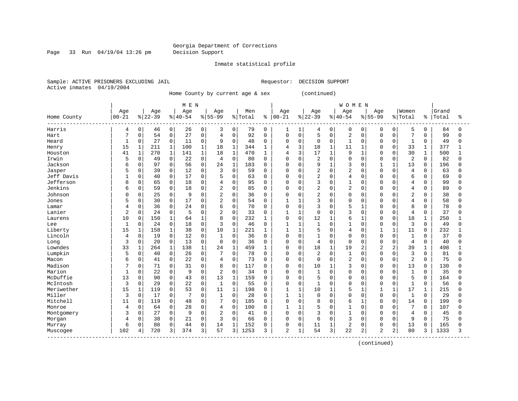Page 33 Run 04/19/04 13:26 pm Decision Support

Inmate statistical profile

Sample: ACTIVE PRISONERS EXCLUDING JAIL **Requestor: DECISION SUPPORT** Active inmates 04/19/2004

Home County by current age & sex (continued)

|                           |              |              |          |              | M E N     |              |                |              |         |             |                |              |                |              | <b>WOMEN</b>   |          |                |                |                |              |       |              |
|---------------------------|--------------|--------------|----------|--------------|-----------|--------------|----------------|--------------|---------|-------------|----------------|--------------|----------------|--------------|----------------|----------|----------------|----------------|----------------|--------------|-------|--------------|
|                           | Age          |              | Age      |              | Age       |              | Age            |              | Men     |             | Age            |              | Age            |              | Age            |          | Age            |                | Women          |              | Grand |              |
| Home County               | $00 - 21$    |              | $ 22-39$ |              | $8 40-54$ |              | $8 55-99$      |              | % Total | ి           | $00 - 21$      |              | $ 22-39$       |              | $8 40-54$      |          | $8155 - 99$    |                | % Total        | ႜ            | Total | ႜ            |
| Harris                    | 4            | 0            | 46       | 0            | 26        | 0            | 3              | 0            | 79      | $\mathbf 0$ | 1              | 1            | 4              | 0            | 0              | 0        | $\Omega$       | 0              | 5              | 0            | 84    | 0            |
| Hart                      | 7            | $\mathsf{O}$ | 54       | 0            | 27        | 0            | 4              | $\mathbf 0$  | 92      | $\mathbf 0$ | 0              | $\mathbf 0$  | 5              | $\mathbf 0$  | $\overline{2}$ | $\Omega$ | $\Omega$       | $\mathbf 0$    | 7              | 0            | 99    | $\Omega$     |
| Heard                     | $\mathbf{1}$ | 0            | 27       | 0            | 11        | 0            | 9              | $\mathbf 0$  | 48      | $\Omega$    | 0              | $\mathbf 0$  | 0              | $\mathbf 0$  | $\mathbf{1}$   | 0        | $\Omega$       | $\mathbf 0$    | $\mathbf{1}$   | 0            | 49    | 0            |
| Henry                     | 15           | $\mathbf 1$  | 211      | $\mathbf{1}$ | 100       | $\mathbf{1}$ | 18             | $\mathbf{1}$ | 344     | 1           | 4              | 3            | 18             | $\mathbf{1}$ | 11             | 1        | $\Omega$       | $\Omega$       | 33             | $\mathbf{1}$ | 377   |              |
| Houston                   | 41           | $\mathbf{1}$ | 270      | $\mathbf{1}$ | 141       | $\mathbf 1$  | 18             | $\mathbf{1}$ | 470     | 1           | 4              | 3            | 17             | $\mathbf{1}$ | 9              | 1        | $\Omega$       | $\Omega$       | 30             | 1            | 500   |              |
| Irwin                     | 5            | 0            | 49       | 0            | 22        | 0            | 4              | $\mathsf 0$  | 80      | 0           | 0              | $\mathbf 0$  | $\overline{2}$ | $\Omega$     | $\mathbf 0$    | 0        | $\Omega$       | $\Omega$       | $\overline{2}$ | 0            | 82    | U            |
| Jackson                   | 6            | 0            | 97       | 0            | 56        | 0            | 24             | 1            | 183     | $\Omega$    | $\Omega$       | $\mathbf 0$  | 9              | $\mathbf{1}$ | 3              | $\Omega$ | $\mathbf{1}$   | $\mathbf{1}$   | 13             | $\Omega$     | 196   | U            |
| Jasper                    | 5            | $\Omega$     | 39       | 0            | 12        | $\Omega$     | ζ              | $\Omega$     | 59      | $\Omega$    | O              | $\Omega$     | 2              | $\Omega$     | $\overline{2}$ | $\Omega$ | $\Omega$       | $\Omega$       | 4              | $\Omega$     | 63    | ∩            |
| Jeff Davis                |              | 0            | 40       | 0            | 17        | $\Omega$     | 5              | $\mathbf 0$  | 63      | $\Omega$    | 0              | $\Omega$     | $\overline{a}$ | $\Omega$     | 4              | $\Omega$ | $\Omega$       | $\Omega$       | 6              | $\Omega$     | 69    | U            |
| Jefferson                 | 8            | 0            | 65       | 0            | 18        | 0            | $\overline{4}$ | $\mathbf 0$  | 95      | 0           | 0              | $\mathbf 0$  | 3              | $\mathbf 0$  | $\mathbf{1}$   | 0        | $\Omega$       | $\Omega$       | $\overline{4}$ | 0            | 99    | O            |
| Jenkins                   | б            | 0            | 59       | 0            | 18        | 0            | 2              | $\mathsf 0$  | 85      | $\Omega$    | 0              | $\mathbf 0$  | 2              | $\Omega$     | $\overline{2}$ | 0        | $\Omega$       | $\Omega$       | $\overline{4}$ | 0            | 89    | ∩            |
| Johnson                   | C            | $\mathbf 0$  | 25       | 0            | 9         | $\Omega$     | $\overline{2}$ | $\mathbf 0$  | 36      | $\Omega$    | 0              | $\mathbf 0$  | 2              | $\Omega$     | $\Omega$       | $\Omega$ | $\Omega$       | $\Omega$       | $\overline{c}$ | $\Omega$     | 38    | U            |
| Jones                     | 5            | 0            | 30       | 0            | 17        | O            | $\overline{2}$ | $\mathbf 0$  | 54      | 0           | 1              | $\mathbf{1}$ | 3              | $\Omega$     | $\Omega$       | 0        | $\Omega$       | $\Omega$       | $\overline{4}$ | 0            | 58    | <sup>0</sup> |
| Lamar                     | 4            | 0            | 36       | 0            | 24        | $\Omega$     | 6              | $\mathsf 0$  | 70      | 0           | 0              | $\mathbf 0$  | 3              | $\Omega$     | 5              | 1        | $\Omega$       | $\Omega$       | 8              | 0            | 78    | 0            |
| Lanier                    | 2            | 0            | 24       | 0            | 5         | 0            | 2              | $\mathbf 0$  | 33      | $\Omega$    | $\mathbf{1}$   | $\mathbf{1}$ | 0              | $\Omega$     | 3              | $\Omega$ | $\Omega$       | $\Omega$       | $\overline{4}$ | $\Omega$     | 37    |              |
| Laurens                   | 10           | $\Omega$     | 150      | 1            | 64        | 1            | $\mathsf{R}$   | $\Omega$     | 232     | 1           | 0              | $\mathbf 0$  | 12             | $\mathbf{1}$ | 6              | 1        | $\Omega$       | $\Omega$       | 18             | $\mathbf{1}$ | 250   |              |
| Lee                       | $\mathbf{1}$ | $\mathbf 0$  | 24       | 0            | 18        | $\Omega$     | 3              | $\mathbf 0$  | 46      | 0           | $\mathbf{1}$   | 1            | $\mathbf{1}$   | $\Omega$     | $\mathbf{1}$   | $\Omega$ | $\Omega$       | $\Omega$       | 3              | $\Omega$     | 49    | U            |
| Liberty                   | 15           | $\mathbf{1}$ | 158      | $\mathbf 1$  | 38        | 0            | 10             | $1\,$        | 221     | 1           | 1              | $\mathbf{1}$ | 5              | $\Omega$     | $\overline{4}$ | 0        | 1              | $\mathbf{1}$   | 11             | 0            | 232   |              |
| Lincoln                   | 4            | $\mathsf 0$  | 19       | 0            | 12        | 0            | $\mathbf{1}$   | $\mathsf 0$  | 36      | $\Omega$    | 0              | $\mathbf 0$  | $\mathbf{1}$   | $\Omega$     | $\mathbf 0$    | 0        | $\Omega$       | $\mathbf 0$    | $\mathbf 1$    | 0            | 37    | U            |
| Long                      | 3            | $\mathbf 0$  | 20       | 0            | 13        | 0            | $\Omega$       | $\mathbf{0}$ | 36      | $\Omega$    | 0              | $\mathbf 0$  | 4              | $\Omega$     | $\Omega$       | $\Omega$ | $\Omega$       | $\Omega$       | $\overline{4}$ | $\Omega$     | 40    | U            |
| Lowndes                   | 33           | 1            | 264      | 1            | 138       | 1            | 24             | $\mathbf 1$  | 459     | 1           | 0              | $\mathbf 0$  | 18             | $\mathbf{1}$ | 19             | 2        | 2              | $\overline{c}$ | 39             | $\mathbf{1}$ | 498   |              |
| Lumpkin                   | 5            | 0            | 40       | 0            | 26        | 0            | 7              | $\mathbf 0$  | 78      | 0           | 0              | $\mathbf 0$  | $\overline{2}$ | 0            | $\mathbf{1}$   | 0        | $\Omega$       | $\Omega$       | 3              | $\Omega$     | 81    | O            |
| Macon                     | б            | 0            | 41       | 0            | 22        | 0            | 4              | $\mathbf 0$  | 73      | $\Omega$    | 0              | $\mathbf 0$  | 0              | $\Omega$     | $\overline{2}$ | 0        | $\Omega$       | $\Omega$       | $\overline{2}$ | $\Omega$     | 75    | ∩            |
| Madison                   |              | $\Omega$     | 71       | 0            | 31        | $\Omega$     | 8              | $\Omega$     | 117     | $\Omega$    | O              | 0            | 10             | $\mathbf{1}$ | 3              | 0        | $\Omega$       | <sup>0</sup>   | 13             | $\Omega$     | 130   | N            |
| Marion                    | $\mathbf{1}$ | $\Omega$     | 22       | 0            | 9         | $\Omega$     | $\overline{2}$ | $\Omega$     | 34      | 0           | 0              | $\Omega$     | $\mathbf{1}$   | $\Omega$     | $\Omega$       | $\Omega$ | $\Omega$       | $\Omega$       | $\mathbf{1}$   | $\Omega$     | 35    | ∩            |
| McDuffie                  | 13           | $\mathbf 0$  | 90       | 0            | 43        | 0            | 13             | $\mathbf 1$  | 159     | $\Omega$    | 0              | $\mathbf 0$  | 5              | $\Omega$     | $\mathbf 0$    | $\Omega$ | $\Omega$       | $\mathbf 0$    | 5              | 0            | 164   | U            |
| McIntosh                  | 3            | $\mathbf 0$  | 29       | 0            | 22        | 0            | $\mathbf{1}$   | $\mathbf 0$  | 55      | $\Omega$    | 0              | $\mathbf 0$  | $\mathbf{1}$   | $\Omega$     | $\Omega$       | 0        | $\Omega$       | $\mathbf 0$    | $\mathbf{1}$   | $\mathbf 0$  | 56    | U            |
| Meriwether                | 15           | 1            | 119      | 0            | 53        | 0            | 11             | $\mathbf 1$  | 198     | $\mathbf 0$ | 1              | $\mathbf{1}$ | 10             | $\mathbf{1}$ | 5              | 1        | $\mathbf{1}$   | 1              | 17             | $\mathbf{1}$ | 215   | U            |
| Miller                    | 3            | 0            | 17       | 0            | 7         | $\Omega$     | 1              | $\mathbf 0$  | 28      | $\Omega$    | 1              | $\mathbf{1}$ | 0              | $\Omega$     | $\Omega$       | $\Omega$ | $\Omega$       | $\Omega$       | $\mathbf{1}$   | $\Omega$     | 29    | U            |
| Mitchell                  | 11           | $\Omega$     | 119      | 0            | 48        | 0            | 7              | $\mathbf 0$  | 185     | 0           | 0              | $\mathbf 0$  | 8              | $\Omega$     | 6              |          | $\Omega$       | $\Omega$       | 14             | $\Omega$     | 199   | U            |
| Monroe                    | 4            | $\mathbf 0$  | 64       | 0            | 28        | 0            | 4              | $\mathbf 0$  | 100     | 0           | 1              | $\mathbf{1}$ | 5              | $\Omega$     | $\mathbf{1}$   | $\Omega$ | $\Omega$       | O              | 7              | 0            | 107   |              |
| Montgomery                | 3            | 0            | 27       | 0            | 9         | $\Omega$     | $\overline{2}$ | $\mathbf 0$  | 41      | $\Omega$    | 0              | $\mathbf 0$  | 3              | $\Omega$     | $\mathbf{1}$   | $\Omega$ | $\Omega$       | $\Omega$       | $\overline{4}$ | $\Omega$     | 45    | ∩            |
| Morgan                    | 4            | 0            | 38       | 0            | 21        | 0            | 3              | $\mathbf 0$  | 66      | $\Omega$    | 0              | $\mathbf 0$  | 6              | $\Omega$     | 3              | $\Omega$ | $\Omega$       | $\Omega$       | 9              | 0            | 75    | U            |
| Murray                    | 6            | 0            | 88       | 0            | 44        | 0            | 14             | 1            | 152     | $\Omega$    | 0              | $\mathbf 0$  | 11             |              | $\overline{c}$ | 0        | $\Omega$       | $\mathbf 0$    | 13             | 0            | 165   |              |
| Muscogee<br>------------- | 102          | 4            | 720      | 3            | 374       | 3            | 57             | 3            | 1253    | 3           | $\overline{a}$ | $1\,$        | 54             | 3            | 22             | 2        | $\overline{c}$ | 2              | 80             | 3            | 1333  | ς            |
|                           |              |              |          |              |           |              |                |              |         |             |                |              |                |              |                |          |                |                |                |              |       |              |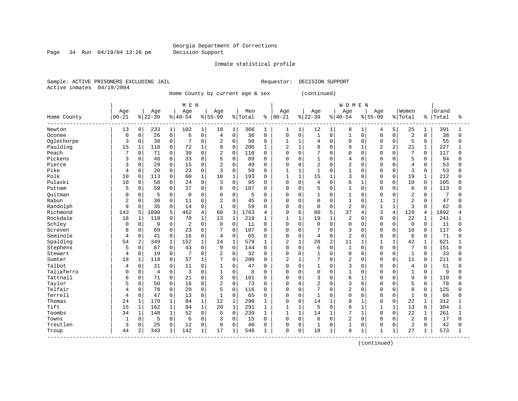Page 34 Run 04/19/04 13:26 pm Decision Support

Inmate statistical profile

Sample: ACTIVE PRISONERS EXCLUDING JAIL REGUESTOR: DECISION SUPPORT Active inmates 04/19/2004

Home County by current age & sex (continued)

|             |                |              |          |              | M E N          |                |                |                |         |              |                |              |                |              | <b>WOMEN</b>   |              |                |                |                |              |       |              |
|-------------|----------------|--------------|----------|--------------|----------------|----------------|----------------|----------------|---------|--------------|----------------|--------------|----------------|--------------|----------------|--------------|----------------|----------------|----------------|--------------|-------|--------------|
|             | Age            |              | Age      |              | Age            |                | Age            |                | Men     |              | Age            |              | Age            |              | Age            |              | Aqe            |                | Women          |              | Grand |              |
| Home County | $00 - 21$      |              | $ 22-39$ |              | $ 40-54$       |                | $8 55-99$      |                | % Total | ႜ            | $00 - 21$      |              | $ 22-39$       |              | $8140 - 54$    |              | $8 55-99$      |                | % Total        | ႜ            | Total | ిక           |
| Newton      | 13             | 0            | 233      | $\mathbf{1}$ | 102            | 1              | 18             | 1              | 366     | 1            | $\mathbf{1}$   | $\mathbf{1}$ | 12             | $\mathbf{1}$ | 8              | 1            | 4              | 5              | 25             | 1            | 391   | 1            |
| Oconee      | $\mathbf 0$    | 0            | 26       | $\mathsf 0$  | 6              | $\overline{0}$ | $\overline{4}$ | $\overline{0}$ | 36      | $\mathbf 0$  | 0              | $\mathbf 0$  | 1              | 0            | $\mathbf{1}$   | $\Omega$     | $\Omega$       | $\Omega$       | $\overline{c}$ | $\Omega$     | 38    | 0            |
| Oglethorpe  | 3              | 0            | 38       | 0            |                | $\mathbf 0$    | $\overline{2}$ | $\mathbf 0$    | 50      | $\mathbf 0$  | 1              | 1            | 4              | $\Omega$     | $\Omega$       | 0            | $\Omega$       | $\mathbf 0$    | 5              | $\Omega$     | 55    | 0            |
| Paulding    | 15             | $\mathbf{1}$ | 110      | $\mathbf 0$  | 72             | $\mathbf 1$    | 9              | $\Omega$       | 206     | $\mathbf{1}$ | $\overline{a}$ | $\mathbf{1}$ | 8              | $\Omega$     | 9              | 1            | $\overline{2}$ | $\overline{a}$ | 21             | $\mathbf{1}$ | 227   | $\mathbf{1}$ |
| Peach       | 7              | 0            | 71       | $\mathbf 0$  | 30             | $\mathbf 0$    | $\overline{2}$ | $\mathbf 0$    | 110     | $\mathbf 0$  | $\mathbf 0$    | $\mathbf 0$  | 7              | $\Omega$     | $\Omega$       | $\Omega$     | $\cap$         | $\Omega$       | $\overline{7}$ | $\Omega$     | 117   | $\Omega$     |
| Pickens     | 3              | $\Omega$     | 48       | 0            | 33             | 0              | 5              | $\mathbf 0$    | 89      | $\mathbf 0$  | $\Omega$       | $\Omega$     | 1              | $\Omega$     | $\overline{4}$ | $\Omega$     |                | $\cap$         | 5              | $\Omega$     | 94    | <sup>0</sup> |
| Pierce      |                | $\Omega$     | 29       | 0            | 15             | 0              | $\overline{2}$ | $\Omega$       | 49      | 0            | $\mathbf 0$    | $\Omega$     | $\overline{2}$ | $\Omega$     | $\overline{c}$ | $\cap$       | $\cap$         | $\Omega$       | $\overline{4}$ | $\Omega$     | 53    | U            |
| Pike        | 4              | $\Omega$     | 20       | $\mathbf 0$  | 23             | $\Omega$       | 3              | $\Omega$       | 50      | $\Omega$     | $\mathbf{1}$   | $\mathbf{1}$ | $\mathbf{1}$   | $\Omega$     | $\mathbf{1}$   | $\Omega$     | $\cap$         | $\Omega$       | 3              | $\Omega$     | 53    | <sup>0</sup> |
| Polk        | 10             | $\Omega$     | 113      | $\mathbf 0$  | 60             | $\mathbf{1}$   | 10             | $\mathbf{1}$   | 193     | $\Omega$     | $\mathbf{1}$   | $\mathbf{1}$ | 15             | $\mathbf{1}$ | 3              | $\Omega$     | $\Omega$       | $\Omega$       | 19             | 1            | 212   | $\Omega$     |
| Pulaski     | 10             | 0            | 58       | $\mathsf 0$  | 24             | 0              | 3              | $\mathbf 0$    | 95      | $\mathbf 0$  | 0              | $\mathbf 0$  | 4              | $\Omega$     | 6              | 1            | $\Omega$       | 0              | 10             | $\mathbf 0$  | 105   | 0            |
| Putnam      | 5              | 0            | 59       | 0            | 37             | $\mathbf 0$    | 6              | $\mathbf 0$    | 107     | 0            | 0              | 0            | 5              | $\mathbf 0$  | $\mathbf{1}$   | $\Omega$     | $\cap$         | $\Omega$       | 6              | 0            | 113   | $\Omega$     |
| Ouitman     | 0              | $\Omega$     | 5        | $\mathbf 0$  | $\Omega$       | $\Omega$       | $\Omega$       | $\Omega$       | 5       | $\Omega$     | 0              | $\Omega$     | $\mathbf{1}$   | 0            | $\mathbf{1}$   | $\Omega$     | $\Omega$       | $\Omega$       | $\overline{2}$ | $\Omega$     | 7     | U            |
| Rabun       | $\overline{2}$ | 0            | 30       | $\mathbf 0$  | 11             | 0              | $\overline{2}$ | $\Omega$       | 45      | $\mathbf 0$  | $\mathbf 0$    | $\mathbf 0$  | $\mathbf 0$    | $\Omega$     | $\mathbf{1}$   | $\Omega$     | $\mathbf{1}$   |                | 2              | $\Omega$     | 47    | <sup>0</sup> |
| Randolph    | 9              | 0            | 35       | 0            | 14             | 0              | $\mathbf{1}$   | $\Omega$       | 59      | 0            | 0              | $\Omega$     | $\mathbf 0$    | $\Omega$     | $\overline{c}$ | $\Omega$     |                |                | $\overline{3}$ | $\Omega$     | 62    | <sup>0</sup> |
| Richmond    | 143            | 5            | 1098     | 5            | 462            | $\overline{4}$ | 60             | 3              | 1763    | 4            | 9              | 6            | 80             | 5            | 37             | 4            | 3              | 4              | 129            | 4            | 1892  | 4            |
| Rockdale    | 18             | $\mathbf 1$  | 118      | $\mathbf 0$  | 70             | $\mathbf{1}$   | 13             | $\mathbf{1}$   | 219     | 1            | $\mathbf{1}$   | $\mathbf{1}$ | 19             | $\mathbf{1}$ | $\overline{c}$ | $\Omega$     | $\Omega$       | $\Omega$       | 22             | 1            | 241   |              |
| Schley      | $\Omega$       | $\Omega$     | 9        | $\mathbf 0$  | $\overline{2}$ | $\Omega$       | $\Omega$       | $\Omega$       | 11      | $\Omega$     | $\Omega$       | $\Omega$     | $\Omega$       | $\Omega$     | $\Omega$       | $\Omega$     | $\Omega$       | $\Omega$       | $\mathbf{0}$   | $\Omega$     | 11    | U            |
| Screven     | 8              | 0            | 69       | $\mathbf 0$  | 23             | $\mathbf 0$    |                | $\mathbf 0$    | 107     | 0            | 0              | $\mathbf 0$  | 7              | $\Omega$     | $\overline{3}$ | $\Omega$     | $\Omega$       | $\Omega$       | 10             | $\Omega$     | 117   | <sup>0</sup> |
| Seminole    | 4              | 0            | 41       | 0            | 16             | 0              | $\overline{4}$ | $\mathbf 0$    | 65      | $\mathbf 0$  | 0              | 0            | $\overline{4}$ | 0            | $\overline{c}$ | $\Omega$     | $\Omega$       | $\mathbf 0$    | 6              | 0            | 71    | <sup>0</sup> |
| Spalding    | 54             | 2            | 349      | $\mathbf{1}$ | 152            | 1              | 24             | $\mathbf 1$    | 579     | $\mathbf{1}$ | $\overline{2}$ | 1            | 28             | 2            | 11             | $\mathbf{1}$ | $\mathbf{1}$   | $\mathbf{1}$   | 42             | $\mathbf{1}$ | 621   |              |
| Stephens    | 5              | 0            | 87       | $\mathbf 0$  | 43             | $\mathbf 0$    | 9              | $\Omega$       | 144     | $\mathbf 0$  | $\mathbf 0$    | 0            | 6              | $\Omega$     | $\mathbf{1}$   | $\Omega$     | $\Omega$       | $\Omega$       | 7              | $\Omega$     | 151   | $\Omega$     |
| Stewart     | 4              | 0            | 19       | 0            |                | $\Omega$       | $\overline{c}$ | $\mathbf 0$    | 32      | $\mathbf 0$  | $\mathbf 0$    | $\Omega$     | 1              | $\Omega$     | $\Omega$       | $\Omega$     | $\Omega$       | $\Omega$       | $\mathbf{1}$   | $\Omega$     | 33    | <sup>0</sup> |
| Sumter      | 18             | $\mathbf{1}$ | 118      | $\mathbf 0$  | 57             | $\mathbf{1}$   | 7              | $\Omega$       | 200     | 0            | $\overline{2}$ | $\mathbf{1}$ | 7              | $\Omega$     | $\overline{c}$ | $\Omega$     | $\Omega$       | $\Omega$       | 11             | $\Omega$     | 211   | U            |
| Talbot      | 4              | $\Omega$     | 31       | 0            | 11             | $\Omega$       | 1              | $\Omega$       | 47      | $\Omega$     | $\Omega$       | $\Omega$     | 1              | 0            | 3              | $\Omega$     | $\Omega$       | $\cap$         | $\overline{4}$ | $\Omega$     | 51    | U            |
| Taliaferro  | U              | $\Omega$     | 4        | $\mathbf 0$  | 3              | $\Omega$       | $\mathbf{1}$   | $\Omega$       | 8       | $\Omega$     | 0              | $\Omega$     | $\Omega$       | $\Omega$     | $\mathbf{1}$   | $\Omega$     | $\Omega$       | $\Omega$       | $\mathbf{1}$   | $\Omega$     | 9     | $\Omega$     |
| Tattnall    | 6              | 0            | 71       | $\mathbf 0$  | 21             | $\Omega$       | 3              | $\mathbf 0$    | 101     | $\mathbf 0$  | 0              | 0            | 3              | $\Omega$     | 6              | 1            | O              | $\Omega$       | 9              | 0            | 110   | $\Omega$     |
| Taylor      | 5              | 0            | 50       | 0            | 16             | 0              | $\overline{2}$ | $\mathbf 0$    | 73      | $\mathbf 0$  | $\Omega$       | $\Omega$     | $\overline{2}$ | $\mathbf 0$  | 3              | $\Omega$     | $\cap$         | $\Omega$       | 5              | 0            | 78    | <sup>0</sup> |
| Telfair     | 4              | 0            | 78       | 0            | 29             | $\mathbf 0$    | 5              | $\mathbf 0$    | 116     | $\mathbf 0$  | 0              | $\Omega$     | 7              | $\Omega$     | $\overline{2}$ | $\Omega$     | $\cap$         | $\Omega$       | 9              | $\Omega$     | 125   | $\Omega$     |
| Terrell     | 4              | 0            | 47       | 0            | 13             | $\Omega$       | 1              | $\Omega$       | 65      | 0            | $\mathbf 0$    | $\Omega$     | $\mathbf{1}$   | $\Omega$     | $\Omega$       | $\Omega$     | $\Omega$       | $\Omega$       | $\mathbf{1}$   | $\Omega$     | 66    | <sup>0</sup> |
| Thomas      | 24             | $\mathbf{1}$ | 170      | $\mathbf{1}$ | 84             | 1              | 12             | $\mathbf{1}$   | 290     | 1            | $\mathbf 0$    | $\Omega$     | 14             | 1            | 8              |              | O              | $\Omega$       | 22             | 1            | 312   |              |
| Tift        | 15             | $\mathbf{1}$ | 162      | $\mathbf 1$  | 94             | $\mathbf{1}$   | 20             | $1\,$          | 291     | 1            | $\mathbf{1}$   | $\mathbf{1}$ | 5              | 0            | 6              | $\mathbf{1}$ | $\mathbf 1$    |                | 13             | $\mathbf 0$  | 304   |              |
| Toombs      | 34             | $\mathbf{1}$ | 148      | $\mathbf{1}$ | 52             | $\Omega$       | 5              | $\Omega$       | 239     | 1            | $\mathbf{1}$   | $\mathbf{1}$ | 14             | $\mathbf{1}$ | 7              | 1            | $\Omega$       | $\Omega$       | 22             | $\mathbf 1$  | 261   |              |
| Towns       | $\mathbf{1}$   | 0            | 5        | $\mathbf 0$  | 6              | $\mathbf 0$    | 3              | $\Omega$       | 15      | $\Omega$     | $\mathbf 0$    | $\Omega$     | $\mathbf 0$    | $\Omega$     | $\overline{2}$ | $\Omega$     | $\Omega$       | $\Omega$       | 2              | $\Omega$     | 17    | $\Omega$     |
| Treutlen    | 3              | 0            | 25       | 0            | 12             | $\mathbf 0$    | $\mathbf 0$    | $\Omega$       | 40      | $\mathbf 0$  | 0              | 0            | 1              | 0            | $\mathbf{1}$   | $\mathbf 0$  | O              | $\Omega$       | $\overline{c}$ | $\Omega$     | 42    | 0            |
| Troup       | 44             | 2            | 343      | $\mathbf{1}$ | 142            | 1              | 17             | 1              | 546     | 1            | $\mathbf 0$    | 0            | 18             | $\mathbf{1}$ | 8              | 1            | $\mathbf{1}$   | $\mathbf{1}$   | 27             |              | 573   | $\mathbf{1}$ |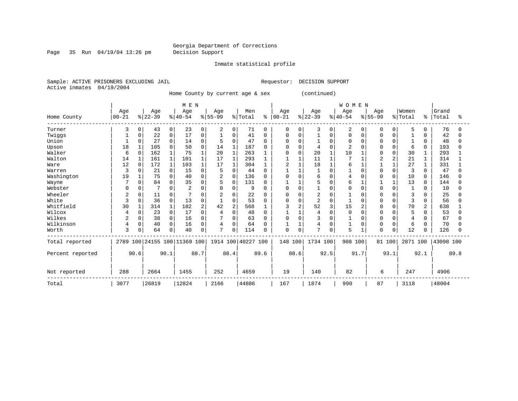Page 35 Run 04/19/04 13:26 pm Decision Support

Inmate statistical profile

Sample: ACTIVE PRISONERS EXCLUDING JAIL **Requestor: DECISION SUPPORT** Active inmates 04/19/2004

Home County by current age & sex (continued)

|                  |           |              |           |             | M E N                        |                |           |                |                    |              |           |                |           |             | WOMEN     |          |              |          |          |              |           |      |
|------------------|-----------|--------------|-----------|-------------|------------------------------|----------------|-----------|----------------|--------------------|--------------|-----------|----------------|-----------|-------------|-----------|----------|--------------|----------|----------|--------------|-----------|------|
|                  | Age       |              | Age       |             | Age                          |                | Age       |                | Men                |              | Age       |                | Age       |             | Age       |          | Age          |          | Women    |              | Grand     |      |
| Home County      | $00 - 21$ |              | $ 22-39 $ |             | $ 40-54$                     |                | $8 55-99$ |                | % Total            | ႜ            | $00 - 21$ |                | $ 22-39 $ |             | $8 40-54$ |          | $8155 - 99$  |          | % Total  | °            | Total     | ႜ    |
| Turner           | 3         | 0            | 43        | 0           | 23                           | 0              | 2         | 0              | 71                 | $\Omega$     | 0         | 0              | 3         | 0           | 2         | $\Omega$ | 0            | $\Omega$ | 5        | 0            | 76        |      |
| Twiggs           |           |              | 22        | 0           | 17                           | O              |           | 0              | 41                 | 0            | 0         | 0              |           | O           | O         | O        | O            |          |          | <sup>0</sup> | 42        |      |
| Union            |           | 0            | 27        | 0           | 14                           | 0              | 5         | $\Omega$       | 47                 | O            | O         | $\Omega$       |           | $\Omega$    | 0         |          | <sup>0</sup> |          |          | $\Omega$     | 48        |      |
| Upson            | 18        |              | 105       | $\Omega$    | 50                           | 0              | 14        | $\mathbf{1}$   | 187                |              |           | $\Omega$       |           | O           | 2         |          |              | O        | 6        | 0            | 193       |      |
| Walker           | 6         | $\Omega$     | 162       |             | 75                           |                | 20        | $\mathbf{1}$   | 263                |              | U         | $\Omega$       | 20        |             | 10        |          | <sup>0</sup> | $\Omega$ | 30       | 1            | 293       |      |
| Walton           | 14        |              | 161       | 1           | 101                          |                | 17        | $\mathbf{1}$   | 293                |              |           | $\mathbf{1}$   | 11        |             |           |          |              | 2        | 21       |              | 314       |      |
| Ware             | 12        | $\Omega$     | 172       | 1           | 103                          |                | 17        | 1              | 304                |              | 2         |                | 18        |             | б         |          |              |          | 27       |              | 331       |      |
| Warren           | 3         |              | 21        | 0           | 15                           | 0              | 5         | 0              | 44                 | ∩            |           |                |           | $\Omega$    |           |          | <sup>0</sup> | O        | 3        | $\Omega$     | 47        |      |
| Washington       | 19        |              | 75        | 0           | 40                           | O              | 2         | $\mathbf 0$    | 136                | 0            | 0         | $\Omega$       | 6         | O           |           | C        | <sup>0</sup> | U        | 10       | 0            | 146       |      |
| Wayne            |           | <sup>0</sup> | 84        | 0           | 35                           | O              | 5         | $\mathbf 0$    | 131                | $\Omega$     |           |                | 5         | 0           | 6         |          |              |          | 13       | $\Omega$     | 144       |      |
| Webster          | C         | U            |           | 0           |                              |                | $\Omega$  | 0              | 9                  | O            | U         | $\Omega$       |           | 0           | U         | O        | O            | 0        |          | O            | 10        |      |
| Wheeler          | 2         |              | 11        | 0           |                              |                | 2         | $\Omega$       | 22                 | O            | 0         | $\Omega$       | 2         | 0           |           |          | 0            |          | 3        |              | 25        |      |
| White            | 3         | 0            | 36        | $\mathbf 0$ | 13                           | 0              |           | 0              | 53                 | $\Omega$     | 0         | 0              | 2         | $\mathbf 0$ |           | O        | <sup>0</sup> | $\Omega$ | 3        | 0            | 56        |      |
| Whitfield        | 30        |              | 314       |             | 182                          | $\overline{2}$ | 42        | $\overline{2}$ | 568                |              | 3         | $\overline{c}$ | 52        | 3           | 15        |          | U            | U        | 70       |              | 638       |      |
| Wilcox           |           | Ω            | 23        | 0           | 17                           | O              |           | $\mathbf 0$    | 48                 | O            |           |                |           | O           | O         |          |              |          | 5        | 0            | 53        |      |
| Wilkes           |           | 0            | 38        | 0           | 16                           | 0              |           | $\Omega$       | 63                 |              | 0         | $\Omega$       | 3         | O           |           |          |              | U        | 4        | U            | 67        |      |
| Wilkinson        | 4         | 0            | 40        | 0           | 16                           | 0              | 4         | 0              | 64                 | <sup>0</sup> |           |                | 4         | 0           |           | 0        | 0            | O        | 6        | 0            | 70        |      |
| Worth            | 3         |              | 64        | 0           | 40                           | 0              | 7         | 0              | 114                | O            | 0         | $\Omega$       | 7         | 0           | 5         |          | 0            | 0        | 12       | 0            | 126       |      |
| Total reported   |           |              |           |             | 2789 100 24155 100 11369 100 |                |           |                | 1914 100 40227 100 |              | 148 100   |                | 1734 100  |             | 908       | 100      | 81 100       |          | 2871 100 |              | 43098 100 |      |
| Percent reported |           | 90.6         |           | 90.1        |                              | 88.7           |           | 88.4           |                    | 89.6         |           | 88.6           |           | 92.5        |           | 91.7     |              | 93.1     |          | 92.1         |           | 89.8 |
| Not reported     | 288       |              | 2664      |             | 1455                         |                | 252       |                | 4659               |              | 19        |                | 140       |             | 82        |          | 6            |          | 247      |              | 4906      |      |
| Total            | 3077      |              | 26819     |             | 12824                        |                | 2166      |                | 44886              |              | 167       |                | 1874      |             | 990       |          | 87           |          | 3118     |              | 48004     |      |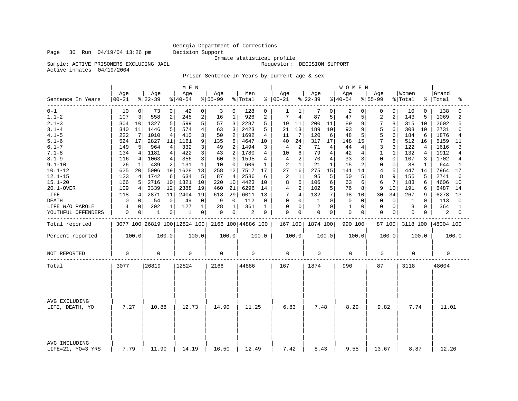Inmate statistical profile

Sample: ACTIVE PRISONERS EXCLUDING JAIL Resource of the sequestor: DECISION SUPPORT

Active inmates 04/19/2004

Prison Sentence In Years by current age & sex

|                                    |                  |       |                              |                | M E N            |                |                 |                |                    |       |                      |              |                 |             | <b>WOMEN</b>    |          |                  |             |                  |                |                |                |
|------------------------------------|------------------|-------|------------------------------|----------------|------------------|----------------|-----------------|----------------|--------------------|-------|----------------------|--------------|-----------------|-------------|-----------------|----------|------------------|-------------|------------------|----------------|----------------|----------------|
| Sentence In Years                  | Age<br>$00 - 21$ |       | Age<br>$ 22-39$              |                | Age<br>$ 40-54 $ |                | Age<br>$ 55-99$ |                | Men<br>% Total     |       | Age<br>$8   00 - 21$ |              | Age<br>$ 22-39$ |             | Age<br>$ 40-54$ |          | Age<br>$8 55-99$ |             | Women<br>% Total | နွ             | Grand<br>Total | ిక             |
| $0 - 1$                            | 10               | 0     | 73                           | 0              | 42               | 0              | 3               | $\overline{0}$ | 128                | 0     | 1                    | $\mathbf{1}$ | 7               | 0           | 2               | 0        | 0                | $\Omega$    | 10               | 0              | 138            | O              |
| $1.1 - 2$                          | 107              | 3     | 558                          | $\mathbf 2$    | 245              | $\overline{c}$ | 16              | $\mathbf{1}$   | 926                | 2     | 7                    | 4            | 87              | 5           | 47              | 5        | $\sqrt{2}$       | 2           | 143              | 5              | 1069           | $\overline{a}$ |
| $2.1 - 3$                          | 304              | 10    | 1327                         | 5              | 599              | 5              | 57              | 3              | 2287               | 5     | 19                   | 11           | 200             | 11          | 89              | 9        | 7                | 8           | 315              | 10             | 2602           | 5              |
| $3.1 - 4$                          | 340              | 11    | 1446                         | 5              | 574              | 4              | 63              | 3              | 2423               | 5     | 21                   | 13           | 189             | 10          | 93              | 9        | 5                | 6           | 308              | 10             | 2731           | 6              |
| $4.1 - 5$                          | 222              | 7     | 1010                         | 4              | 410              | 3              | 50              | 2              | 1692               | 4     | 11                   | 7            | 120             | 6           | 48              | 5        | 5                | 6           | 184              | 6              | 1876           | 4              |
| $5.1 - 6$                          | 524              | 17    | 2827                         | 11             | 1161             | 9              | 135             | 6              | 4647               | 10    | 40                   | 24           | 317             | 17          | 148             | 15       | $\overline{7}$   | 8           | 512              | 16             | 5159           | 11             |
| $6.1 - 7$                          | 149              | 5     | 964                          | 4              | 332              | 3              | 49              | 2              | 1494               | 3     | 4                    | 2            | 71              | 4           | 44              | 4        | 3                | 3           | 122              | $\overline{4}$ | 1616           | 3              |
| $7.1 - 8$                          | 134              | 4     | 1181                         | 4              | 422              | 3              | 43              | 2              | 1780               | 4     | 10                   | 6            | 79              | 4           | 42              | 4        | $\mathbf 1$      | 1           | 132              | 4              | 1912           | 4              |
| $8.1 - 9$                          | 116              | 4     | 1063                         | 4              | 356              | 3              | 60              | 3              | 1595               | 4     | 4                    | 2            | 70              | 4           | 33              | 3        | $\mathbf 0$      | $\Omega$    | 107              | 3              | 1702           | 4              |
| $9.1 - 10$                         | 26               | 1     | 439                          | $\overline{2}$ | 131              | $\mathbf{1}$   | 10              | $\Omega$       | 606                | 1     | 2                    | $\mathbf{1}$ | 21              | $\mathbf 1$ | 15              | 2        | $\mathbf 0$      | $\Omega$    | 38               | 1              | 644            | 1              |
| $10.1 - 12$                        | 625              | 20    | 5006                         | 19             | 1628             | 13             | 258             | 12             | 7517               | 17    | 27                   | 16           | 275             | 15          | 141             | 14       | 4                | 5           | 447              | 14             | 7964           | 17             |
| $12.1 - 15$                        | 123              | 4     | 1742                         | 6              | 634              | 5              | 87              | 4              | 2586               | 6     | 2                    | $\mathbf{1}$ | 95              | 5           | 50              | 5        | 8                | 9           | 155              | 5              | 2741           | 6              |
| $15.1 - 20$                        | 166              | 5     | 2716                         | 10             | 1321             | 10             | 220             | 10             | 4423               | 10    | 8                    | 5            | 106             | 6           | 63              | 6        | 6                | 7           | 183              | 6              | 4606           | 10             |
| 20.1-OVER                          | 109              | 4     | 3339                         | 12             | 2388             | 19             | 460             | 21             | 6296               | 14    | 4                    | 2            | 102             | 5           | 76              | 8        | 9                | 10          | 191              | 6              | 6487           | 14             |
| LIFE                               | 118              | 4     | 2871                         | 11             | 2404             | 19             | 618             | 29             | 6011               | 13    | 7                    | 4            | 132             | 7           | 98              | 10       | 30               | 34          | 267              | 9              | 6278           | 13             |
| <b>DEATH</b>                       | 0                | 0     | 54                           | $\mathbf 0$    | 49               | 0              | 9               | $\Omega$       | 112                | 0     | 0                    | 0            | 1               | $\Omega$    | $\Omega$        | $\Omega$ | 0                | $\Omega$    | 1                | $\Omega$       | 113            | $\Omega$       |
| LIFE W/O PAROLE                    | 4                | 0     | 202                          | $\mathbf{1}$   | 127              | 1              | 28              | 1              | 361                | 1     | 0                    | 0            | 2               | 0           | 1               | 0        | 0                | $\mathbf 0$ | 3                | 0              | 364            | 1              |
| YOUTHFUL OFFENDERS                 | 0                | 0     | 1                            | 0              | 1                | 0              | 0               | 0 <sup>1</sup> | 2                  | 0     | $\mathbf 0$          | 0            | $\mathbf 0$     | 0           | $\mathbf 0$     | 0        | $\mathbf 0$      | 0           | 0                | 0              | 2              | 0              |
| Total reported                     |                  |       | 3077 100 26819 100 12824 100 |                |                  |                |                 |                | 2166 100 44886 100 |       | 167 100              |              | 1874 100        |             | 990 100         |          |                  | 87 100      | 3118 100         |                | 48004 100      |                |
| Percent reported                   |                  | 100.0 |                              | 100.0          |                  | 100.0          |                 | 100.0          |                    | 100.0 |                      | 100.0        |                 | 100.0       |                 | 100.0    |                  | 100.0       |                  | 100.0          |                | 100.0          |
| NOT REPORTED                       | 0                |       | $\Omega$                     |                | 0                |                | 0               |                | 0                  |       | 0                    |              | 0               |             | $\Omega$        |          | 0                |             | $\Omega$         |                | 0              |                |
| Total                              | 3077             |       | 26819                        |                | 12824            |                | 2166            |                | 44886              |       | 167                  |              | 1874            |             | 990             |          | 87               |             | 3118             |                | 48004          |                |
| AVG EXCLUDING<br>LIFE, DEATH, YO   | 7.27             |       | 10.88                        |                | 12.73            |                | 14.90           |                | 11.25              |       | 6.83                 |              | 7.48            |             | 8.29            |          | 9.82             |             | 7.74             |                | 11.01          |                |
| AVG INCLUDING<br>LIFE=21, YO=3 YRS | 7.79             |       | 11.90                        |                | 14.19            |                | 16.50           |                | 12.49              |       | 7.42                 |              | 8.43            |             | 9.55            |          | 13.67            |             | 8.87             |                | 12.26          |                |

Page 36 Run 04/19/04 13:26 pm Decision Support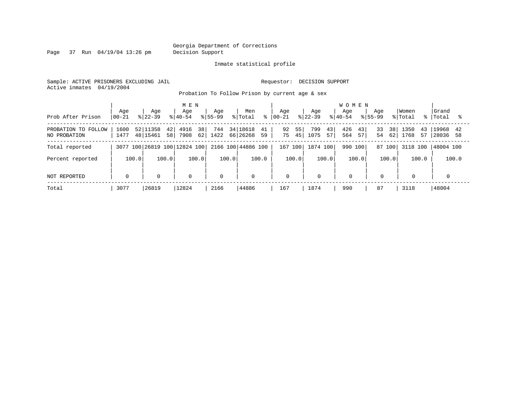Page 37 Run 04/19/04 13:26 pm Decision Support

#### Inmate statistical profile

Sample: ACTIVE PRISONERS EXCLUDING JAIL **Requestor: DECISION SUPPORT** Active inmates 04/19/2004

Probation To Follow Prison by current age & sex

|                     |             |                | MEN                          |             |                    |             |            | <b>WOMEN</b>               |                         |          |              |
|---------------------|-------------|----------------|------------------------------|-------------|--------------------|-------------|------------|----------------------------|-------------------------|----------|--------------|
|                     | Age         | Age            | Age                          | Age         | Men                | Aqe         | Age        | Age<br>Age                 | Women                   |          | Grand        |
| Prob After Prison   | $ 00 - 21 $ | $ 22-39 $      | $ 40-54 $                    | $8155 - 99$ | % Total<br>°       | 00-21       | $ 22-39 $  | $8155 - 99$<br>$8140 - 54$ | % Total                 |          | %   Total    |
| PROBATION TO FOLLOW | 1600        | 52 11358<br>42 | 38<br>4916                   | 744         | 34 18618<br>41     | 55<br>92    | 799<br>43  | 43<br>426<br>33            | 38 <sup>1</sup><br>1350 | 43       | 19968<br>-42 |
| NO PROBATION        | 1477        | 48 15461<br>58 | 62<br>7908                   | 1422        | 66 26268<br>59     | 75<br>45    | 1075<br>57 | 57<br>564                  | 54<br>62<br>1768        | 57       | 28036<br>58  |
| Total reported      |             |                | 3077 100 26819 100 12824 100 |             | 2166 100 44886 100 | 167 100     | 1874 100   | 990<br>100 l               | 87 100                  | 3118 100 | 48004 100    |
| Percent reported    | 100.0       | 100.0          | 100.0                        | 100.0       | 100.0              | 100.0       | 100.0      | 100.0                      | 100.0                   | 100.0    | 100.0        |
| NOT REPORTED        | $\mathbf 0$ | $\Omega$       | $\mathbf 0$                  | $\Omega$    | $\mathbf 0$        | $\mathbf 0$ | $\Omega$   | $\Omega$                   | $\mathbf 0$             |          |              |
|                     |             |                |                              |             |                    |             |            |                            |                         |          |              |
| Total               | 3077        | 26819          | 12824                        | 2166        | 44886              | 167         | 1874       | 87<br>990                  | 3118                    |          | 48004        |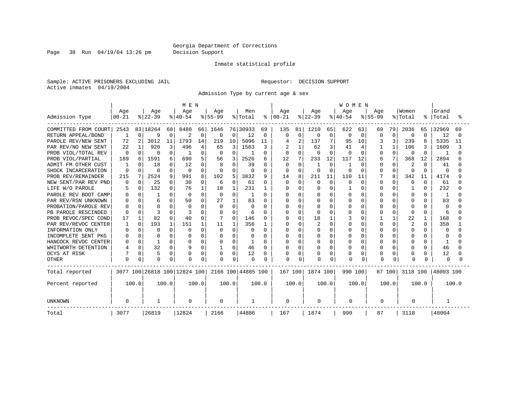Page 38 Run 04/19/04 13:26 pm Decision Support

#### Inmate statistical profile

Sample: ACTIVE PRISONERS EXCLUDING JAIL **Requestor: DECISION SUPPORT** Active inmates 04/19/2004

Admission Type by current age & sex

|                      |           |          |          |          | M E N                        |          |             |          |                    |               |              |          |           |          | <b>WOMEN</b> |          |             |          |              |              |              |       |
|----------------------|-----------|----------|----------|----------|------------------------------|----------|-------------|----------|--------------------|---------------|--------------|----------|-----------|----------|--------------|----------|-------------|----------|--------------|--------------|--------------|-------|
|                      | Age       |          | Age      |          | Age                          |          | Age         |          | Men                |               | Age          |          | Age       |          | Age          |          | Age         |          | Women        |              | Grand        |       |
| Admission Type       | $00 - 21$ |          | $ 22-39$ |          | $ 40-54$                     |          | $8 55-99$   |          | % Total            | $\frac{8}{6}$ | $00 - 21$    |          | $ 22-39 $ |          | $8 40-54$    |          | $8155 - 99$ |          | % Total      | ႜ            | Total        |       |
| COMMITTED FROM COURT | 2543      |          | 83 18264 | 68       | 8480                         | 66       | 1646        |          | 76 30933           | 69            | 135          | 81       | 1210      | 65       | 622          | 63       | 69          | 79       | 2036         | 65           | 32969        | 69    |
| RETURN APPEAL/BOND   |           | 0        | 9        | $\Omega$ | 2                            | 0        | 0           | 0        | 12                 | 0             | <sup>0</sup> | 0        | 0         | 0        | 0            | 0        | 0           | $\Omega$ | 0            | $\Omega$     | 12           |       |
| PAROLE REV/NEW SENT  | 72        | 2        | 3012     | 11       | 1793                         | 14       | 219         | 10       | 5096               | 11            |              |          | 137       | 7        | 95           | 10       |             | 3        | 239          | 8            | 5335         | 11    |
| PAR REV/NO NEW SENT  | 22        | 1        | 920      | 3        | 496                          | 4        | 65          | 3        | 1503               | 3             |              |          | 62        | 3        | 41           | 4        |             |          | 106          |              | 1609         |       |
| PROB VIOL/TOTAL REV  | $\Omega$  | 0        | $\Omega$ | O        |                              | O        | 0           | $\Omega$ |                    | 0             |              | $\Omega$ |           | $\Omega$ | 0            | $\Omega$ |             | $\Omega$ | 0            | 0            |              |       |
| PROB VIOL/PARTIAL    | 189       | 6        | 1591     | 6        | 690                          | 5        | 56          | 3        | 2526               | 6             | 12           | 7        | 233       | 12       | 117          | 12       | 6           | 7        | 368          | 12           | 2894         |       |
| ADMIT FM OTHER CUST  |           | n.       | 18       | O        | 12                           |          | 8           | $\Omega$ | 39                 | 0             | $\Omega$     | $\Omega$ |           | $\Omega$ |              | $\Omega$ | U           | O        | 2            | <sup>0</sup> | 41           |       |
| SHOCK INCARCERATION  | O         |          | $\Omega$ | U        | 0                            | $\cap$   | 0           | $\Omega$ | O                  | 0             | $\Omega$     | 0        | n         | $\cap$   | U            | $\Omega$ | U           | $\Omega$ | O            | $\Omega$     | $\Omega$     |       |
| PROB REV/REMAINDER   | 215       | 7        | 2524     | 9        | 991                          | 8        | 102         | 5        | 3832               | 9             | 14           | 8        | 211       | 11       | 110          | 11       |             | 8        | 342          | 11           | 4174         |       |
| NEW SENT/PAR REV PND | 0         | $\Omega$ | 25       | O        | 30                           | $\Omega$ | 6           | $\Omega$ | 61                 | 0             | 0            | $\Omega$ | $\Omega$  | $\Omega$ | 0            | 0        | 0           | $\Omega$ | 0            | $\Omega$     | 61           |       |
| LIFE W/O PAROLE      |           | $\Omega$ | 132      | 0        | 76                           | 1        | 18          | 1        | 231                |               |              | $\Omega$ |           | $\Omega$ |              | $\Omega$ |             | $\Omega$ |              | $\Omega$     | 232          |       |
| PAROLE REV BOOT CAMP |           |          |          | ∩        | $\Omega$                     | $\Omega$ | $\Omega$    | $\Omega$ | -1                 | 0             |              | $\Omega$ |           | $\cap$   | O            | $\Omega$ |             | $\cap$   | O            | <sup>0</sup> | -1           |       |
| PAR REV/RSN UNKNOWN  |           | U        | 6        | U        | 50                           | $\Omega$ | 27          | 1        | 83                 | 0             |              | $\cap$   |           | $\cap$   | O            | $\Omega$ |             | $\cap$   | <sup>0</sup> | U            | 83           |       |
| PROBATION/PAROLE REV |           |          | $\Omega$ |          | $\Omega$                     |          | $\Omega$    | $\Omega$ | $\Omega$           | 0             |              | $\Omega$ |           | $\cap$   | O            | $\Omega$ |             | $\cap$   | $\Omega$     |              | $\Omega$     |       |
| PB PAROLE RESCINDED  |           | O        |          |          |                              |          | $\Omega$    | O        | 6                  | O             |              | $\Omega$ |           | $\Omega$ | O            | 0        |             | O        | $\Omega$     | O            | 6            |       |
| PROB REVOC/SPEC COND | 17        | 1        | 82       |          | 40                           | O        |             | O        | 146                | O             |              | $\Omega$ | 18        |          |              | 0        |             |          | 22           |              | 168          |       |
| PAR REV/REVOC CENTER |           | $\Omega$ | 193      |          | 151                          |          | 11          |          | 356                |               |              | 0        |           | $\Omega$ |              | 0        |             | O        | 2            | 0            | 358          |       |
| INFORMATION ONLY     | U         | 0        | 0        | U        | $\Omega$                     |          | 0           | $\Omega$ | O                  | 0             |              | $\Omega$ |           | $\Omega$ | N            | $\Omega$ |             | $\cap$   | $\Omega$     | U            | 0            |       |
| INCOMPLETE SENT PKG  |           | 0        | $\Omega$ |          |                              |          | 0           | 0        | 0                  | 0             |              | $\Omega$ |           | $\Omega$ |              | $\Omega$ |             | $\cap$   | $\Omega$     | U            | O            |       |
| HANCOCK REVOC CENTER |           | 0        |          | O        | 0                            | O        | 0           | $\Omega$ | 1                  | 0             |              | $\Omega$ |           | $\Omega$ |              | $\Omega$ |             | $\Omega$ | 0            | O            | $\mathbf{1}$ |       |
| WHITWORTH DETENTION  |           | $\Omega$ | 32       | O        |                              | $\Omega$ |             | $\Omega$ | 46                 | 0             |              | $\Omega$ | $\Omega$  | $\Omega$ | Ω            | 0        |             | $\Omega$ | 0            | O            | 46           |       |
| DCYS AT RISK         |           | O        | 5        | $\Omega$ | $\Omega$                     | $\Omega$ | $\Omega$    | 0        | 12                 | 0             |              | $\Omega$ |           | $\Omega$ | Ω            | 0        |             | $\Omega$ | 0            | O            | 12           |       |
| <b>OTHER</b>         | $\Omega$  | 0        | $\Omega$ |          | U                            | 0        | $\Omega$    | 0        | $\Omega$           | O             | Ω            | $\Omega$ |           | 0        | $\Omega$     | 0        | $\Omega$    | O        | $\cap$       |              | <sup>0</sup> |       |
| Total reported       |           |          |          |          | 3077 100 26818 100 12824 100 |          |             |          | 2166 100 44885 100 |               | 167 100      |          | 1874 100  |          | 990 100      |          |             | 87 100   | 3118 100     |              | 48003 100    |       |
| Percent reported     |           | 100.0    |          | 100.0    |                              | 100.0    |             | 100.0    |                    | 100.0         |              | 100.0    |           | 100.0    |              | 100.0    |             | 100.0    |              | 100.0        |              | 100.0 |
| <b>UNKNOWN</b>       | $\Omega$  |          | -1       |          | 0                            |          | $\mathbf 0$ |          |                    |               | 0            |          | 0         |          | 0            |          | 0           |          | 0            |              |              |       |
| Total                | 3077      |          | 26819    |          | 12824                        |          | 2166        |          | 44886              |               | 167          |          | 1874      |          | 990          |          | 87          |          | 3118         |              | 48004        |       |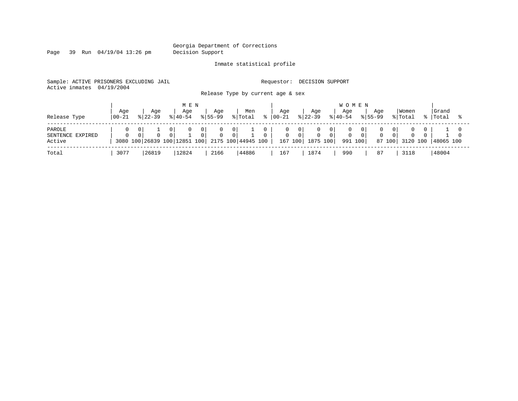Page 39 Run 04/19/04 13:26 pm Decision Support

#### Inmate statistical profile

Sample: ACTIVE PRISONERS EXCLUDING JAIL **Requestor: DECISION SUPPORT** 

Active inmates 04/19/2004

Release Type by current age & sex

| Release Type                         | Age<br>  00-21 | Age<br>$8122 - 39$ |          | M E N<br>Aqe<br>$8140 - 54$ |                | Aqe<br>$8155 - 99$ |               | Men<br>% Total                                  | Aqe<br>$ 00-21$ |                                       | Age<br>$ 22-39 $         | <b>WOMEN</b><br>Aqe<br>$8140 - 54$ | Aqe<br>$8155 - 99$ |    | Women<br>% Total | Grand<br>%   Total |  |
|--------------------------------------|----------------|--------------------|----------|-----------------------------|----------------|--------------------|---------------|-------------------------------------------------|-----------------|---------------------------------------|--------------------------|------------------------------------|--------------------|----|------------------|--------------------|--|
| PAROLE<br>SENTENCE EXPIRED<br>Active | $\Omega$       |                    | $\Omega$ | $\mathbf{0}$                | 0 <sub>1</sub> |                    | 0<br>$\Omega$ | 3080 100 26839 100 12851 100 2175 100 44945 100 | 0               | $\overline{0}$<br>$\Omega$<br>167 100 | $\mathbf{0}$<br>1875 100 | 991 100                            | $\Omega$<br>87 100 | 01 | 3120 100         | 48065 100          |  |
| Total                                | 3077           | 26819              |          | 12824                       |                | 2166               |               | 44886                                           | 167             |                                       | 1874                     | 990                                | 87                 |    | 3118             | 48004              |  |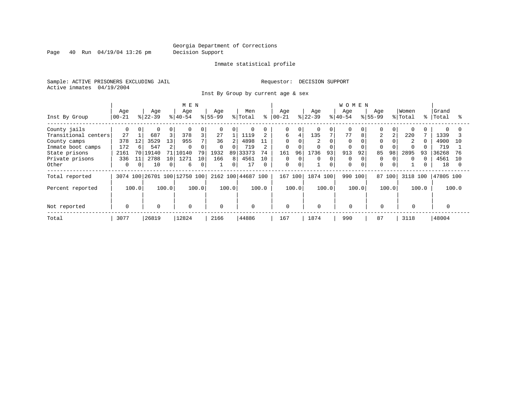Page 40 Run 04/19/04 13:26 pm Decision Support

#### Inmate statistical profile

Sample: ACTIVE PRISONERS EXCLUDING JAIL **Requestor: DECISION SUPPORT** Active inmates 04/19/2004

Inst By Group by current age & sex

|                      |           |          |           |       | M E N                        |                 |             |       |                    |          |             |          |           |          | <b>WOMEN</b> |       |                |          |                |       |           |       |
|----------------------|-----------|----------|-----------|-------|------------------------------|-----------------|-------------|-------|--------------------|----------|-------------|----------|-----------|----------|--------------|-------|----------------|----------|----------------|-------|-----------|-------|
|                      | Age       |          | Age       |       | Age                          |                 | Age         |       | Men                |          | Age         |          | Age       |          | Age          |       | Age            |          | Women          |       | Grand     |       |
| Inst By Group        | $00 - 21$ |          | $ 22-39 $ |       | $ 40-54 $                    |                 | $ 55-99 $   |       | % Total            | °        | $ 00 - 21$  |          | $8 22-39$ |          | $8 40-54$    |       | $8155 - 99$    |          | % Total        | ိုး   | Total     |       |
| County jails         | $\Omega$  | $\Omega$ |           | 0     | $\Omega$                     | 0               | $\mathbf 0$ | 0     |                    |          | 0           | $\Omega$ |           | $\Omega$ | $\Omega$     |       |                | $\Omega$ | $\Omega$       |       |           |       |
| Transitional centers | 27        |          | 687       | 3     | 378                          | 3               | 27          |       | 1119               |          | 6           | 4        | 135       |          | 77           | 8     | $\overline{2}$ |          | 220            |       | 1339      |       |
| County camps         | 378       | 12       | 3529      | 13    | 955                          |                 | 36          |       | 4898               | 11       | $\Omega$    |          | 2         |          | $\mathbf 0$  |       |                |          | $\overline{2}$ |       | 4900      | 10    |
| Inmate boot camps    | 172       | 6        | 547       | 2     | 0                            | 0               | $\Omega$    |       | 719                |          | 0           |          |           | $\Omega$ |              |       |                |          |                |       | 719       |       |
| State prisons        | 2161      | 70 L     | 19140     |       | 10140                        | 79              | 1932        | 89    | 33373              | 74       | 161         | 96       | 1736      | 93       | 913          | 92    | 85             | 98       | 2895           | 93    | 36268     |       |
| Private prisons      | 336       | 11       | 2788      | 10    | 1271                         | 10 <sup>°</sup> | 166         | 8     | 4561               | 10       | 0           | $\Omega$ | 0         | 0        | $\Omega$     |       |                | $\Omega$ | $\Omega$       |       | 4561      | 1 O   |
| Other                | 0         | $\Omega$ | 10        | 0     | 6                            | 0               |             |       | 17                 | $\Omega$ | $\mathbf 0$ | $\Omega$ |           | $\Omega$ | $\Omega$     |       | $\Omega$       | $\Omega$ |                |       | 18        |       |
| Total reported       |           |          |           |       | 3074 100 26701 100 12750 100 |                 |             |       | 2162 100 44687 100 |          | 167         | 100      | 1874 100  |          | 990          | 100   | 87 100         |          | 3118 100       |       | 47805 100 |       |
| Percent reported     |           | 100.0    |           | 100.0 |                              | 100.0           |             | 100.0 |                    | 100.0    |             | 100.0    |           | 100.0    |              | 100.0 |                | 100.0    |                | 100.0 |           | 100.0 |
|                      |           |          |           |       |                              |                 |             |       |                    |          |             |          |           |          |              |       |                |          |                |       |           |       |
| Not reported         | 0         |          | $\Omega$  |       | 0                            |                 | $\Omega$    |       | $\mathbf 0$        |          | 0           |          | $\Omega$  |          | $\Omega$     |       | $\Omega$       |          | $\Omega$       |       |           |       |
| Total                | 3077      |          | 26819     |       | 12824                        |                 | 2166        |       | 44886              |          | 167         |          | 1874      |          | 990          |       | 87             |          | 3118           |       | 48004     |       |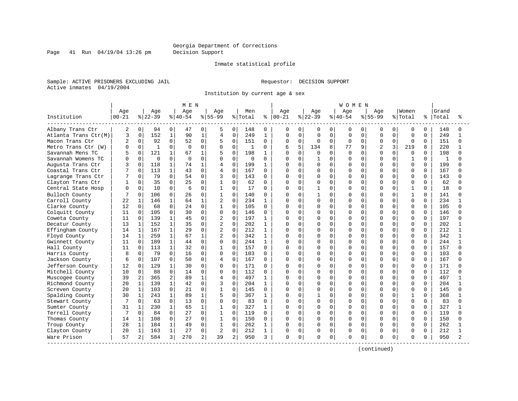Page 41 Run 04/19/04 13:26 pm Decision Support

#### Inmate statistical profile

Sample: ACTIVE PRISONERS EXCLUDING JAIL **Requestor: DECISION SUPPORT** Active inmates 04/19/2004

Institution by current age & sex

|                      |               |              |              |              | M E N        |              |                |                |         |              |               |             |           |             | WOMEN    |             |                |              |              |          |       |              |
|----------------------|---------------|--------------|--------------|--------------|--------------|--------------|----------------|----------------|---------|--------------|---------------|-------------|-----------|-------------|----------|-------------|----------------|--------------|--------------|----------|-------|--------------|
|                      | Age           |              | Age          |              | Age          |              | Age            |                | Men     |              | Age           |             | Age       |             | Age      |             | Aqe            |              | Women        |          | Grand |              |
| Institution          | $ 00 - 21$    |              | $8 22-39$    |              | $8 40-54$    |              | $8155 - 99$    |                | % Total |              | $8   00 - 21$ |             | $ 22-39 $ |             | $ 40-54$ |             | $8 55-99$      |              | % Total      | ႜ        | Total |              |
| Albany Trans Ctr     | 2             | 0            | 94           | 0            | 47           | 0            | 5              | 0              | 148     | 0            | 0             | 0           | 0         | 0           | 0        | 0           | 0              | 0            | 0            | 0        | 148   |              |
| Atlanta Trans Ctr(M) | 3             | $\mathbf 0$  | 152          | $1\,$        | 90           | $\mathbf{1}$ | $\overline{4}$ | $\mathsf 0$    | 249     | $\mathbf{1}$ | 0             | $\mathbf 0$ | 0         | $\mathbf 0$ | 0        | $\Omega$    | $\mathbf 0$    | $\Omega$     | $\Omega$     | $\Omega$ | 249   |              |
| Macon Trans Ctr      | $\mathcal{L}$ | $\Omega$     | 92           | $\mathbf 0$  | 52           | 0            | 5              | $\Omega$       | 151     | $\Omega$     | O             | $\Omega$    | $\Omega$  | $\Omega$    | $\Omega$ | $\Omega$    | $\Omega$       | $\Omega$     | $\Omega$     | $\Omega$ | 151   | $\Omega$     |
| Metro Trans Ctr (W)  | $\Omega$      | $\Omega$     | $\mathbf{1}$ | $\mathbf 0$  | $\Omega$     | $\Omega$     | $\Omega$       | $\Omega$       | 1       | 0            | б             | 5           | 134       | 8           | 77       | 9           | $\overline{2}$ | 3            | 219          | 8        | 220   |              |
| Savannah Mens TC     |               | $\Omega$     | 121          | $\mathbf 1$  | 67           | $\mathbf{1}$ | 5              | $\Omega$       | 198     | 1            | U             | $\Omega$    | U         | $\Omega$    | $\Omega$ | $\Omega$    | $\Omega$       | <sup>n</sup> | $\Omega$     | $\cap$   | 198   |              |
| Savannah Womens TC   |               | $\Omega$     | $\Omega$     | $\mathbf 0$  | <sup>0</sup> | 0            | $\Omega$       | $\Omega$       | 0       | O            | U             | $\Omega$    |           | $\Omega$    | U        | $\Omega$    | $\Omega$       | $\Omega$     | 1            | $\Omega$ | 1     |              |
| Augusta Trans Ctr    |               | 0            | 118          | 1            | 74           | 1            | 4              | 0              | 199     | 1            | O             | $\mathbf 0$ | O         | $\Omega$    | U        | $\mathbf 0$ | O              | 0            | $\Omega$     | 0        | 199   |              |
| Coastal Trans Ctr    |               | $\Omega$     | 113          | $\mathbf{1}$ | 43           | $\Omega$     | 4              | $\Omega$       | 167     | $\Omega$     | Λ             | $\Omega$    | O         | $\Omega$    | U        | $\Omega$    | <sup>0</sup>   | O            | $\Omega$     | $\Omega$ | 167   |              |
| Lagrange Trans Ctr   |               | 0            | 79           | $\mathbf 0$  | 54           | 0            | 3              | $\Omega$       | 143     | $\Omega$     | O             | $\Omega$    | 0         | $\Omega$    | U        | $\Omega$    | <sup>0</sup>   | U            | $\Omega$     | $\Omega$ | 143   |              |
| Clayton Trans Ctr    |               | <sup>n</sup> | 35           | $\mathbf 0$  | 25           | 0            | $\mathbf{1}$   | $\Omega$       | 62      | $\Omega$     | U             | $\Omega$    | O         | $\Omega$    | U        | $\Omega$    | O              |              | $\Omega$     | $\Omega$ | 62    |              |
| Central State Hosp   | $\Omega$      | $\Omega$     | 10           | $\Omega$     | 6            | 0            | $\mathbf{1}$   | $\Omega$       | 17      | $\Omega$     | O             | $\Omega$    |           | $\Omega$    | U        | $\Omega$    | <sup>0</sup>   | $\Omega$     | $\mathbf{1}$ | $\Omega$ | 18    |              |
| Bulloch County       |               | $\Omega$     | 106          | $\Omega$     | 26           | $\Omega$     | $\mathbf{1}$   | $\Omega$       | 140     | O            | N             | $\Omega$    |           | $\Omega$    | O        | $\Omega$    | <sup>0</sup>   | $\Omega$     | 1            | $\Omega$ | 141   |              |
| Carroll County       | 22            | 1            | 146          | 1            | 64           | $\mathbf 1$  | 2              | $\Omega$       | 234     | 1            | Ω             | $\mathbf 0$ | 0         | $\Omega$    | O        | $\Omega$    | $\Omega$       | O            | $\mathbf 0$  | $\Omega$ | 234   |              |
| Clarke County        | 12            | $\Omega$     | 68           | $\Omega$     | 24           | $\Omega$     | $\mathbf{1}$   | $\Omega$       | 105     | $\Omega$     | U             | $\mathbf 0$ | O         | $\Omega$    | $\cap$   | $\Omega$    | U              | 0            | $\Omega$     | $\Omega$ | 105   |              |
| Colquitt County      | 11            | $\Omega$     | 105          | $\mathbf 0$  | 30           | $\Omega$     | $\mathbf{0}$   | $\Omega$       | 146     | $\Omega$     | U             | 0           | O         | $\Omega$    | O        | $\Omega$    | <sup>0</sup>   | U            | $\Omega$     | $\Omega$ | 146   |              |
| Coweta County        | 11            | $\Omega$     | 139          | 1            | 45           | $\Omega$     | 2              | $\Omega$       | 197     | 1            | Λ             | 0           | O         | $\Omega$    | $\Omega$ | $\Omega$    | O              |              | $\Omega$     | $\Omega$ | 197   |              |
| Decatur County       | 13            | $\mathbf{1}$ | 152          | 1            | 35           | $\Omega$     | $\overline{2}$ | $\Omega$       | 202     | 1            | U             | $\Omega$    | O         | $\Omega$    | U        | $\cap$      | U              | U            | $\Omega$     | $\Omega$ | 202   |              |
| Effingham County     | 14            | 1            | 167          | 1            | 29           | $\Omega$     | 2              | $\Omega$       | 212     | $\mathbf{1}$ | Ω             | $\Omega$    | 0         | $\Omega$    | O        | $\Omega$    | O              | U            | $\Omega$     | $\Omega$ | 212   |              |
| Floyd County         | 14            | 1            | 259          | $\mathbf{1}$ | 67           | $\mathbf{1}$ | $\overline{2}$ | 0              | 342     | 1            |               | 0           | O         | 0           | $\Omega$ | 0           | O              | 0            | $\Omega$     | 0        | 342   |              |
| Gwinnett County      | 11            | 0            | 189          | $\mathbf{1}$ | 44           | $\Omega$     | $\mathbf 0$    | $\Omega$       | 244     | $\mathbf{1}$ | U             | $\mathbf 0$ | O         | $\Omega$    | U        | $\Omega$    | <sup>0</sup>   | 0            | $\Omega$     | $\Omega$ | 244   | $\mathbf{1}$ |
| Hall County          | 11            | $\Omega$     | 113          | $\mathbf{1}$ | 32           | 0            |                | 0              | 157     | 0            | Ω             | $\mathbf 0$ | 0         | $\Omega$    | 0        | $\Omega$    | O              | U            | $\Omega$     | $\Omega$ | 157   |              |
| Harris County        | 8             | $\Omega$     | 79           | $\mathbf 0$  | 16           | 0            | $\mathbf 0$    | $\Omega$       | 103     | $\Omega$     | O             | $\Omega$    | O         | $\Omega$    | O        | $\Omega$    | $\Omega$       |              | $\Omega$     | $\Omega$ | 103   |              |
| Jackson County       | 6             | $\Omega$     | 107          | $\Omega$     | 50           | $\Omega$     | 4              | $\Omega$       | 167     | 0            | O             | $\Omega$    | O         | $\Omega$    | $\Omega$ | $\Omega$    | <sup>0</sup>   | $\Omega$     | $\Omega$     | $\Omega$ | 167   |              |
| Jefferson County     | 12            | $\Omega$     | 129          | $\mathbf{1}$ | 30           | $\Omega$     | 0              | $\Omega$       | 171     | 0            | Ω             | $\Omega$    | O         | $\Omega$    | O        | $\Omega$    | O              | 0            | $\Omega$     | $\Omega$ | 171   |              |
| Mitchell County      | 10            | 0            | 88           | $\mathbf 0$  | 14           | 0            | 0              | $\Omega$       | 112     | 0            |               | $\mathbf 0$ | 0         | $\mathbf 0$ | $\Omega$ | $\mathbf 0$ | $\Omega$       | $\Omega$     | $\Omega$     | 0        | 112   |              |
| Muscogee County      | 39            | 2            | 365          | 2            | 89           | $\mathbf{1}$ | 4              | $\Omega$       | 497     | 1            | Λ             | $\mathbf 0$ | O         | $\Omega$    | U        | $\Omega$    | <sup>0</sup>   | O            | $\Omega$     | $\Omega$ | 497   |              |
| Richmond County      | 20            | 1            | 139          | $\mathbf 1$  | 42           | 0            | 3              | $\Omega$       | 204     | 1            | Ω             | $\mathbf 0$ | 0         | $\Omega$    | O        | $\Omega$    | <sup>0</sup>   | U            | $\Omega$     | 0        | 204   |              |
| Screven County       | 20            | 1            | 103          | 0            | 21           | 0            | $\mathbf{1}$   | $\Omega$       | 145     | 0            | U             | 0           | O         | $\Omega$    | $\Omega$ | $\Omega$    | $\cap$         |              | $\Omega$     | $\Omega$ | 145   |              |
| Spalding County      | 30            | $\mathbf{1}$ | 243          | 1            | 89           | $\mathbf{1}$ | 5              | $\Omega$       | 367     | 1            | U             | $\Omega$    |           | $\Omega$    | U        | $\Omega$    | <sup>0</sup>   | U            | 1            | $\Omega$ | 368   |              |
| Stewart County       |               | $\Omega$     | 63           | $\mathbf 0$  | 13           | 0            | $\mathbf 0$    | $\Omega$       | 83      | $\Omega$     | O             | $\Omega$    | 0         | $\Omega$    | O        | $\Omega$    | <sup>0</sup>   | U            | $\Omega$     | $\Omega$ | 83    |              |
| Sumter County        | 31            | 1            | 230          | $\mathbf{1}$ | 65           | 1            | $\mathbf 1$    | 0              | 327     | 1            | U             | 0           | O         | $\mathbf 0$ | O        | $\Omega$    | <sup>0</sup>   | O            | $\Omega$     | 0        | 327   |              |
| Terrell County       | 7             | $\Omega$     | 84           | $\Omega$     | 27           | $\Omega$     | $\mathbf 1$    | $\Omega$       | 119     | $\Omega$     | O             | $\Omega$    | 0         | $\Omega$    | U        | $\Omega$    | 0              | 0            | $\Omega$     | $\Omega$ | 119   | ∩            |
| Thomas County        | 14            | $\mathbf{1}$ | 108          | $\Omega$     | 27           | $\Omega$     | 1              | $\Omega$       | 150     | $\Omega$     | Ω             | $\mathbf 0$ | 0         | $\Omega$    | $\Omega$ | $\Omega$    | $\Omega$       | O            | $\Omega$     | $\Omega$ | 150   |              |
| Troup County         | 28            | $\mathbf 1$  | 184          | $\mathbf{1}$ | 49           | $\Omega$     | $\mathbf{1}$   | $\Omega$       | 262     | 1            | O             | $\Omega$    | 0         | $\Omega$    | $\Omega$ | $\Omega$    | $\Omega$       | O            | $\Omega$     | $\Omega$ | 262   |              |
| Clayton County       | 20            | 1            | 163          | $\mathbf 1$  | 27           | 0            | $\overline{2}$ | 0              | 212     | 1            | 0             | 0           | 0         | 0           | 0        | 0           | 0              | $\Omega$     | $\Omega$     | $\Omega$ | 212   |              |
| Ware Prison          | 57            | 2            | 584          | 3            | 270          | 2            | 39             | $\overline{2}$ | 950     | 3            | 0             | 0           | O         | 0           | $\Omega$ | 0           | $\Omega$       | 0            | $\Omega$     | O        | 950   |              |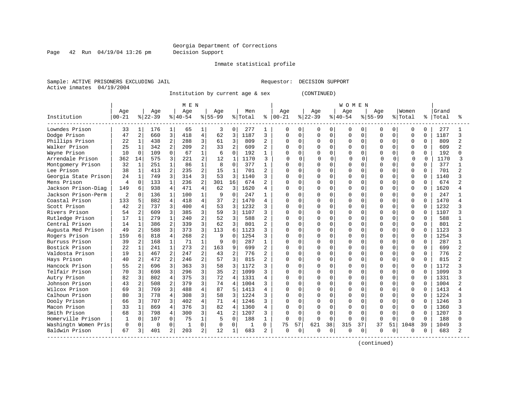Page 42 Run 04/19/04 13:26 pm Decision Support

#### Inmate statistical profile

Sample: ACTIVE PRISONERS EXCLUDING JAIL **Requestor: DECISION SUPPORT** Active inmates 04/19/2004

Institution by current age & sex (CONTINUED)

|                      |                |                |           |                | M E N    |                |           |                |         |                |              |              |          |          | <b>WOMEN</b> |          |           |             |             |          |       |                |
|----------------------|----------------|----------------|-----------|----------------|----------|----------------|-----------|----------------|---------|----------------|--------------|--------------|----------|----------|--------------|----------|-----------|-------------|-------------|----------|-------|----------------|
|                      | Age            |                | Age       |                | Age      |                | Age       |                | Men     |                | Age          |              | Age      |          | Age          |          | Aqe       |             | Women       |          | Grand |                |
| Institution          | $00 - 21$      |                | $8 22-39$ |                | $ 40-54$ |                | $8 55-99$ |                | % Total | နွ             | $00 - 21$    |              | $ 22-39$ |          | $ 40-54$     |          | $8 55-99$ |             | % Total     | ႜ        | Total |                |
| Lowndes Prison       | 33             | $\mathbf{1}$   | 176       | $1\vert$       | 65       | 1              | 3         | $\Omega$       | 277     | 1              | 0            | $\Omega$     | 0        | 0        | 0            | $\Omega$ | $\Omega$  | 0           | 0           | $\Omega$ | 277   |                |
| Dodge Prison         | 47             | 2              | 660       | 3              | 418      | $\overline{4}$ | 62        | 3              | 1187    | 3              | $\Omega$     | $\Omega$     | $\Omega$ | $\Omega$ | $\mathbf 0$  | $\Omega$ | $\Omega$  | $\Omega$    | $\mathbf 0$ | $\Omega$ | 1187  | 3              |
| Phillips Prison      | 22             | $\mathbf{1}$   | 438       | $\overline{c}$ | 288      | 3              | 61        | 3              | 809     | 2              | $\Omega$     | $\Omega$     | $\Omega$ | $\Omega$ | $\Omega$     | $\Omega$ | $\Omega$  | $\Omega$    | $\Omega$    | $\Omega$ | 809   |                |
| Walker Prison        | 25             | $\mathbf{1}$   | 342       | $\overline{2}$ | 209      | $\overline{2}$ | 33        | 2              | 609     | 2              | <sup>0</sup> | $\Omega$     | $\Omega$ | $\Omega$ | $\Omega$     | $\Omega$ | $\cap$    | 0           | $\Omega$    | $\Omega$ | 609   | $\overline{a}$ |
| Wayne Prison         | 10             | $\mathbf 0$    | 109       | $\Omega$       | 67       | $\mathbf{1}$   | 6         | $\Omega$       | 192     | 1              | U            | $\Omega$     | 0        | $\Omega$ | $\Omega$     | 0        | $\cap$    | 0           | $\mathbf 0$ | $\Omega$ | 192   |                |
| Arrendale Prison     | 362            | 14             | 575       | 3              | 221      | $\overline{2}$ | 12        | $\mathbf{1}$   | 1170    | 3              |              | $\Omega$     | $\cap$   | $\Omega$ | $\Omega$     | $\Omega$ |           | $\Omega$    | 0           | $\Omega$ | 1170  |                |
| Montgomery Prison    | 32             | $\mathbf{1}$   | 251       | $\mathbf{1}$   | 86       | $\mathbf{1}$   | 8         | $\cap$         | 377     | $\mathbf{1}$   | $\Omega$     | U            | $\Omega$ | U        | $\Omega$     | $\Omega$ | $\Omega$  | $\cap$      | $\Omega$    | $\Omega$ | 377   |                |
| Lee Prison           | 38             | $\mathbf{1}$   | 413       | $\overline{a}$ | 235      | $\overline{a}$ | 15        | $\mathbf{1}$   | 701     | $\mathbf{2}$   | <sup>0</sup> | U            | O        | $\Omega$ | $\Omega$     | 0        | $\cap$    | $\Omega$    | $\Omega$    | $\Omega$ | 701   |                |
| Georgia State Prison | 24             | $\mathbf 1$    | 749       | 3              | 314      | 3              | 53        | $\mathbf{3}$   | 1140    | 3              | $\Omega$     | <sup>0</sup> | 0        | $\Omega$ | $\Omega$     | $\Omega$ | $\cap$    | $\Omega$    | $\Omega$    | $\Omega$ | 1140  |                |
| Mens Prison          | 4              | 0              | 133       | $\mathbf{1}$   | 236      | $\overline{2}$ | 301       | 16             | 674     |                | $\Omega$     | 0            | $\Omega$ | $\Omega$ | $\Omega$     | 0        | $\Omega$  | $\mathbf 0$ | $\mathbf 0$ | $\Omega$ | 674   |                |
| Jackson Prison-Diag  | 149            | 6              | 938       | $\overline{4}$ | 471      | $\overline{4}$ | 62        | 3              | 1620    | 4              | $\Omega$     | $\Omega$     | $\Omega$ | $\Omega$ | $\Omega$     | 0        | $\cap$    | 0           | $\Omega$    | $\Omega$ | 1620  |                |
| Jackson Prison-Perm  | $\overline{2}$ | $\Omega$       | 136       | $\mathbf{1}$   | 100      | $\mathbf{1}$   | 9         | $\Omega$       | 247     | 1              | O            | $\Omega$     | 0        | $\Omega$ | $\Omega$     | $\Omega$ | $\cap$    | 0           | $\Omega$    | $\Omega$ | 247   |                |
| Coastal Prison       | 133            | 5              | 882       | $\overline{4}$ | 418      | $\overline{4}$ | 37        | $\overline{2}$ | 1470    | 4              | $\Omega$     | $\Omega$     | $\Omega$ | $\Omega$ | $\Omega$     | $\Omega$ | $\cap$    | 0           | $\Omega$    | $\Omega$ | 1470  |                |
| Scott Prison         | 42             | 2              | 737       | 3              | 400      | 4              | 53        | 3              | 1232    | 3              | $\Omega$     | <sup>0</sup> | $\Omega$ | U        | $\Omega$     | O        | $\cap$    | 0           | 0           | $\Omega$ | 1232  |                |
| Rivers Prison        | 54             | 2              | 609       | 3              | 385      | 3              | 59        | 3              | 1107    | ζ              | $\Omega$     | $\Omega$     | $\Omega$ | U        | $\Omega$     | $\cap$   | $\Omega$  | U           | $\Omega$    | $\Omega$ | 1107  |                |
| Rutledge Prison      | 17             | $\mathbf{1}$   | 279       | $\mathbf{1}$   | 240      | $\overline{2}$ | 52        | $\mathbf{3}$   | 588     |                | U            | U            | O        | $\Omega$ | $\Omega$     | U        | $\cap$    | U           | $\Omega$    | $\Omega$ | 588   |                |
| Central Prison       | 14             | $\mathbf{1}$   | 386       | $\overline{a}$ | 339      | 3              | 62        | $\mathcal{L}$  | 801     | 2              | <sup>0</sup> | $\Omega$     | O        | $\Omega$ | $\Omega$     | $\Omega$ | $\cap$    | $\Omega$    | $\Omega$    | $\Omega$ | 801   |                |
| Augusta Med Prison   | 49             | $\overline{2}$ | 588       | 3              | 373      | 3              | 113       | 6              | 1123    | $\mathbf{3}$   | $\Omega$     | $\Omega$     | $\Omega$ | $\Omega$ | $\Omega$     | $\Omega$ | $\Omega$  | $\mathbf 0$ | $\mathbf 0$ | $\Omega$ | 1123  |                |
| Rogers Prison        | 159            | 6              | 818       | $\overline{4}$ | 268      | $\overline{2}$ | 9         | $\Omega$       | 1254    | ζ              | $\Omega$     | $\Omega$     | $\Omega$ | $\Omega$ | $\Omega$     | $\Omega$ | $\Omega$  | 0           | $\Omega$    | 0        | 1254  |                |
| Burruss Prison       | 39             | $\overline{a}$ | 168       | $\mathbf{1}$   | 71       | $\mathbf{1}$   | 9         | $\Omega$       | 287     | $\mathbf{1}$   | $\Omega$     | $\Omega$     | $\Omega$ | $\Omega$ | $\Omega$     | $\Omega$ | $\Omega$  | $\Omega$    | $\Omega$    | $\Omega$ | 287   | $\mathbf{1}$   |
| Bostick Prison       | 22             | $\mathbf{1}$   | 241       | $\mathbf{1}$   | 273      | $\overline{2}$ | 163       | 9              | 699     | 2              | <sup>0</sup> | <sup>0</sup> | 0        | U        | $\Omega$     | 0        | $\Omega$  | 0           | $\Omega$    | $\Omega$ | 699   |                |
| Valdosta Prison      | 19             | $\mathbf{1}$   | 467       | $\overline{2}$ | 247      | $\overline{2}$ | 43        | $\overline{a}$ | 776     | $\mathfrak{D}$ | $\Omega$     | O            | $\Omega$ | U        | $\Omega$     | O        | $\cap$    | 0           | $\Omega$    | $\Omega$ | 776   |                |
| Hays Prison          | 40             | 2              | 472       | $\overline{2}$ | 246      | $\overline{2}$ | 57        | $\mathbf{3}$   | 815     |                | $\Omega$     | U            | $\Omega$ | U        | $\Omega$     | U        | $\cap$    | U           | $\Omega$    | $\Omega$ | 815   |                |
| Hancock Prison       | 55             | 2              | 696       | 3              | 363      | 3              | 58        | ζ              | 1172    |                | <sup>0</sup> | U            | O        | 0        | $\Omega$     | U        | $\cap$    | 0           | $\Omega$    | $\Omega$ | 1172  |                |
| Telfair Prison       | 70             | 3              | 698       | 3              | 296      | 3              | 35        | $\overline{2}$ | 1099    |                | $\Omega$     | $\Omega$     | $\Omega$ | $\Omega$ | $\Omega$     | $\Omega$ | $\Omega$  | 0           | $\Omega$    | $\Omega$ | 1099  |                |
| Autry Prison         | 82             | 3              | 802       | $\overline{4}$ | 375      | $\overline{3}$ | 72        | $\Delta$       | 1331    | 4              | $\Omega$     | $\Omega$     | $\Omega$ | $\Omega$ | $\Omega$     | $\Omega$ | $\Omega$  | 0           | $\mathbf 0$ | $\Omega$ | 1331  |                |
| Johnson Prison       | 43             | 2              | 508       | 2              | 379      | 3              | 74        | $\overline{4}$ | 1004    | ζ              | $\Omega$     | $\Omega$     | $\Omega$ | $\Omega$ | $\Omega$     | 0        | $\Omega$  | 0           | $\Omega$    | $\Omega$ | 1004  |                |
| Wilcox Prison        | 69             | 3              | 769       | 3              | 488      | $\overline{4}$ | 87        |                | 1413    | $\overline{A}$ | $\Omega$     | $\Omega$     | $\Omega$ | $\Omega$ | $\Omega$     | $\Omega$ | $\Omega$  | 0           | $\Omega$    | $\Omega$ | 1413  |                |
| Calhoun Prison       | 80             | 3              | 778       | $\overline{4}$ | 308      | 3              | 58        | 3              | 1224    | 3              | <sup>0</sup> | $\Omega$     | O        | $\Omega$ | $\Omega$     | $\Omega$ | $\Omega$  | 0           | $\Omega$    | $\Omega$ | 1224  |                |
| Dooly Prison         | 66             | 3              | 707       | 3              | 402      | $\overline{4}$ | 71        | $\overline{4}$ | 1246    | 3              | <sup>0</sup> | 0            | 0        | U        | $\Omega$     | O        | $\Omega$  | 0           | $\Omega$    | $\Omega$ | 1246  |                |
| Macon Prison         | 33             | $\mathbf 1$    | 869       | $\overline{4}$ | 376      | 3              | 82        | $\overline{4}$ | 1360    |                | $\Omega$     | O            | $\Omega$ | U        | $\Omega$     | $\Omega$ | $\cap$    | U           | $\Omega$    | $\Omega$ | 1360  |                |
| Smith Prison         | 68             | 3              | 798       | $\overline{4}$ | 300      | 3              | 41        | $\overline{2}$ | 1207    |                | $\Omega$     | $\Omega$     | $\Omega$ | $\Omega$ | $\Omega$     | $\Omega$ | $\cap$    | U           | $\Omega$    | $\Omega$ | 1207  |                |
| Homerville Prison    | -1             | $\Omega$       | 107       | $\mathbf 0$    | 75       | $\mathbf 1$    | 5         | $\Omega$       | 188     | $\mathbf{1}$   | 0            | $\Omega$     | $\Omega$ | $\Omega$ | $\Omega$     | $\Omega$ | $\Omega$  | $\Omega$    | $\Omega$    | $\Omega$ | 188   |                |
| Washingtn Women Pris | 0              | $\mathbf 0$    | $\Omega$  | $\Omega$       | 1        | $\Omega$       | 0         | $\Omega$       |         | 0              | 75           | 57           | 621      | 38       | 315          | 37       | 37        | 51          | 1048        | 39       | 1049  |                |
| Baldwin Prison       | 67             | 3              | 401       | 2              | 203      | 2              | 12        | 1              | 683     | 2              | $\mathbf 0$  | 0            | O        | 0        | $\mathbf 0$  | 0        | $\Omega$  | 0           | $\Omega$    | $\Omega$ | 683   |                |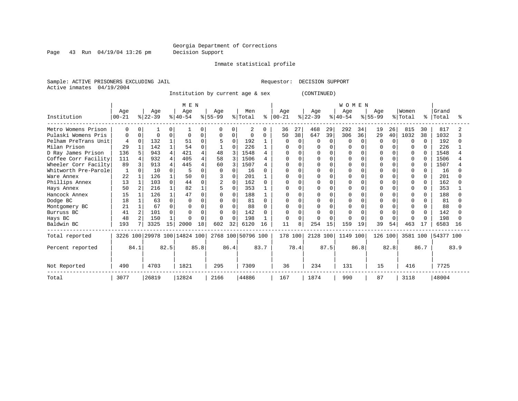#### Georgia Department of Corrections Page 43 Run 04/19/04 13:26 pm Decision Support

Inmate statistical profile

Sample: ACTIVE PRISONERS EXCLUDING JAIL **Requestor: DECISION SUPPORT** Active inmates 04/19/2004

Institution by current age & sex (CONTINUED)

|                      |                   |          |                  |              | M E N                        |      |                  |      |                    |      |              |              |                  |              | WOMEN            |          |                 |      |                  |              |                |      |
|----------------------|-------------------|----------|------------------|--------------|------------------------------|------|------------------|------|--------------------|------|--------------|--------------|------------------|--------------|------------------|----------|-----------------|------|------------------|--------------|----------------|------|
| Institution          | Age<br>$ 00 - 21$ |          | Age<br>$ 22-39 $ |              | Age<br>$8 40-54$             |      | Age<br>$ 55-99 $ |      | Men<br>% Total     | ႜ    | Age<br>00-21 |              | Age<br>$ 22-39 $ |              | Age<br>$8 40-54$ |          | Age<br>$ 55-99$ |      | Women<br>% Total | °            | Grand<br>Total |      |
| Metro Womens Prison  | 0                 |          |                  |              |                              | 0    | $\Omega$         |      | 2                  | 0    | 36           | 27           | 468              | 29           | 292              | 34       | 19              | 26   | 815              | 30           | 817            |      |
| Pulaski Womens Pris  | 0                 | $\Omega$ | $\Omega$         | 0            | ∩                            | 0    | 0                | 0    | $\Omega$           | 0    | 50           | 38           | 647              | 39           | 306              | 36       | 29              | 40   | 1032             | 38           | 1032           |      |
| Pelham PreTrans Unit | 4                 | $\Omega$ | 132              |              | 51                           |      |                  | O    | 192                |      | 0            | $\Omega$     | O                | $\Omega$     | O                | $\Omega$ | O               | 0    | $\Omega$         | $\Omega$     | 192            |      |
| Milan Prison         | 29                |          | 142              |              | 54                           |      |                  | 0    | 226                |      | O            |              |                  | $\Omega$     |                  |          |                 |      | 0                | <sup>o</sup> | 226            |      |
| D Ray James Prison   | 136               |          | 943              |              | 421                          |      | 48               |      | 1548               |      | U            | <sup>0</sup> | U                | $\Omega$     |                  | $\cap$   |                 |      | <sup>0</sup>     | <sup>n</sup> | 1548           |      |
| Coffee Corr Facility | 111               |          | 932              |              | 405                          |      | 58               | 3    | 1506               |      | U            |              |                  | $\Omega$     |                  |          |                 |      | $\Omega$         | <sup>0</sup> | 1506           |      |
| Wheeler Corr Facilty | 89                |          | 913              |              | 445                          |      | 60               |      | 1507               |      | U            | $\Omega$     |                  | $\cap$       |                  | O        |                 |      | $\Omega$         |              | 1507           |      |
| Whitworth Pre-Parole | 1                 |          | 10               | 0            | 5                            | O    | $\Omega$         | U    | 16                 |      |              |              |                  | $\Omega$     |                  |          |                 |      | <sup>0</sup>     |              | 16             |      |
| Ware Annex           | 22                |          | 126              |              | 50                           |      |                  |      | 201                |      |              |              |                  | O            |                  |          |                 |      | <sup>0</sup>     | 0            | 201            |      |
| Phillips Annex       | 13                |          | 103              | $\Omega$     | 44                           |      | 2                | 0    | 162                | 0    | O            |              |                  | $\Omega$     |                  |          |                 |      | $\Omega$         | $\Omega$     | 162            |      |
| Hays Annex           | 50                |          | 216              |              | 82                           |      |                  | 0    | 353                |      |              | 0            |                  | $\Omega$     |                  | O        |                 |      | $\Omega$         | O            | 353            |      |
| Hancock Annex        | 15                |          | 126              |              | 47                           |      | $\Omega$         | 0    | 188                |      | ∩            |              |                  | O            |                  |          |                 |      | <sup>0</sup>     | U            | 188            |      |
| Dodge BC             | 18                |          | 63               | <sup>0</sup> | n                            |      |                  | U    | 81                 | 0    |              |              | U                | <sup>0</sup> |                  |          |                 |      | <sup>0</sup>     |              | 81             |      |
| Montgomery BC        | 21                |          | 67               | U            |                              |      | 0                | 0    | 88                 | 0    | $\Omega$     |              |                  | $\Omega$     |                  |          |                 |      | $\Omega$         | 0            | 88             |      |
| Burruss BC           | 41                |          | 101              | U            |                              |      | $\Omega$         | U    | 142                | 0    | 0            |              | U                | $\Omega$     |                  |          |                 |      | <sup>0</sup>     | <sup>0</sup> | 142            |      |
| Hays BC              | 48                | 2        | 150              |              |                              | 0    | $\Omega$         | U    | 198                |      | $\Omega$     |              | O                | $\Omega$     |                  |          | O               | U    | $\Omega$         | <sup>0</sup> | 198            |      |
| Baldwin BC           | 193               |          | 3325             | 15           | 2000                         | 18   | 602              | 32   | 6120               | 16   | 11           | 8            | 254              | 15           | 159              | 19       | 39              | 54   | 463              | 17           | 6583           | 16   |
| Total reported       |                   |          |                  |              | 3226 100 29978 100 14824 100 |      |                  |      | 2768 100 50796 100 |      | 178 100      |              | 2128 100         |              | 1149 100         |          | 126 100         |      | 3581 100         |              | 54377 100      |      |
| Percent reported     |                   | 84.1     |                  | 82.5         |                              | 85.8 |                  | 86.4 |                    | 83.7 |              | 78.4         |                  | 87.5         |                  | 86.8     |                 | 82.8 |                  | 86.7         |                | 83.9 |
| Not Reported         | 490               |          | 4703             |              | 1821                         |      | 295              |      | 7309               |      | 36           |              | 234              |              | 131              |          | 15              |      | 416              |              | 7725           |      |
| Total                | 3077              |          | 26819            |              | 12824                        |      | 2166             |      | 44886              |      | 167          |              | 1874             |              | 990              |          | 87              |      | 3118             |              | 48004          |      |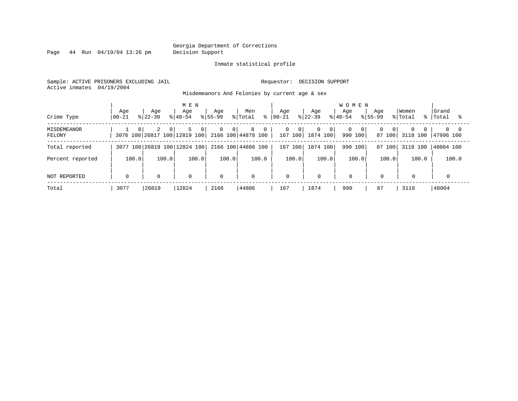Page 44 Run 04/19/04 13:26 pm Decision Support

#### Inmate statistical profile

Sample: ACTIVE PRISONERS EXCLUDING JAIL **Requestor: DECISION SUPPORT** Active inmates 04/19/2004

Misdemeanors And Felonies by current age & sex

| Crime Type                   | Age<br>$00 - 21$ | Aqe<br>$8122 - 39$ | MEN<br>Aqe<br>$8140 - 54$                                 | Aqe<br>$8155 - 99$               | Men<br>% Total<br>နွ | Aqe<br>$ 00 - 21$              | Age<br>$8 22-39$                | <b>WOMEN</b><br>Aqe<br>$8140 - 54$ | Aqe<br>$8155 - 99$                       | Women<br>% Total                 | Grand<br>%   Total |
|------------------------------|------------------|--------------------|-----------------------------------------------------------|----------------------------------|----------------------|--------------------------------|---------------------------------|------------------------------------|------------------------------------------|----------------------------------|--------------------|
| <b>MISDEMEANOR</b><br>FELONY | $\Omega$         | 2<br>$\Omega$      | 5<br>0<br>3076 100 26817 100 12819 100 2166 100 44878 100 | $\overline{0}$<br>0 <sup>1</sup> | 8<br>0               | 0<br>$\overline{0}$<br>167 100 | 0<br>0 <sup>1</sup><br>1874 100 | 0 <sup>1</sup><br>990<br>100       | $\mathbf{0}$<br>0 <sup>1</sup><br>87 100 | $\Omega$<br>$\Omega$<br>3118 100 | 8<br>47996 100     |
| Total reported               |                  |                    | 3077 100 26819 100 12824 100                              |                                  | 2166 100 44886 100   | 167 100                        | 1874 100                        | 100<br>990                         | 87 100                                   | 3118 100                         | 48004 100          |
| Percent reported             | 100.0            | 100.0              | 100.0                                                     | 100.0                            | 100.0                | 100.0                          | 100.0                           | 100.0                              | 100.0                                    | 100.0                            | 100.0              |
| NOT REPORTED                 | 0                | $\mathbf 0$        | 0                                                         | $\mathbf 0$                      | $\mathbf 0$          | $\mathbf 0$                    | $\mathbf 0$                     | $\overline{0}$                     | $\mathbf 0$                              |                                  | 0                  |
| Total                        | 3077             | 26819              | 12824                                                     | 2166                             | 44886                | 167                            | 1874                            | 990                                | 87                                       | 3118                             | 48004              |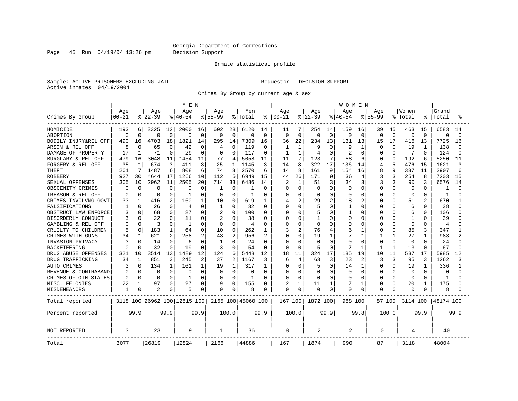Page 45 Run 04/19/04 13:26 pm Decision Support

#### Inmate statistical profile

Sample: ACTIVE PRISONERS EXCLUDING JAIL **Requestor: DECISION SUPPORT** Active inmates 04/19/2004

Crimes By Group by current age & sex

|                      |                  |              |                 |              | M E N                        |              |                    |              |                    |                |                 |                |                 |              | <b>WOMEN</b>     |                |                    |              |                  |                |                |          |
|----------------------|------------------|--------------|-----------------|--------------|------------------------------|--------------|--------------------|--------------|--------------------|----------------|-----------------|----------------|-----------------|--------------|------------------|----------------|--------------------|--------------|------------------|----------------|----------------|----------|
| Crimes By Group      | Age<br>$00 - 21$ |              | Age<br>$ 22-39$ |              | Age<br>$8 40-54$             |              | Age<br>$8155 - 99$ |              | Men<br>% Total     | ႜ              | Age<br>$ 00-21$ |                | Age<br>$ 22-39$ |              | Age<br>$8 40-54$ |                | Age<br>$8155 - 99$ |              | Women<br>% Total |                | Grand<br>Total |          |
|                      |                  |              |                 |              |                              |              |                    |              |                    |                |                 |                |                 |              |                  |                |                    |              |                  |                |                |          |
| HOMICIDE             | 193              | 6            | 3325            | 12           | 2000                         | 16           | 602                | 28           | 6120               | 14             | 11              | 7              | 254             | 14           | 159              | 16             | 39                 | 45           | 463              | 15             | 6583           | 14       |
| <b>ABORTION</b>      | 0                | $\Omega$     | $\Omega$        | $\mathbf 0$  | 0                            | $\mathbf 0$  | $\mathbf 0$        | $\Omega$     | $\Omega$           | 0              | $\mathbf 0$     | $\Omega$       | $\Omega$        | $\mathbf 0$  | 0                | $\mathbf 0$    | 0                  | $\Omega$     | $\Omega$         | $\Omega$       | $\Omega$       | $\Omega$ |
| BODILY INJRY&REL OFF | 490              | 16           | 4703            | 18           | 1821                         | 14           | 295                | 14           | 7309               | 16             | 36              | 22             | 234             | 13           | 131              | 13             | 15                 | 17           | 416              | 13             | 7725           | 16       |
| ARSON & REL OFF      | 8                | $\Omega$     | 65              | 0            | 42                           | $\Omega$     | 4                  | O            | 119                | 0              | 1               | 1              | q               | $\Omega$     | 9                |                | O                  | $\Omega$     | 19               | -1             | 138            |          |
| DAMAGE OF PROPERTY   | 17               | -1           | 71              | $\Omega$     | 29                           | 0            | $\Omega$           | <sup>0</sup> | 117                | $\Omega$       | 1               | 1              | 4               | $\Omega$     | 2                | $\Omega$       | U                  | ∩            | 7                | $\Omega$       | 124            |          |
| BURGLARY & REL OFF   | 479              | 16           | 3048            | 11           | 1454                         | 11           | 77                 | 4            | 5058               | 11             | 11              | 7              | 123             | 7            | 58               | 6              | U                  | $\Omega$     | 192              | 6              | 5250           | 11       |
| FORGERY & REL OFF    | 35               | 1            | 674             | 3            | 411                          | 3            | 25                 | 1            | 1145               | 3              | 14              | 8              | 322             | 17           | 136              | 14             | 4                  | 5            | 476              | 15             | 1621           | 3        |
| <b>THEFT</b>         | 201              | 7            | 1487            | 6            | 808                          | 6            | 74                 | 3            | 2570               | 6              | 14              | 8              | 161             | 9            | 154              | 16             | 8                  | 9            | 337              | 11             | 2907           |          |
| <b>ROBBERY</b>       | 927              | 30           | 4644            | 17           | 1266                         | 10           | 112                | 5            | 6949               | 15             | 44              | 26             | 171             | 9            | 36               | 4              | 3                  | 3            | 254              | 8              | 7203           | 15       |
| SEXUAL OFFENSES      | 305              | 10           | 2962            | 11           | 2505                         | 20           | 714                | 33           | 6486               | 14             |                 | $\mathbf{1}$   | 51              | 3            | 34               | 3              | 3                  | 3            | 90               | 3              | 6576           | 14       |
| OBSCENITY CRIMES     | n                | $\Omega$     | $\Omega$        | 0            | 0                            | $\Omega$     | -1                 | 0            |                    | 0              | <sup>0</sup>    | $\Omega$       | $\Omega$        | $\Omega$     | $\Omega$         | $\Omega$       | 0                  | $\Omega$     | $\Omega$         | 0              | -1             |          |
| TREASON & REL OFF    | n                | $\Omega$     | 0               | 0            | -1                           | $\Omega$     | 0                  | O            | 1                  | O              | <sup>0</sup>    | $\Omega$       | ∩               | $\Omega$     | $\Omega$         | $\Omega$       | U                  | $\Omega$     | 0                | 0              | 1              |          |
| CRIMES INVOLVNG GOVT | 33               |              | 416             | 2            | 160                          | 1            | 10                 | $\Omega$     | 619                | 1              |                 | $\overline{2}$ | 29              | 2            | 18               | $\overline{c}$ | U                  | $\Omega$     | 51               | $\overline{c}$ | 670            |          |
| FALSIFICATIONS       |                  | $\Omega$     | 26              | 0            | 4                            | $\Omega$     | 1                  | 0            | 32                 | $\Omega$       | U               | $\Omega$       |                 | $\Omega$     | 1                | $\Omega$       | U                  | $\Omega$     | 6                | $\Omega$       | 38             |          |
| OBSTRUCT LAW ENFORCE |                  | $\Omega$     | 68              | 0            | 27                           | $\Omega$     | 2                  | 0            | 100                | 0              | O               | 0              |                 | $\Omega$     |                  | 0              | 0                  | n            | 6                | <sup>0</sup>   | 106            |          |
| DISORDERLY CONDUCT   |                  |              | 22              | 0            | 11                           | 0            | 2                  | O            | 38                 | 0              |                 | $\Omega$       |                 | $\Omega$     | O                | 0              | Ω                  | O            | $\mathbf{1}$     | O              | 39             |          |
| GAMBLING & REL OFF   | $\Omega$         | $\Omega$     | 3               | $\Omega$     | -1                           | 0            | $\Omega$           | 0            | 4                  | $\Omega$       | O               | $\Omega$       | $\Omega$        | $\Omega$     | O                | $\Omega$       | 0                  | $\Omega$     | $\Omega$         | $\Omega$       | 4              |          |
| CRUELTY TO CHILDREN  | 5                | $\Omega$     | 183             | 1            | 64                           | $\Omega$     | 10                 | $\Omega$     | 262                | 1              | 3               | $\overline{2}$ | 76              | 4            | 6                | $\mathbf{1}$   | 0                  | $\Omega$     | 85               | 3              | 347            |          |
| CRIMES WITH GUNS     | 34               |              | 621             | 2            | 258                          | 2            | 43                 | 2            | 956                | $\overline{c}$ | O               | $\Omega$       | 19              | $\mathbf{1}$ |                  | $\mathbf{1}$   |                    | $\mathbf{1}$ | 27               | $\mathbf{1}$   | 983            |          |
| INVASION PRIVACY     | 3                | $\Omega$     | 14              | $\Omega$     | 6                            | $\Omega$     | $\mathbf{1}$       | 0            | 24                 | $\Omega$       | $\Omega$        | $\Omega$       | $\Omega$        | $\Omega$     | O                | $\Omega$       | <sup>0</sup>       | $\Omega$     | $\Omega$         | $\Omega$       | 24             |          |
| RACKETEERING         | n                |              | 32              | $\Omega$     | 19                           | $\Omega$     | 3                  | O            | 54                 | 0              | n               | $\Omega$       |                 | $\Omega$     |                  | -1             |                    | 1            | 13               | $\Omega$       | 67             |          |
| DRUG ABUSE OFFENSES  | 321              | 10           | 3514            | 13           | 1489                         | 12           | 124                | 6            | 5448               | 12             | 18              | 11             | 324             | 17           | 185              | 19             | 10                 | 11           | 537              | 17             | 5985           | 12       |
| DRUG TRAFFICKING     | 34               | $\mathbf{1}$ | 851             | 3            | 245                          | 2            | 37                 | 2            | 1167               | 3              | 6               | 4              | 63              | 3            | 23               | 2              | 3                  | 3            | 95               | 3              | 1262           |          |
| <b>AUTO CRIMES</b>   | 3                | $\Omega$     | 134             | $\mathbf{1}$ | 161                          | $\mathbf{1}$ | 19                 | $\mathbf{1}$ | 317                | $\mathbf{1}$   | $\Omega$        | $\Omega$       | 5               | $\Omega$     | 14               | 1              | 0                  | $\Omega$     | 19               | -1             | 336            |          |
| REVENUE & CONTRABAND | 0                | $\Omega$     | 0               | 0            | 0                            | $\Omega$     | 0                  | $\Omega$     | $\Omega$           | $\Omega$       | 0               | $\Omega$       | 0               | $\Omega$     | $\Omega$         | $\Omega$       | 0                  | $\Omega$     | 0                | $\Omega$       | $\Omega$       |          |
| CRIMES OF OTH STATES | $\Omega$         | $\Omega$     | $\Omega$        | $\Omega$     | -1                           | $\Omega$     | $\Omega$           | $\Omega$     | $\mathbf{1}$       | O              | $\Omega$        | $\Omega$       | $\Omega$        | $\Omega$     | O                | $\Omega$       | 0                  | $\Omega$     | $\Omega$         | $\Omega$       | $\mathbf{1}$   |          |
| MISC. FELONIES       | 22               |              | 97              | 0            | 27                           | 0            | 9                  | 0            | 155                | 0              | 2               | $\mathbf{1}$   | 11              | 1            |                  | 1              | U                  | $\Omega$     | 20               | -1             | 175            |          |
| MISDEMEANORS         | 1                | 0            | $\overline{2}$  | 0            | 5                            | 0            | 0                  | 0            | 8                  | 0              | O               | $\Omega$       | U               | $\mathbf 0$  | O                | $\Omega$       | 0                  | 0            | 0                |                | 8              |          |
| Total reported       |                  |              |                 |              | 3118 100 26962 100 12815 100 |              |                    |              | 2165 100 45060 100 |                | 167 100         |                | 1872 100        |              | 988 100          |                |                    | 87 1001      | 3114 100         |                | 48174 100      |          |
| Percent reported     |                  | 99.9         |                 | 99.9         |                              | 99.9         |                    | 100.0        |                    | 99.9           |                 | 100.0          |                 | 99.9         |                  | 99.8           |                    | 100.0        |                  | 99.9           |                | 99.9     |
| NOT REPORTED         | 3                |              | 23              |              | 9                            |              | 1                  |              | 36                 |                | $\Omega$        |                | 2               |              | $\overline{c}$   |                | $\Omega$           |              | 4                |                | 40             |          |
| Total                | 3077             |              | 26819           |              | 12824                        |              | 2166               |              | 44886              |                | 167             |                | 1874            |              | 990              |                | 87                 |              | 3118             |                | 48004          |          |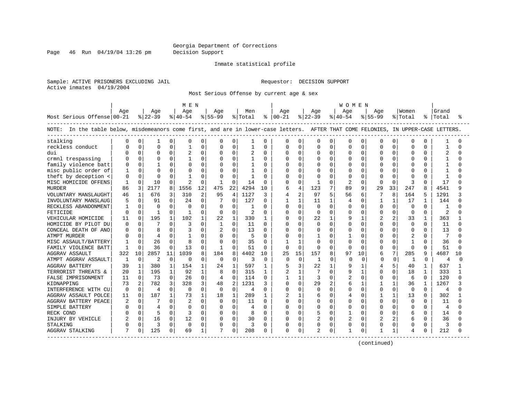Page 46 Run 04/19/04 13:26 pm Decision Support

#### Inmate statistical profile

Sample: ACTIVE PRISONERS EXCLUDING JAIL **Requestor: DECISION SUPPORT** Active inmates 04/19/2004

Most Serious Offense by current age & sex

|                                                                                                                                    |               |              |                |              | M E N          |                |                |                |                |              |               |              |                |              | W O M E N      |          |                |              |                |              |                |          |
|------------------------------------------------------------------------------------------------------------------------------------|---------------|--------------|----------------|--------------|----------------|----------------|----------------|----------------|----------------|--------------|---------------|--------------|----------------|--------------|----------------|----------|----------------|--------------|----------------|--------------|----------------|----------|
|                                                                                                                                    | Age           |              | Aqe            |              | Aqe            |                | Aqe            |                | Men            |              | Aqe           |              | Age            |              | Aqe            |          | Aqe            |              | Women          |              | Grand          |          |
| Most Serious Offense 00-21                                                                                                         |               |              | $ 22-39$       |              | $ 40-54 $      |                | $ 55-99$       |                | % Total        |              | $8   00 - 21$ |              | $ 22-39$       |              | $ 40-54 $      |          | $8155 - 99$    |              | % Total        |              | %   Total      |          |
| NOTE: In the table below, misdemeanors come first, and are in lower-case letters. AFTER THAT COME FELONIES, IN UPPER-CASE LETTERS. |               |              |                |              |                |                |                |                |                |              |               |              |                |              |                |          |                |              |                |              |                |          |
| stalking                                                                                                                           | O             | 0            | 1              | 0            | $\Omega$       | 0              | $\Omega$       | 0              | 1              | $\Omega$     | 0             | $\Omega$     | 0              | 0            | $\Omega$       | 0        | $\Omega$       | 0            | 0              | O            |                | U        |
| reckless conduct                                                                                                                   |               | 0            | $\Omega$       | $\Omega$     |                | $\mathbf 0$    |                | $\mathbf 0$    |                | 0            | 0             | 0            | 0              | 0            | $\Omega$       | 0        | $\Omega$       | 0            | $\mathbf 0$    |              |                |          |
| dui                                                                                                                                |               | $\Omega$     | O              | 0            |                | $\Omega$       | $\Omega$       | $\mathbf 0$    |                | $\Omega$     | U             | $\Omega$     | O              | $\Omega$     | $\Omega$       | $\Omega$ | $\Omega$       | $\Omega$     | $\Omega$       | $\Omega$     |                |          |
| crmnl trespassing                                                                                                                  |               | $\Omega$     | $\Omega$       | 0            |                | 0              | $\Omega$       | $\Omega$       |                | $\Omega$     | N             | 0            | 0              | $\Omega$     | $\Omega$       | $\Omega$ | O              | $\Omega$     | $\Omega$       | 0            |                |          |
| family violence batt                                                                                                               |               | $\Omega$     |                | $\Omega$     |                | $\mathbf 0$    |                | $\Omega$       |                | $\Omega$     |               | 0            | O              | $\Omega$     | $\Omega$       | $\Omega$ |                | $\Omega$     | $\mathbf 0$    |              |                |          |
| misc public order of                                                                                                               | -1            | $\Omega$     | $\Omega$       | $\Omega$     |                | $\mathbf 0$    |                | $\Omega$       |                | $\Omega$     | U             | $\Omega$     | O              | 0            | $\Omega$       | $\Omega$ |                | $\Omega$     | $\mathbf 0$    |              | -1             |          |
| theft by deception <                                                                                                               | $\Omega$      | $\Omega$     | $\Omega$       | $\Omega$     |                | $\Omega$       |                | $\Omega$       | $\mathbf{1}$   | $\Omega$     | O             | $\Omega$     | O              | 0            | $\Omega$       | $\Omega$ | $\cap$         | $\Omega$     | $\Omega$       | <sup>0</sup> | -1             |          |
| MISC HOMICIDE OFFENS                                                                                                               | 1             | 0            | 10             | 0            | 2              | 0              |                | $\mathbf 0$    | 14             | $\Omega$     | N             | 0            | 1              | O            | $\overline{2}$ | $\Omega$ | $\Omega$       | $\Omega$     | 3              | 0            | 17             |          |
| <b>MURDER</b>                                                                                                                      | 86            | 3            | 2177           | 8            | 1556           | 12             | 475            | 22             | 4294           | 10           | б             | 4            | 123            |              | 89             | 9        | 29             | 33           | 247            | $\mathsf{R}$ | 4541           | ۹        |
| VOLUNTARY MANSLAUGHT                                                                                                               | 46            | $\mathbf{1}$ | 676            | 3            | 310            | $\overline{2}$ | 95             | 4              | 1127           | ζ            | 4             | 2            | 97             | 5            | 56             | 6        |                | 8            | 164            |              | 1291           | 3        |
| INVOLUNTARY MANSLAUG                                                                                                               | 5             | $\Omega$     | 91             | 0            | 24             | $\Omega$       |                | $\Omega$       | 127            | $\Omega$     | 1             | $\mathbf{1}$ | 11             | $\mathbf{1}$ | 4              | $\Omega$ |                | 1            | 17             | 1            | 144            | ∩        |
| RECKLESS ABANDONMENT                                                                                                               | 1             | $\Omega$     | $\Omega$       | 0            | $\Omega$       | $\Omega$       | $\Omega$       | $\Omega$       | 1              | $\Omega$     | 0             | $\Omega$     | $\Omega$       | $\Omega$     | $\Omega$       | $\Omega$ | $\Omega$       | $\Omega$     | $\Omega$       | $\Omega$     | 1              |          |
| FETICIDE                                                                                                                           | 0             | $\Omega$     | $\mathbf{1}$   | 0            | $\mathbf{1}$   | 0              | 0              | $\mathbf 0$    | $\overline{2}$ | $\Omega$     | U             | $\mathbf 0$  | $\Omega$       | $\Omega$     | $\Omega$       | 0        | $\Omega$       | 0            | $\mathbf 0$    | $\Omega$     | $\overline{c}$ |          |
| VEHICULAR HOMICIDE                                                                                                                 | 11            | $\Omega$     | 195            | 1            | 102            | 1              | 22             | $\mathbf{1}$   | 330            | $\mathbf{1}$ | O             | $\Omega$     | 22             | $\mathbf{1}$ | 9              | 1        | $\overline{c}$ | 2            | 33             | $\mathbf{1}$ | 363            |          |
| HOMICIDE BY PILOT DU                                                                                                               | n             | $\Omega$     | 7              | 0            | 3              | $\Omega$       | 1              | $\Omega$       | 11             | $\Omega$     | O             | 0            | 0              | 0            | $\Omega$       | $\Omega$ | $\Omega$       | $\Omega$     | $\mathbf 0$    | $\Omega$     | 11             | U        |
| CONCEAL DEATH OF ANO                                                                                                               | Ω             | $\Omega$     |                | 0            |                | O              | 2              | $\Omega$       | 13             | $\Omega$     | U             | $\Omega$     | 0              | U            | 0              | $\Omega$ |                |              | $\Omega$       |              | 13             |          |
| ATMPT MURDER                                                                                                                       |               | <sup>n</sup> | $\overline{4}$ | O            |                | U              | $\Omega$       | $\Omega$       | 5              | <sup>0</sup> | U             | $\Omega$     |                | U            | 1              | $\Omega$ |                | <sup>n</sup> |                |              | 7              |          |
| MISC ASSAULT/BATTERY                                                                                                               |               | $\Omega$     | 26             | O            | 8              | $\Omega$       | $\Omega$       | $\Omega$       | 35             | $\Omega$     |               | -1           | O              | U            | <sup>0</sup>   | $\Omega$ | $\Omega$       | $\Omega$     | $\mathbf{1}$   | $\Omega$     | 36             |          |
| FAMILY VIOLENCE BATT                                                                                                               | -1            | $\Omega$     | 36             | 0            | 13             | 0              |                | $\Omega$       | 51             | $\Omega$     | $\Omega$      | $\mathbf 0$  | $\Omega$       | $\Omega$     | $\Omega$       | $\Omega$ | $\Omega$       | $\Omega$     | $\mathbf 0$    | 0            | 51             | U        |
| <b>AGGRAV ASSAULT</b>                                                                                                              | 322           | 10           | 2857           | 11           | 1039           | 8              | 184            | 8              | 4402           | 10           | 25            | 15           | 157            | 8            | 97             | 10       | 6              | 7            | 285            | 9            | 4687           | 10       |
| ATMPT AGGRAV ASSAULT                                                                                                               | -1            | $\mathbf 0$  | $\overline{c}$ | $\Omega$     | n              | $\mathbf 0$    | $\Omega$       | $\Omega$       | 3              | $\Omega$     | $\Omega$      | 0            | -1             | 0            | $\Omega$       | 0        | $\cap$         | $\mathbf 0$  | 1              | $\Omega$     | $\overline{4}$ | $\Omega$ |
| <b>AGGRAV BATTERY</b>                                                                                                              | 39            | $\mathbf{1}$ | 380            | $\mathbf{1}$ | 154            | $\mathbf{1}$   | 24             | $\mathbf{1}$   | 597            | 1            | 5             | 3            | 22             | $\mathbf{1}$ | 9              | 1        | 4              |              | 40             | 1            | 637            |          |
| TERRORIST THREATS &                                                                                                                | 20            | 1            | 195            | 1            | 92             | $\mathbf{1}$   |                | $\Omega$       | 315            | 1            | 2             |              |                | 0            | 9              | 1        |                | O            | 18             |              | 333            |          |
| FALSE IMPRISONMENT                                                                                                                 | 11            | $\Omega$     | 73             | $\Omega$     | 26             | 0              | $\overline{4}$ | $\Omega$       | 114            | $\Omega$     | 1             | $\mathbf{1}$ | 3              | O            | $\overline{c}$ | $\Omega$ | $\Omega$       | <sup>0</sup> | 6              | $\Omega$     | 120            | ∩        |
| KIDNAPPING                                                                                                                         | 73            | 2            | 782            | 3            | 328            | 3              | 48             | $\overline{c}$ | 1231           | 3            | U             | $\Omega$     | 29             |              | 6              | 1        |                | 1            | 36             | 1            | 1267           | ς        |
| INTERFERENCE WITH CU                                                                                                               | 0             | $\Omega$     | 4              | 0            | $\mathbf 0$    | $\Omega$       | $\Omega$       | $\Omega$       | 4              | $\Omega$     | U             | $\mathbf 0$  | O              | $\Omega$     | $\Omega$       | $\Omega$ | $\Omega$       | $\Omega$     | $\overline{0}$ | $\Omega$     | 4              | O        |
| AGGRAV ASSAULT POLCE                                                                                                               | 11            | $\Omega$     | 187            | $\mathbf{1}$ | 73             | $\mathbf{1}$   | 18             | $\mathbf 1$    | 289            | 1            | 2             | $\mathbf{1}$ | б              | $\Omega$     | 4              | 0        |                | $\mathbf{1}$ | 13             | $\Omega$     | 302            |          |
| AGGRAV BATTERY PEACE                                                                                                               | $\mathcal{D}$ | $\Omega$     | 7              | 0            | $\overline{a}$ | $\Omega$       | <sup>0</sup>   | $\Omega$       | 11             | $\Omega$     | <sup>0</sup>  | $\Omega$     | U              | $\Omega$     | $\Omega$       | $\Omega$ | $\Omega$       | $\Omega$     | $\Omega$       | $\Omega$     | 11             | $\cap$   |
| SIMPLE BATTERY                                                                                                                     | Ω             | $\Omega$     | 4              | 0            | $\Omega$       | $\Omega$       | $\Omega$       | $\mathbf 0$    | 4              | $\Omega$     | 0             | 0            | U              | O            | $\Omega$       | $\Omega$ |                | 0            | 0              | O            | 4              |          |
| RECK COND                                                                                                                          |               | $\Omega$     | 5              | 0            | 3              | $\Omega$       | $\Omega$       | $\Omega$       |                | $\Omega$     | U             | $\Omega$     | 5              | $\Omega$     | 1              | $\Omega$ | $\Omega$       |              | 6              | $\Omega$     | 14             |          |
| INJURY BY VEHICLE                                                                                                                  | 2             | $\Omega$     | 16             | 0            | 12             | 0              | $\Omega$       | $\Omega$       | 30             | $\Omega$     | N             | 0            | $\overline{2}$ | $\Omega$     | $\overline{a}$ | $\Omega$ | $\overline{c}$ | 2            | 6              | $\Omega$     | 36             | ∩        |
| STALKING                                                                                                                           | Ω             | $\Omega$     | 3              | 0            | 0              | $\Omega$       | 0              | $\Omega$       | 3              | $\Omega$     | Ω             | 0            | 0              | $\Omega$     | $\Omega$       | $\Omega$ | $\Omega$       | $\Omega$     | $\Omega$       | 0            | 3              |          |
| AGGRAV STALKING                                                                                                                    |               | 0            | 125            | 0            | 69             | 1              |                | 0              | 208            | 0            | 0             | 0            | 2              | 0            |                | 0        |                |              | 4              |              | 212            |          |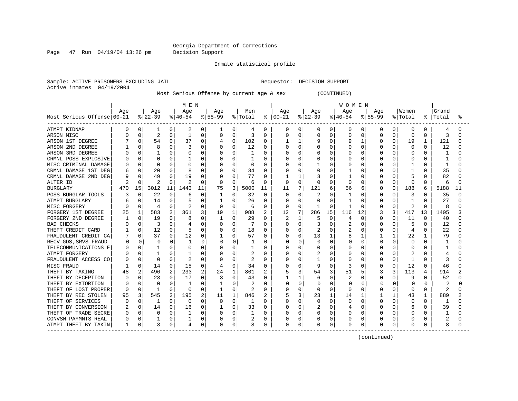Page 47 Run 04/19/04 13:26 pm Decision Support

Inmate statistical profile

Sample: ACTIVE PRISONERS EXCLUDING JAIL **Requestor: DECISION SUPPORT** Active inmates 04/19/2004

Most Serious Offense by current age & sex (CONTINUED)

|                            |     |             |              |          | M E N    |          |           |             |         |              |          |          |           |          | <b>WOMEN</b> |              |              |              |                |              |           |    |
|----------------------------|-----|-------------|--------------|----------|----------|----------|-----------|-------------|---------|--------------|----------|----------|-----------|----------|--------------|--------------|--------------|--------------|----------------|--------------|-----------|----|
|                            | Age |             | Age          |          | Age      |          | Age       |             | Men     |              | Age      |          | Age       |          | Age          |              | Age          |              | Women          |              | Grand     |    |
| Most Serious Offense 00-21 |     |             | $ 22-39$     |          | $ 40-54$ |          | $8 55-99$ |             | % Total | ႜ            | $ 00-21$ |          | $ 22-39 $ |          | $ 40-54$     |              | $8 55-99$    |              | % Total        |              | %   Total | ႜ  |
| ATMPT KIDNAP               | 0   | 0           | 1            | 0        | 2        | 0        |           | 0           | 4       | 0            | 0        | 0        | 0         | 0        | 0            | 0            | 0            | 0            | 0              | 0            | 4         | O  |
| ARSON MISC                 |     | 0           | 2            | 0        | 1        | 0        | 0         | $\mathbf 0$ | 3       | 0            | 0        | 0        | 0         | 0        | $\Omega$     | 0            | 0            | 0            | $\Omega$       | $\Omega$     | 3         |    |
| ARSON 1ST DEGREE           |     | 0           | 54           | 0        | 37       | 0        | 4         | $\mathbf 0$ | 102     | 0            |          | 1        | 9         | $\Omega$ | 9            | $\mathbf{1}$ | $\Omega$     | 0            | 19             | 1            | 121       | ∩  |
| ARSON 2ND DEGREE           |     | 0           | Я            | O        |          | O        | O         | O           | 12      | 0            | U        | $\Omega$ | Ω         | $\Omega$ | U            | 0            | <sup>0</sup> | O            | ∩              | <sup>0</sup> | 12        |    |
| ARSON 3RD DEGREE           |     | 0           |              | 0        |          | U        |           | 0           |         | O            | Ω        | $\Omega$ |           | U        | O            | 0            |              | O            | $\cap$         | 0            |           |    |
| CRMNL POSS EXPLOSIVE       |     | $\Omega$    | U            | 0        |          | O        | O         | 0           |         | U            |          | $\Omega$ |           | O        | O            | U            |              | $\Omega$     |                | $\Omega$     |           |    |
| MISC CRIMINAL DAMAGE       |     | $\Omega$    | O            | U        |          | O        |           | 0           | O       | 0            |          | 0        |           | O        | O            | O            |              | O            |                | O            |           |    |
| CRMNL DAMAGE 1ST DEG       |     | $\mathbf 0$ | 20           | 0        |          | 0        |           | 0           | 34      | $\Omega$     |          | 0        |           | O        |              | 0            |              | 0            |                |              | 35        |    |
| CRMNL DAMAGE 2ND DEG       |     | 0           | 49           | O        | 19       | $\Omega$ |           | $\Omega$    | 77      | O            |          | 1        |           | O        |              | U            | n            | O            | 5              | $\Omega$     | 82        |    |
| ALTER ID                   |     | $\Omega$    | 2            | 0        | 2        | 0        | 0         | $\Omega$    | 6       | 0            | 0        | $\Omega$ | Ω         | O        | $\Omega$     | 0            | O            | $\Omega$     | $\Omega$       | $\Omega$     | 6         | ∩  |
| <b>BURGLARY</b>            | 470 | 15          | 3012         | 11       | 1443     | 11       | 75        | 3           | 5000    | 11           | 11       | 7        | 121       | 6        | 56           | 6            | O            | 0            | 188            | 6            | 5188      | 11 |
| POSS BURGLAR TOOLS         | 3   | 0           | 22           | 0        | 6        | 0        |           | 0           | 32      | $\Omega$     | 0        | 0        | 2         | O        | 1            | O            | <sup>0</sup> | O            | 3              | ∩            | 35        | U  |
| ATMPT BURGLARY             |     | 0           | 14           | 0        |          | 0        |           | 0           | 26      | 0            | U        | $\Omega$ | U         | O        |              | 0            | <sup>0</sup> | O            |                | $\Omega$     | 27        |    |
| MISC FORGERY               | 0   | $\Omega$    | 4            | 0        |          | $\Omega$ | $\Omega$  | $\Omega$    | 6       | $\Omega$     | 0        | $\Omega$ |           | $\Omega$ |              | O            | 0            | $\Omega$     | 2              | 0            | 8         |    |
| FORGERY 1ST DEGREE         | 25  |             | 583          | 2        | 361      | 3        | 19        | 1           | 988     | 2            | 12       | 7        | 286       | 15       | 116          | 12           |              | 3            | 417            | 13           | 1405      |    |
| FORGERY 2ND DEGREE         |     | 0           | 19           | O        | 8        | U        |           | 0           | 29      | O            |          |          | 5         | ∩        | 4            | O            | <sup>0</sup> |              | 11             | O            | 40        |    |
| <b>BAD CHECKS</b>          |     | $\Omega$    | 3            | 0        |          | O        | 0         | 0           |         | 0            | U        | $\Omega$ | 3         | ∩        |              | U            | n            | O            |                | <sup>0</sup> | 12        | ∩  |
| THEFT CREDIT CARD          |     | 0           | 12           | O        |          | 0        | O         | 0           | 18      | <sup>0</sup> | U        | $\Omega$ | 2         | O        | 2            | U            |              | O            | $\overline{4}$ | <sup>0</sup> | 22        |    |
| FRAUDULENT CREDIT CA       |     | $\Omega$    | 37           | 0        | 12       | 0        |           | 0           | 57      | 0            | Ω        | 0        | 13        |          | 8            |              |              | $\mathbf{1}$ | 22             |              | 79        |    |
| RECV GDS, SRVS FRAUD       |     | $\Omega$    | $\Omega$     | $\Omega$ |          | $\Omega$ | 0         | 0           | Щ       | ∩            |          | $\Omega$ | O         | U        | $\Omega$     | <sup>0</sup> |              | $\Omega$     | $\Omega$       | $\Omega$     |           |    |
| TELECOMMUNICATIONS F       |     | $\Omega$    |              | 0        |          | O        |           | 0           |         | O            |          | 0        |           | O        | O            | U            |              | O            | $\Omega$       |              |           |    |
| ATMPT FORGERY              |     | $\Omega$    |              | 0        |          | 0        |           | 0           | 2       | $\Omega$     |          | 0        |           | $\Omega$ | $\Omega$     | 0            |              | $\Omega$     |                | $\Omega$     |           |    |
| FRAUDULENT ACCESS CO       |     | $\Omega$    | <sup>0</sup> | O        | 2        | 0        | O         | O           | 2       | O            | ი        | 0        |           | O        | O            | O            | $\Omega$     | $\Omega$     | -1             | <sup>0</sup> | 3         |    |
| MISC FRAUD                 |     | 0           | 14           | 0        | 15       | 0        | 4         | 0           | 34      | $\Omega$     | Λ        | 0        | 9         | $\Omega$ |              | O            | <sup>0</sup> | 0            | 12             | $\Omega$     | 46        |    |
| THEFT BY TAKING            | 48  | 2           | 496          | 2        | 233      | 2        | 24        | $1\,$       | 801     | 2            |          | 3        | 54        | 3        | 51           | 5            |              | 3            | 113            | 4            | 914       | 2  |
| THEFT BY DECEPTION         |     | 0           | 23           | 0        | 17       | O        | 3         | 0           | 43      | 0            |          | 1        | 6         | O        |              | O            | O            | O            | 9              | 0            | 52        |    |
| THEFT BY EXTORTION         |     | $\Omega$    | $\Omega$     | O        |          | O        |           | O           | 2       | O            | U        | 0        | O         | O        | $\Omega$     | O            |              | O            | ∩              | O            |           |    |
| THEFT OF LOST PROPER       | 0   | $\Omega$    |              | 0        | $\Omega$ | $\Omega$ |           | 0           | 2       | 0            | Ω        | 0        | 0         | O        | O            |              |              | 0            | <sup>0</sup>   | 0            | 2         |    |
| THEFT BY REC STOLEN        | 95  | 3           | 545          | 2        | 195      | 2        | 11        | 1           | 846     |              | 5        | 3        | 23        |          | 14           |              |              | 1            | 43             |              | 889       |    |
| THEFT OF SERVICES          |     | 0           |              | O        | $\Omega$ | O        | O         | 0           | 1       | 0            | ი        | $\Omega$ | Ω         | $\Omega$ | O            | U            | $\Omega$     | O            | $\Omega$       | <sup>0</sup> |           | ∩  |
| THEFT BY CONVERSION        |     | 0           | 14           | 0        | 16       | O        |           | 0           | 33      | O            | Ω        | $\Omega$ | 2         | $\Omega$ |              | O            | <sup>0</sup> | O            |                | $\Omega$     | 39        |    |
| THEFT OF TRADE SECRE       |     | $\Omega$    | $\Omega$     | 0        | -1       | $\Omega$ | O         | 0           |         | O            | Ω        | $\Omega$ | U         | O        | O            | 0            |              | $\Omega$     | O              | $\Omega$     |           |    |
| CONVSN PAYMNTS REAL        |     | 0           |              | 0        |          | 0        |           | 0           | 2       | 0            |          | 0        |           | 0        | 0            | 0            |              | $\Omega$     |                | 0            |           |    |
| ATMPT THEFT BY TAKIN       | 1   | 0           | 3            | 0        | 4        | 0        | 0         | 0           | 8       | 0            | 0        | 0        | 0         | 0        | $\Omega$     | 0            | $\Omega$     | 0            | $\Omega$       |              | 8         |    |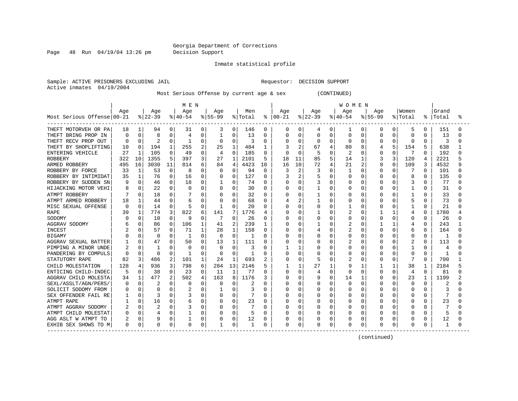Page 48 Run 04/19/04 13:26 pm Decision Support

Inmate statistical profile

Sample: ACTIVE PRISONERS EXCLUDING JAIL **Requestor: DECISION SUPPORT** Active inmates 04/19/2004

Most Serious Offense by current age & sex (CONTINUED)

|                            |              |              |              |          | MEN      |              |           |                |              |              |          |                |          |              | WOMEN          |          |              |              |                |              |           |   |
|----------------------------|--------------|--------------|--------------|----------|----------|--------------|-----------|----------------|--------------|--------------|----------|----------------|----------|--------------|----------------|----------|--------------|--------------|----------------|--------------|-----------|---|
|                            | Age          |              | Age          |          | Age      |              | Age       |                | Men          |              | Aqe      |                | Aqe      |              | Age            |          | Aqe          |              | Women          |              | Grand     |   |
| Most Serious Offense 00-21 |              |              | $ 22-39 $    |          | $ 40-54$ |              | $8 55-99$ |                | % Total      | ႜ            | $ 00-21$ |                | $ 22-39$ |              | $ 40-54$       |          | $8155 - 99$  |              | % Total        |              | %   Total | ° |
| THEFT MOTORVEH OR PA       | 18           |              | 94           | 0        | 31       | 0            | 3         | 0              | 146          | 0            | 0        | 0              | 4        | 0            | 1              | 0        | 0            | 0            | 5              | 0            | 151       | O |
| THEFT BRING PROP IN        | <sup>0</sup> | $\Omega$     | 8            | $\Omega$ | 4        | 0            | 1         | 0              | 13           | $\Omega$     | Ω        | 0              | 0        | 0            | U              | N        | O            | O            | <sup>0</sup>   | 0            | 13        | U |
| THEFT RECV PROP OUT        |              | 0            |              | 0        | -1       | 0            | 0         | 0              |              | 0            | 0        | $\mathbf 0$    | 0        | 0            | O              | 0        | O            | 0            | $\Omega$       | O            | 3         |   |
| THEFT BY SHOPLIFTING       | 10           | $\Omega$     | 194          |          | 255      | 2            | 25        | 1              | 484          | 1            | ੨        | 2              | 67       |              | 80             | 8        |              | 5            | 154            | 5            | 638       |   |
| ENTERING VEHICLE           | 27           | $\mathbf{1}$ | 105          | $\Omega$ | 49       | 0            | 4         | $\Omega$       | 185          | 0            | U        | $\Omega$       | 5        | C            | 2              | 0        | <sup>0</sup> | $\Omega$     | 7              | <sup>0</sup> | 192       |   |
| <b>ROBBERY</b>             | 322          | 10           | 1355         | 5        | 397      | 3            | 27        | 1              | 2101         | 5            | 18       | 11             | 85       | 5            | 14             |          | 3            | 3            | 120            | 4            | 2221      |   |
| ARMED ROBBERY              | 495          | 16           | 3030         | 11       | 814      | 6            | 84        | $\overline{4}$ | 4423         | 10           | 16       | 10             | 72       | 4            | 21             | 2        | 0            | $\Omega$     | 109            | 3            | 4532      |   |
| ROBBERY BY FORCE           | 33           | 1            | 53           | $\Omega$ | 8        | 0            | $\Omega$  | 0              | 94           | 0            |          | 2              | 3        | $\Omega$     | 1              | 0        | 0            | 0            |                | <sup>0</sup> | 101       |   |
| ROBBERY BY INTIMIDAT       | 35           | $\mathbf{1}$ | 76           | $\Omega$ | 16       | 0            | 0         | 0              | 127          | $\Omega$     |          | 2              | 5        | O            | 0              | O        | O            | O            | 8              | $\Omega$     | 135       |   |
| ROBBERY BY SUDDEN SN       |              | $\Omega$     | 46           | 0        | 18       | 0            |           | $\Omega$       | 74           | $\Omega$     | 0        | 0              | 3        | O            | O              | O        | <sup>0</sup> | O            | 3              | $\Omega$     | 77        |   |
| HIJACKING MOTOR VEHI       |              | $\Omega$     | 22           | 0        | O        | 0            | 0         | 0              | 30           | $\Omega$     | Ω        | 0              |          | O            | U              | O        | O            | 0            | 1              | 0            | 31        |   |
| ATMPT ROBBERY              |              | U            | 18           | $\Omega$ |          | O            | 0         | O              | 32           | $\Omega$     | U        | 0              |          | $\Omega$     | O              | O        | U            | U            |                | <sup>0</sup> | 33        |   |
| ATMPT ARMED ROBBERY        | 18           |              | 44           | $\Omega$ |          | 0            | 0         | $\Omega$       | 68           | $\Omega$     |          | $\overline{c}$ |          | O            | 0              | O        | O            | O            | 5              | 0            | 73        | U |
| MISC SEXUAL OFFENSE        | $\Omega$     | $\Omega$     | 14           | 0        | 5        | 0            | 1         | O              | 20           | 0            | Ω        | 0              | Ω        | O            |                | O        | U            | O            |                | 0            | 21        |   |
| <b>RAPE</b>                | 39           |              | 774          | 3        | 822      | 6            | 141       |                | 1776         | 4            | ი        | $\Omega$       |          | U            | 2              |          |              |              | 4              | O            | 1780      |   |
| SODOMY                     |              |              | 10           | 0        | 9        | 0            |           | $\Omega$       | 26           | 0            | Ω        | 0              |          | O            | 0              | N        | <sup>0</sup> | O            | $\Omega$       | O            | 26        |   |
| AGGRAV SODOMY              |              |              | 86           | $\Omega$ | 106      | $\mathbf{1}$ | 41        | $\overline{2}$ | 239          | 1            | ი        | $\Omega$       |          | C            | 2              | N        |              | $\mathbf{1}$ |                | <sup>0</sup> | 243       |   |
| <b>INCEST</b>              |              | O            | 57           | $\Omega$ | 71       |              | 28        | $\mathbf{1}$   | 158          | 0            | U        | $\Omega$       |          | O            | 2              | U        | U            | U            | 6              | 0            | 164       |   |
| <b>BIGAMY</b>              |              |              | $\Omega$     | $\Omega$ | -1       | O            | $\Omega$  | $\Omega$       |              | $\Omega$     | Ω        | $\Omega$       | ი        | $\cap$       | O              | 0        | U            | U            | $\Omega$       | 0            |           |   |
| AGGRAV SEXUAL BATTER       |              | 0            | 47           | $\Omega$ | 50       | $\Omega$     | 13        | 1              | 111          | <sup>0</sup> | Ω        | $\Omega$       |          | O            | $\overline{2}$ | N        | O            | 0            | 2              | 0            | 113       |   |
| PIMPING A MINOR UNDE       | 2            | $\Omega$     | $\mathbf{1}$ | N        | O        | 0            | 0         | $\Omega$       | 3            | $\Omega$     |          | 1              |          | O            | 0              | N        |              | 0            |                | O            | 4         |   |
| PANDERING BY COMPULS       |              | $\Omega$     | ∩            | $\Omega$ | -1       | O            | $\Omega$  | O              | $\mathbf{1}$ | $\Omega$     | Λ        | $\mathbf 0$    |          | O            | O              | N        |              | O            | $\Omega$       | 0            | -1        |   |
| STATUTORY RAPE             | 82           | 3            | 486          | 2        | 101      | 1            | 24        | $\mathbf{1}$   | 693          | 2            | N        | 0              | 5        | $\Omega$     | 2              | 0        | O            | 0            | 7              | <sup>0</sup> | 700       |   |
| CHILD MOLESTATION          | 128          | 4            | 936          | 3        | 798      | 6            | 284       | 13             | 2146         | 5            |          | 1              | 27       | $\mathbf{1}$ | 9              | 1        |              | $\mathbf{1}$ | 38             | 1            | 2184      |   |
| ENTICING CHILD-INDEC       |              | $\Omega$     | 38           | $\Omega$ | 23       | 0            | 11        | 1              | 77           | $\Omega$     | O        | $\Omega$       | 4        | $\Omega$     | U              | $\Omega$ | $\Omega$     | $\Omega$     | $\overline{4}$ | $\Omega$     | 81        |   |
| AGGRAV CHILD MOLESTA       | 34           | 1            | 477          | 2        | 502      | 4            | 163       | 8              | 1176         | 3            | Ω        | $\Omega$       | 9        | 0            | 14             | 1        | O            | O            | 23             | ı            | 1199      | 2 |
| SEXL/ASSLT/AGN/PERS/       | O            | $\Omega$     | 2            | $\Omega$ | O        | 0            | 0         | O              | 2            | $\Omega$     | Ω        | 0              | Ω        | O            | 0              | O        | O            | O            | $\Omega$       | 0            | 2         |   |
| SOLICIT SODOMY FROM        |              | 0            | $\Omega$     | O        |          | 0            |           | U              | 3            | O            | Ω        | 0              | Ω        | O            | O              | N        |              | O            | $\Omega$       |              | 3         |   |
| SEX OFFENDER FAIL RE       |              | $\Omega$     |              | $\Omega$ |          | 0            | 0         | 0              |              | $\Omega$     | Ω        | 0              |          | O            | 0              |          | U            |              | $\Omega$       |              |           |   |
| ATMPT RAPE                 |              | 0            | 16           | O        | 6        | 0            | 0         | 0              | 23           | O            | Ω        | 0              | ი        | O            | U              | N        | O            | O            | <sup>0</sup>   | 0            | 23        |   |
| ATMPT AGGRAV SODOMY        |              | $\Omega$     | 2            | $\Omega$ |          | 0            | O         | 0              |              | O            | Λ        | $\Omega$       | ი        | O            | O              | 0        | U            | O            | ∩              | O            |           |   |
| ATMPT CHILD MOLESTAT       |              | $\Omega$     | 4            | 0        |          | 0            | O         | $\Omega$       |              | $\Omega$     | Λ        | 0              | N        | $\cap$       | O              | $\Omega$ |              | O            | ∩              | 0            | 5         |   |
| AGG ASLT W ATMPT TO        |              | $\Omega$     |              | $\Omega$ |          | 0            |           | 0              | 12           | 0            |          | 0              | Ω        | 0            | 0              | 0        |              | 0            | 0              | 0            | 12        |   |
| EXHIB SEX SHOWS TO M       | $\Omega$     | 0            | $\Omega$     | 0        | 0        | 0            |           | 0              |              | $\Omega$     | 0        | 0              | 0        | 0            | 0              | 0        | 0            | 0            | $\Omega$       |              |           |   |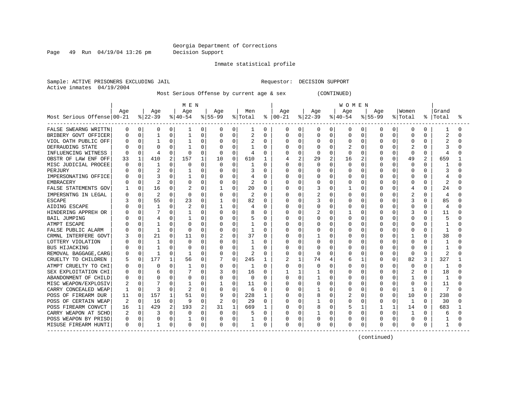Page 49 Run 04/19/04 13:26 pm Decision Support

Inmate statistical profile

Sample: ACTIVE PRISONERS EXCLUDING JAIL **Requestor: DECISION SUPPORT** Active inmates 04/19/2004

Most Serious Offense by current age & sex (CONTINUED)

|                            |     |              |                |   | MEN      |          |          |          |              |          |               |              |              |              | <b>WOMEN</b> |          |              |          |              |              |       |    |
|----------------------------|-----|--------------|----------------|---|----------|----------|----------|----------|--------------|----------|---------------|--------------|--------------|--------------|--------------|----------|--------------|----------|--------------|--------------|-------|----|
|                            | Age |              | Age            |   | Age      |          | Age      |          | Men          |          | Aqe           |              | Age          |              | Age          |          | Aqe          |          | Women        |              | Grand |    |
| Most Serious Offense 00-21 |     |              | $ 22-39 $      |   | $ 40-54$ |          | $ 55-99$ |          | % Total      |          | $8   00 - 21$ |              | $ 22-39$     |              | $ 40-54$     |          | $8155 - 99$  |          | % Total      | ႜ            | Total | °≈ |
| FALSE SWEARNG WRITTN       | 0   | 0            | 0              | 0 | 1        | 0        | 0        | 0        | 1            | 0        | 0             | 0            | 0            | $\mathbf{0}$ | 0            | 0        | 0            | 0        | 0            | 0            |       |    |
| BRIBERY GOVT OFFICER       | U   | 0            |                | 0 |          | 0        | 0        | 0        | 2            | $\Omega$ | Ω             | 0            | 0            | 0            | 0            | $\Omega$ | $\Omega$     | O        | $\Omega$     | O            | 2     |    |
| VIOL OATH PUBLIC OFF       |     | 0            |                | 0 |          | 0        | 0        | 0        | 2            | 0        | 0             | $\mathbf 0$  | C            | 0            | 0            | 0        | $\Omega$     |          | $\Omega$     | O            |       |    |
| DEFRAUDING STATE           |     | <sup>0</sup> | C              | 0 | -1       | 0        | O        | O        |              | $\Omega$ | Λ             | $\Omega$     | U            | $\Omega$     |              | $\Omega$ | $\Omega$     | U        |              | U            |       |    |
| INFLUENCING WITNESS        |     | $\Omega$     |                | O | 0        | $\Omega$ | $\Omega$ | O        | 4            | O        | U             | $\Omega$     | <sup>0</sup> | $\Omega$     | 0            | $\Omega$ | O            | 0        | $\Omega$     | 0            | 4     |    |
| OBSTR OF LAW ENF OFF       | 33  | $\mathbf{1}$ | 410            | 2 | 157      | 1        | 10       | 0        | 610          | 1        |               | 2            | 29           | 2            | 16           | 2        | O            | 0        | 49           | 2            | 659   |    |
| MISC JUDICIAL PROCEE       | C   | $\Omega$     |                | 0 | 0        | $\Omega$ | $\Omega$ | 0        |              | $\Omega$ |               | $\Omega$     | 0            | $\Omega$     | $\Omega$     | $\Omega$ | 0            | 0        | $\Omega$     | $\Omega$     |       |    |
| PERJURY                    |     | 0            | 2              | 0 |          | 0        |          | 0        | 3            | $\Omega$ |               | 0            | C            | $\Omega$     | 0            | 0        | 0            | 0        | 0            | O            | З     |    |
| IMPERSONATING OFFICE       |     | $\Omega$     |                | O |          | 0        |          | 0        |              | $\Omega$ |               | $\mathbf 0$  | C            | $\Omega$     | 0            | $\Omega$ | O            | O        | 0            | O            |       |    |
| <b>EMBRACERY</b>           |     | $\Omega$     | $\overline{c}$ | O |          | 0        | 0        | 0        | 2            | $\Omega$ |               | $\mathbf 0$  | 0            | $\Omega$     | 0            | 0        | $\Omega$     | 0        | $\Omega$     | $\Omega$     | 2     |    |
| FALSE STATEMENTS GOV       |     | 0            | 16             | 0 |          | 0        |          | 0        | 20           | 0        | Ω             | 0            | 3            | $\Omega$     |              | 0        | O            | 0        | 4            | $\Omega$     | 24    |    |
| IMPERSNTNG IN LEGAL        |     | 0            | 2              | O | $\Omega$ | 0        | 0        | 0        | 2            | $\Omega$ | Λ             | 0            | 2            | $\Omega$     | 0            | $\Omega$ | O            | 0        | 2            | $\cap$       | 4     |    |
| <b>ESCAPE</b>              |     | $\Omega$     | 55             | 0 | 23       | 0        |          | 0        | 82           | $\Omega$ | O             | 0            | 3            | $\Omega$     | 0            | 0        | 0            | 0        | 3            | $\Omega$     | 85    |    |
| AIDING ESCAPE              |     | $\Omega$     |                | 0 |          | 0        |          | 0        |              | 0        | Ω             | 0            | 0            | $\Omega$     | 0            | 0        | $\Omega$     | O        | $\Omega$     | O            | 4     |    |
| HINDERING APPREH OR        |     | O            |                | 0 |          | N        | 0        | 0        | 8            | O        |               | $\Omega$     | 2            | $\Omega$     |              | $\Omega$ |              |          | 3            |              | 11    |    |
| <b>BAIL JUMPING</b>        |     | 0            |                | 0 |          | $\Omega$ | 0        | 0        |              | 0        |               | 0            | C            | $\Omega$     | $\Omega$     | 0        | O            |          | $\Omega$     |              |       |    |
| ATMPT ESCAPE               |     | O            |                | U |          | 0        | O        | O        |              | O        | Ω             | 0            | C            | $\Omega$     | U            | n        | O            |          | $\Omega$     |              |       |    |
| FALSE PUBLIC ALARM         |     | $\Omega$     | -1             | 0 | $\Omega$ | $\Omega$ | O        | O        | 1            | O        |               | $\Omega$     | Ω            | ∩            | 0            | $\Omega$ | O            | 0        | $\Omega$     | U            | -1    |    |
| CRMNL INTERFERE GOVT       |     | 0            | 21             | 0 | 11       | $\Omega$ |          | 0        | 37           | $\Omega$ | Ω             | 0            |              | $\Omega$     | 0            | $\Omega$ | U            | 0        |              | U            | 38    |    |
| LOTTERY VIOLATION          |     | $\Omega$     |                | 0 | 0        | $\Omega$ | 0        | 0        |              | 0        |               | $\Omega$     | 0            | $\Omega$     | O            | $\Omega$ | O            | 0        | $\Omega$     | O            |       |    |
| <b>BUS HIJACKING</b>       |     | $\Omega$     |                | 0 |          | 0        | 0        | 0        |              | $\Omega$ |               | 0            | C            | $\Omega$     | 0            | $\Omega$ | O            | 0        | $\Omega$     | O            |       |    |
| REMOVAL BAGGAGE, CARG      |     | 0            | -1             | 0 |          | 0        |          | 0        | 2            | $\Omega$ |               | 0            | O            | O            |              | 0        | O            | 0        | $\Omega$     | $\Omega$     | 2     |    |
| CRUELTY TO CHILDREN        |     | $\mathbf 0$  | 177            | 1 | 56       | 0        |          | 0        | 245          | 1        |               | $\mathbf{1}$ | 74           |              | б            | 1        | <sup>0</sup> | 0        | 82           | 3            | 327   |    |
| ATMPT CRUELTY TO CHI       |     | 0            | C              | 0 | 1        | $\Omega$ | 0        | 0        | $\mathbf{1}$ | $\Omega$ | Ω             | $\mathbf 0$  | C            | $\Omega$     | 0            | $\Omega$ | $\Omega$     | 0        | $\Omega$     | $\Omega$     | 1     |    |
| SEX EXPLOITATION CHI       |     | $\Omega$     | 6              | 0 |          | $\Omega$ |          | 0        | 16           | $\Omega$ |               | 1            |              | $\Omega$     | U            | $\Omega$ | O            | 0        | 2            | $\cap$       | 18    |    |
| ABANDONMENT OF CHILD       | O   | $\Omega$     | C              | 0 |          | 0        | 0        | $\Omega$ | 0            | $\Omega$ | Ω             | 0            |              | $\Omega$     | O            | $\Omega$ | 0            | O        |              | O            | 1     |    |
| MISC WEAPON/EXPLOSIV       |     | $\Omega$     |                | 0 |          | 0        |          | 0        | 11           | $\Omega$ | Λ             | 0            | 0            | $\Omega$     | U            | 0        | 0            | O        | $\Omega$     | $\Omega$     | 11    |    |
| CARRY CONCEALED WEAP       |     | $\Omega$     | 3              | O | 2        | 0        | 0        | 0        | 6            | 0        |               | 0            |              | $\Omega$     | O            | 0        | O            | O        |              | O            |       |    |
| POSS OF FIREARM DUR        | 11  | 0            | 157            | 1 | 51       | 0        | 9        | 0        | 228          | 1        | Ω             | $\mathbf 0$  | 8            | 0            |              | 0        | 0            | U        | 10           | O            | 238   |    |
| POSS OF CERTAIN WEAP       |     | $\Omega$     | 16             | O | 9        | O        |          | O        | 29           | 0        | Ω             | 0            |              | $\Omega$     | U            | O        | U            | O        | $\mathbf{1}$ | <sup>0</sup> | 30    |    |
| POSS FIREARM CONVCT        | 16  | 1            | 429            | 2 | 193      | 2        | 31       | 1        | 669          | 1        | Ω             | $\Omega$     | 8            | O            | 5            | 1        |              | 1        | 14           | 0            | 683   |    |
| CARRY WEAPON AT SCHO       |     | 0            |                | O | O        | $\Omega$ | $\Omega$ | 0        |              | $\Omega$ |               | 0            |              | $\Omega$     | 0            | $\Omega$ | $\Omega$     | $\Omega$ | -1           | U            | 6     |    |
| POSS WEAPON BY PRISO       | 0   | 0            | 0              | 0 |          | 0        | 0        | 0        |              | 0        |               | 0            | 0            | $\Omega$     |              | 0        | 0            | 0        | $\Omega$     | 0            |       |    |
| MISUSE FIREARM HUNTI       | 0   | 0            |                | 0 | 0        | 0        | 0        | 0        |              | 0        | 0             | 0            | 0            | 0            | 0            | 0        | $\Omega$     | 0        | 0            | 0            | 1     |    |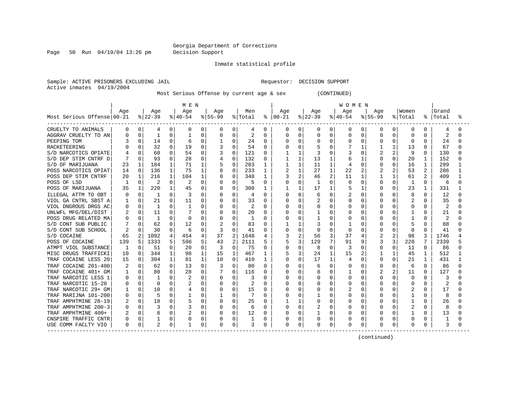Page 50 Run 04/19/04 13:26 pm Decision Support

Inmate statistical profile

Sample: ACTIVE PRISONERS EXCLUDING JAIL **Requestor: DECISION SUPPORT** Active inmates 04/19/2004

Most Serious Offense by current age & sex (CONTINUED)

|                            | M E N            |             |                |              |           |              |              |                |         |              |          | <b>WOMEN</b>   |          |              |              |                |                |                |                |                |       |    |
|----------------------------|------------------|-------------|----------------|--------------|-----------|--------------|--------------|----------------|---------|--------------|----------|----------------|----------|--------------|--------------|----------------|----------------|----------------|----------------|----------------|-------|----|
|                            | Age              |             | Age            |              | Age       |              | Age          |                | Men     |              | Age      |                | Age      |              | Age          |                | Age            |                | Women          |                | Grand |    |
| Most Serious Offense 00-21 |                  |             | $ 22-39$       |              | $ 40-54 $ |              | $ 55-99$     |                | % Total | ႜ            | $ 00-21$ |                | $ 22-39$ |              | $ 40-54$     |                | $8155 - 99$    |                | % Total        | ႜ              | Total | ័័ |
| CRUELTY TO ANIMALS         | 0                | 0           | 4              | 0            | 0         | 0            | 0            | 0              | 4       | 0            | 0        | 0              | 0        | 0            | 0            | 0              | 0              | 0              | 0              | 0              | 4     |    |
| AGGRAV CRUELTY TO AN       | 0                | $\Omega$    | 1              | 0            |           | 0            |              | $\mathbf 0$    | 2       | 0            | 0        | 0              | 0        | 0            | 0            | 0              | 0              | 0              | $\Omega$       | O              | 2     |    |
| PEEPING TOM                |                  | 0           | 14             | 0            | 6         | 0            |              | $\Omega$       | 24      | $\Omega$     | U        | 0              | 0        | $\Omega$     | 0            | $\Omega$       | 0              | 0              | $\Omega$       | $\Omega$       | 24    |    |
| RACKETEERING               |                  | 0           | 32             | $\Omega$     | 19        | $\Omega$     | 3            | $\Omega$       | 54      | 0            | U        | $\Omega$       |          | O            |              | 1              |                | 1              | 13             | <sup>0</sup>   | 67    |    |
| S/D NARCOTICS OPIATE       |                  | 0           | 60             | $\Omega$     | 54        | $\Omega$     | 3            | $\Omega$       | 121     | 0            |          | $\mathbf{1}$   | 3        | U            | 3            | $\Omega$       | $\overline{c}$ | $\overline{a}$ | 9              | 0              | 130   |    |
| S/D DEP STIM CNTRF D       |                  | $\Omega$    | 93             | O            | 28        | $\Omega$     | 4            | 0              | 132     | 0            |          | 1              | 13       |              | 6            |                | 0              | 0              | 20             | 1              | 152   |    |
| S/D OF MARIJUANA           | 23               | 1           | 184            | 1            | 71        | 1            | 5            | $\mathbf 0$    | 283     | 1            |          | $\mathbf{1}$   | 11       | 1            | 4            | O              | 0              | 0              | 16             | $\mathbf{1}$   | 299   |    |
| POSS NARCOTICS OPIAT       | 14               | $\mathbf 0$ | 136            | $\mathbf{1}$ | 75        | $\mathbf{1}$ |              | $\mathbf 0$    | 233     | 1            | 2        | $\mathbf{1}$   | 27       | $\mathbf{1}$ | 22           | $\overline{2}$ |                | 2              | 53             |                | 286   |    |
| POSS DEP STIM CNTRF        | 20               | 1           | 216            | 1            | 104       | 1            | 8            | 0              | 348     | 1            | 3        | 2              | 46       | 2            | 11           | 1              |                | 1              | 61             | $\mathfrak{D}$ | 409   |    |
| POSS OF LSD                |                  | $\Omega$    | $\overline{2}$ | $\Omega$     | 2         | $\Omega$     | $\Omega$     | $\Omega$       | 5       | $\Omega$     | O        | $\Omega$       | -1       | O            | $\Omega$     | $\Omega$       | 0              | $\Omega$       | -1             | $\Omega$       | -6    |    |
| POSS OF MARIJUANA          | 35               | 1           | 220            | 1            | 45        | 0            | 8            | 0              | 308     | 1            |          | 1              | 17       | 1            | 5            | 1              | 0              | 0              | 23             | 1              | 331   |    |
| ILLEGAL ATTM TO OBT        |                  | $\Omega$    | 1              | 0            |           | $\Omega$     | $\Omega$     | 0              | 4       | 0            | U        | 0              | 6        | $\Omega$     | 2            | $\Omega$       | 0              | 0              | 8              | $\Omega$       | 12    |    |
| VIOL GA CNTRL SBST A       |                  | 0           | 21             | 0            | 11        | 0            | 0            | 0              | 33      | 0            | O        | 0              | 2        | 0            | 0            | O              | O              | 0              |                | $\Omega$       | 35    |    |
| VIOL DNGROUS DRGS AC       | 0                | $\Omega$    | -1             | 0            | 1         | O            | 0            | $\Omega$       | 2       | 0            | 0        | 0              | 0        | 0            | 0            | 0              | 0              | O              | $\Omega$       | O              | 2     |    |
| UNLWFL MFG/DEL/DIST        |                  | 0           | 11             | 0            |           | U            |              | $\Omega$       | 20      | 0            | Ω        | 0              |          | O            | 0            | O              | U              |                |                |                | 21    |    |
| POSS DRUG RELATED MA       |                  | 0           | -1             | O            | O         | O            |              | $\Omega$       | 1       | 0            | Ω        | 0              |          | O            | O            | O              | O              |                |                | U              |       |    |
| S/D CONT SUB PUBLIC        |                  | 0           | 62             | 0            | 12        | O            |              | $\cap$         | 83      | O            |          | 1              |          | U            |              | O              | U              | U              | 5              | U              | 88    |    |
| S/D CONT SUB SCHOOL        |                  |             | 30             | O            | 6         | O            | 3            | <sup>0</sup>   | 41      | <sup>0</sup> | U        | $\Omega$       | O        | O            | <sup>0</sup> | O              | O              | O              | $\Omega$       | $\Omega$       | 41    |    |
| S/D COCAINE                | 65               | 2           | 1092           | 4            | 454       | 4            | 37           | $\overline{2}$ | 1648    | 4            | 3        | $\overline{2}$ | 56       | 3            | 37           | 4              |                | 2              | 98             | 3              | 1746  |    |
| POSS OF COCAINE            | 139              | 5           | 1333           | 5            | 596       | 5            | 43           | $\overline{2}$ | 2111    | 5            | 5        | 3              | 129      | 7            | 91           | 9              | 3              | 3              | 228            |                | 2339  |    |
| ATMPT VIOL SUBSTANCE       | -1               | $\Omega$    | 51             | 0            | 20        | 0            | 3            | $\Omega$       | 75      | 0            | Ω        | $\mathbf 0$    | 8        | O            | 3            | $\Omega$       | 0              | 0              | 11             | $\Omega$       | 86    |    |
| MISC DRUGS TRAFFICKI       | 10               | 0           | 344            | $\mathbf{1}$ | 98        | $\mathbf{1}$ | 15           | 1              | 467     | 1            | 5        | 3              | 24       | 1            | 15           | 2              |                | 1              | 45             | $\mathbf 1$    | 512   |    |
| TRAF COCAINE LESS 20       | 15               | $\Omega$    | 304            | 1            | 81        | 1            | 10           | $\Omega$       | 410     | 1            | O        | $\Omega$       | 17       | 1            | 4            | O              | O              | 0              | 21             | 1              | 431   |    |
| TRAF COCAINE 201-400       |                  | $\Omega$    | 62             | 0            | 13        | 0            | 3            | 0              | 80      | $\Omega$     | N        | 0              | 6        | $\Omega$     | 0            | $\Omega$       | 0              | 0              | 6              | $\Omega$       | 86    |    |
| TRAF COCAINE 401+ GM       |                  | $\Omega$    | 80             | $\Omega$     | 28        | $\Omega$     |              | $\Omega$       | 116     | <sup>0</sup> | Ω        | $\Omega$       | 8        | $\Omega$     | 1            | <sup>0</sup>   | 2              | 2              | 11             | <sup>0</sup>   | 127   |    |
| TRAF NARCOTIC LESS 1       | n                | 0           | -1             | 0            |           | 0            | 0            | 0              | 3       | 0            | O        | 0              | 0        | 0            | 0            | 0              | O              | 0              | 0              | O              | 3     |    |
| TRAF NARCOTIC 15-28        | $\left( \right)$ | 0           | $\Omega$       | O            |           | O            | 0            | 0              | 2       | 0            | U        | 0              | 0        | 0            | O            | O              | O              | 0              | 0              | $\Omega$       | 2     |    |
| TRAF NARCOTIC 29+ GM       |                  | 0           | 10             | 0            |           | 0            | 0            | 0              | 15      | 0            | 0        | 0              |          | 0            | 2            | 0              | 0              |                | 2              | O              | 17    |    |
| TRAF MARIJNA 101-200       |                  | 0           | 5              | 0            |           | 0            |              | 0              |         | 0            | Ω        | 0              |          | O            | 0            | O              | O              |                |                | O              | 8     |    |
| TRAF AMPHTMINE 28-19       |                  | $\Omega$    | 18             | O            | 5         | O            | 0            | $\Omega$       | 25      | <sup>0</sup> |          | 1              | U        | O            | U            | O              | <sup>0</sup>   | O              | 1              | O              | 26    |    |
| TRAF AMPHTMINE 200-3       |                  | 0           | 3              | 0            |           | $\Omega$     | 0            | 0              | 6       | 0            | 0        | 0              | 2        | 0            | O            | O              | O              | 0              | $\overline{c}$ | O              | 8     |    |
| TRAF AMPHTMINE 400+        |                  | $\Omega$    | 8              | O            |           | $\Omega$     | <sup>0</sup> | $\mathbf 0$    | 12      | 0            | Ω        | 0              |          | O            | U            | $\Omega$       | O              | 0              |                | $\Omega$       | 13    |    |
| CNSPIRE TRAFFIC CNTR       | 0                | $\Omega$    |                | 0            |           | $\Omega$     |              | $\mathbf 0$    |         | 0            | Ω        | $\mathbf 0$    | 0        | 0            | 0            | 0              | 0              | 0              | 0              | 0              |       |    |
| USE COMM FACLTY VIO        | 0                | 0           | 2              | 0            |           | 0            |              | 0              | 3       | 0            | 0        | 0              | 0        | 0            | 0            | 0              | $\Omega$       | 0              | $\Omega$       | 0              | 3     |    |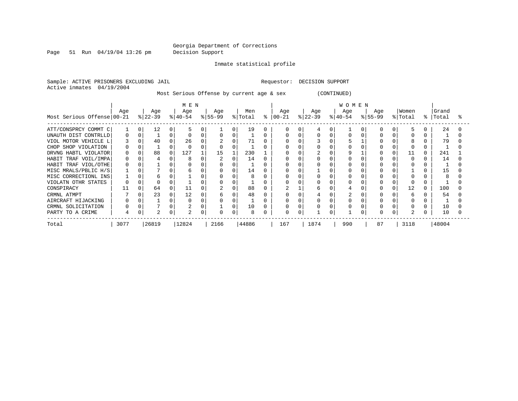Page 51 Run 04/19/04 13:26 pm Decision Support

Inmate statistical profile

Sample: ACTIVE PRISONERS EXCLUDING JAIL **Requestor: DECISION SUPPORT** Active inmates 04/19/2004

Most Serious Offense by current age & sex (CONTINUED)

|                            | MEN              |          |                  |          |                  |   |                  |          |                |   |                  | WOMEN |                  |  |                  |  |                  |   |                |   |                |  |  |
|----------------------------|------------------|----------|------------------|----------|------------------|---|------------------|----------|----------------|---|------------------|-------|------------------|--|------------------|--|------------------|---|----------------|---|----------------|--|--|
| Most Serious Offense 00-21 | Age              |          | Age<br>$ 22-39 $ |          | Age<br>$ 40-54 $ |   | Age<br>$ 55-99 $ |          | Men<br>% Total | ႜ | Age<br>$00 - 21$ |       | Age<br>$ 22-39 $ |  | Age<br>$ 40-54 $ |  | Age<br>$ 55-99 $ | 유 | Women<br>Total | ႜ | Grand<br>Total |  |  |
| ATT/CONSPRCY COMMT C       |                  | $\Omega$ | 12               | $\Omega$ |                  |   |                  | $\Omega$ | 19             | 0 |                  |       |                  |  |                  |  |                  |   | ь.             |   | 24             |  |  |
| UNAUTH DIST CONTRLLD       | 0                | 0        |                  |          |                  |   |                  |          |                |   |                  |       |                  |  |                  |  |                  |   |                |   |                |  |  |
| VIOL MOTOR VEHICLE L       |                  |          | 40               |          | 26               |   |                  |          | 71             |   |                  |       |                  |  |                  |  |                  |   |                |   | 79             |  |  |
| CHOP SHOP VIOLATION        |                  |          |                  |          |                  |   |                  |          |                |   |                  |       |                  |  |                  |  |                  |   |                |   |                |  |  |
| DRVNG HABTL VIOLATOR       | 0                |          | 88               | 0        | 127              |   | 15               |          | 230            |   |                  |       |                  |  |                  |  |                  |   | 11             |   | 241            |  |  |
| TRAF VOIL/IMPA<br>HABIT    | 0                |          |                  |          | 8                |   |                  | $\Omega$ | 14             |   |                  |       |                  |  |                  |  |                  |   | $\Omega$       |   | 14             |  |  |
| HABIT TRAF VIOL/OTHE       | $\left( \right)$ |          |                  |          |                  |   |                  |          |                |   |                  |       |                  |  |                  |  |                  |   |                |   |                |  |  |
| MISC MRALS/PBLIC H/S       |                  |          |                  |          | h                |   |                  |          | 14             |   |                  |       |                  |  |                  |  |                  |   |                |   | 15             |  |  |
| MISC CORRECTIONL INS       |                  |          | 6                |          |                  |   |                  |          | 8              |   |                  |       |                  |  |                  |  |                  |   |                |   |                |  |  |
| VIOLATN OTHR STATES        |                  |          |                  |          |                  |   |                  |          |                |   | O                |       |                  |  |                  |  |                  |   |                |   |                |  |  |
| CONSPIRACY                 |                  |          | 64               |          |                  |   |                  |          | 88             |   |                  |       | h                |  |                  |  |                  |   | 12             |   | 100            |  |  |
| CRMNL ATMPT                |                  |          | 23               | 0        | 12               | O |                  |          | 48             |   |                  |       |                  |  |                  |  |                  |   | h              |   | 54             |  |  |
| AIRCRAFT HIJACKING         |                  |          |                  |          |                  |   |                  |          |                |   |                  |       |                  |  |                  |  |                  |   |                |   |                |  |  |
| CRMNL SOLICITATION         |                  |          |                  | 0        |                  |   |                  | $\Omega$ | 10             |   | 0                |       |                  |  |                  |  |                  |   |                |   | 10             |  |  |
| PARTY TO A CRIME           | 4                | 0        |                  | 0        |                  | 0 |                  |          | 8              |   | 0                |       |                  |  |                  |  |                  | 0 | 2              |   | 10             |  |  |
| Total                      | 3077             |          | 26819            |          | 12824            |   | 2166             |          | 44886          |   | 167              |       | 1874             |  | 990              |  | 87               |   | 3118           |   | 48004          |  |  |